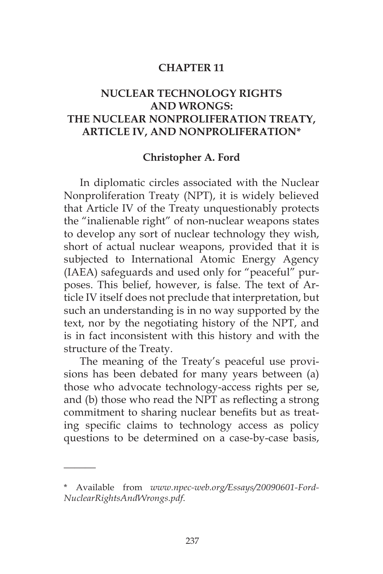#### **CHAPTER 11**

# **NUCLEAR TECHNOLOGY RIGHTS AND WRONGS: THE NUCLEAR NONPROLIFERATION TREATY, ARTICLE IV, AND NONPROLIFERATION\***

#### **Christopher A. Ford**

In diplomatic circles associated with the Nuclear Nonproliferation Treaty (NPT), it is widely believed that Article IV of the Treaty unquestionably protects the "inalienable right" of non-nuclear weapons states to develop any sort of nuclear technology they wish, short of actual nuclear weapons, provided that it is subjected to International Atomic Energy Agency (IAEA) safeguards and used only for "peaceful" purposes. This belief, however, is false. The text of Article IV itself does not preclude that interpretation, but such an understanding is in no way supported by the text, nor by the negotiating history of the NPT, and is in fact inconsistent with this history and with the structure of the Treaty.

The meaning of the Treaty's peaceful use provisions has been debated for many years between (a) those who advocate technology-access rights per se, and (b) those who read the NPT as reflecting a strong commitment to sharing nuclear benefits but as treating specific claims to technology access as policy questions to be determined on a case-by-case basis,

 $\overline{\phantom{a}}$ 

<sup>\*</sup> Available from *www.npec-web.org/Essays/20090601-Ford-NuclearRightsAndWrongs.pdf*.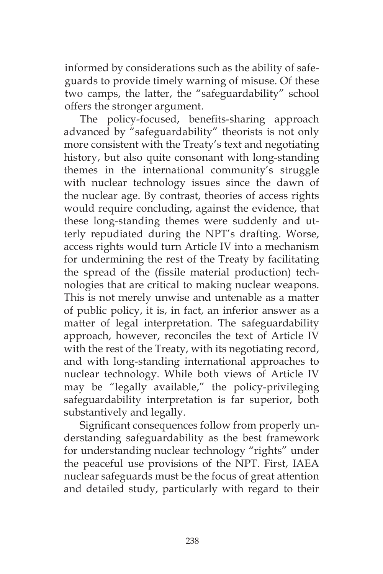informed by considerations such as the ability of safeguards to provide timely warning of misuse. Of these two camps, the latter, the "safeguardability" school offers the stronger argument.

The policy-focused, benefits-sharing approach advanced by "safeguardability" theorists is not only more consistent with the Treaty's text and negotiating history, but also quite consonant with long-standing themes in the international community's struggle with nuclear technology issues since the dawn of the nuclear age. By contrast, theories of access rights would require concluding, against the evidence, that these long-standing themes were suddenly and utterly repudiated during the NPT's drafting. Worse, access rights would turn Article IV into a mechanism for undermining the rest of the Treaty by facilitating the spread of the (fissile material production) technologies that are critical to making nuclear weapons. This is not merely unwise and untenable as a matter of public policy, it is, in fact, an inferior answer as a matter of legal interpretation. The safeguardability approach, however, reconciles the text of Article IV with the rest of the Treaty, with its negotiating record, and with long-standing international approaches to nuclear technology. While both views of Article IV may be "legally available," the policy-privileging safeguardability interpretation is far superior, both substantively and legally.

Significant consequences follow from properly understanding safeguardability as the best framework for understanding nuclear technology "rights" under the peaceful use provisions of the NPT. First, IAEA nuclear safeguards must be the focus of great attention and detailed study, particularly with regard to their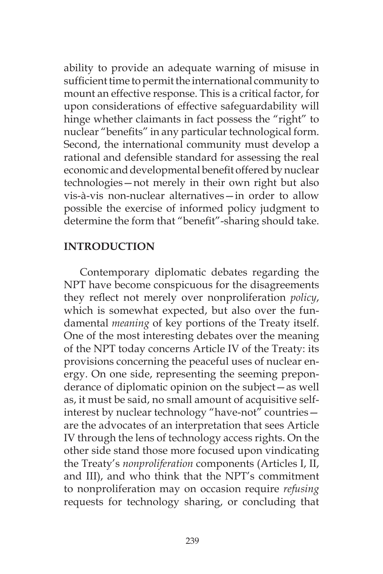ability to provide an adequate warning of misuse in sufficient time to permit the international community to mount an effective response. This is a critical factor, for upon considerations of effective safeguardability will hinge whether claimants in fact possess the "right" to nuclear "benefits" in any particular technological form. Second, the international community must develop a rational and defensible standard for assessing the real economic and developmental benefit offered by nuclear technologies—not merely in their own right but also vis-à-vis non-nuclear alternatives—in order to allow possible the exercise of informed policy judgment to determine the form that "benefit"-sharing should take.

## **INTRODUCTION**

Contemporary diplomatic debates regarding the NPT have become conspicuous for the disagreements they reflect not merely over nonproliferation *policy*, which is somewhat expected, but also over the fundamental *meaning* of key portions of the Treaty itself. One of the most interesting debates over the meaning of the NPT today concerns Article IV of the Treaty: its provisions concerning the peaceful uses of nuclear energy. On one side, representing the seeming preponderance of diplomatic opinion on the subject—as well as, it must be said, no small amount of acquisitive selfinterest by nuclear technology "have-not" countries are the advocates of an interpretation that sees Article IV through the lens of technology access rights. On the other side stand those more focused upon vindicating the Treaty's *nonproliferation* components (Articles I, II, and III), and who think that the NPT's commitment to nonproliferation may on occasion require *refusing*  requests for technology sharing, or concluding that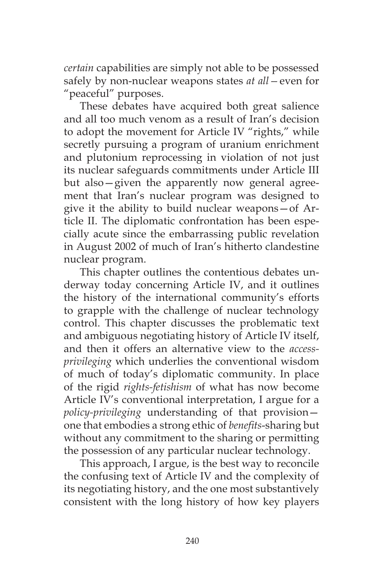*certain* capabilities are simply not able to be possessed safely by non-nuclear weapons states *at all—*even for "peaceful" purposes.

These debates have acquired both great salience and all too much venom as a result of Iran's decision to adopt the movement for Article IV "rights," while secretly pursuing a program of uranium enrichment and plutonium reprocessing in violation of not just its nuclear safeguards commitments under Article III but also—given the apparently now general agreement that Iran's nuclear program was designed to give it the ability to build nuclear weapons—of Article II. The diplomatic confrontation has been especially acute since the embarrassing public revelation in August 2002 of much of Iran's hitherto clandestine nuclear program.

This chapter outlines the contentious debates underway today concerning Article IV, and it outlines the history of the international community's efforts to grapple with the challenge of nuclear technology control. This chapter discusses the problematic text and ambiguous negotiating history of Article IV itself, and then it offers an alternative view to the *accessprivileging* which underlies the conventional wisdom of much of today's diplomatic community. In place of the rigid *rights-fetishism* of what has now become Article IV's conventional interpretation, I argue for a *policy-privileging* understanding of that provision one that embodies a strong ethic of *benefits*-sharing but without any commitment to the sharing or permitting the possession of any particular nuclear technology.

This approach, I argue, is the best way to reconcile the confusing text of Article IV and the complexity of its negotiating history, and the one most substantively consistent with the long history of how key players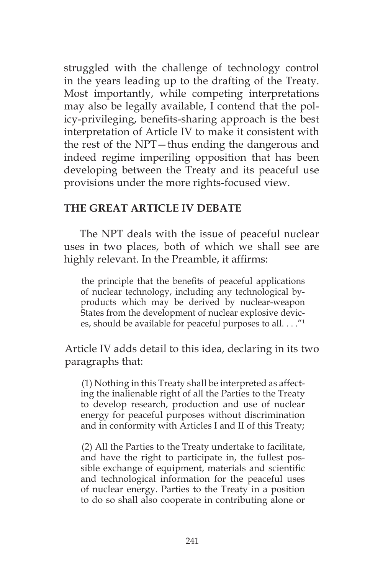struggled with the challenge of technology control in the years leading up to the drafting of the Treaty. Most importantly, while competing interpretations may also be legally available, I contend that the policy-privileging, benefits-sharing approach is the best interpretation of Article IV to make it consistent with the rest of the NPT—thus ending the dangerous and indeed regime imperiling opposition that has been developing between the Treaty and its peaceful use provisions under the more rights-focused view.

### **THE GREAT ARTICLE IV DEBATE**

The NPT deals with the issue of peaceful nuclear uses in two places, both of which we shall see are highly relevant. In the Preamble, it affirms:

the principle that the benefits of peaceful applications of nuclear technology, including any technological byproducts which may be derived by nuclear-weapon States from the development of nuclear explosive devices, should be available for peaceful purposes to all. . . ."1

Article IV adds detail to this idea, declaring in its two paragraphs that:

(1) Nothing in this Treaty shall be interpreted as affecting the inalienable right of all the Parties to the Treaty to develop research, production and use of nuclear energy for peaceful purposes without discrimination and in conformity with Articles I and II of this Treaty;

(2) All the Parties to the Treaty undertake to facilitate, and have the right to participate in, the fullest possible exchange of equipment, materials and scientific and technological information for the peaceful uses of nuclear energy. Parties to the Treaty in a position to do so shall also cooperate in contributing alone or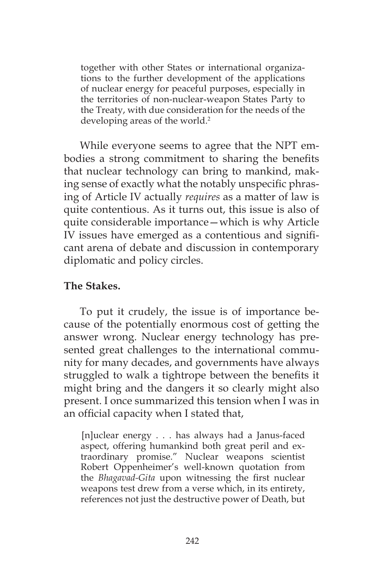together with other States or international organizations to the further development of the applications of nuclear energy for peaceful purposes, especially in the territories of non-nuclear-weapon States Party to the Treaty, with due consideration for the needs of the developing areas of the world.<sup>2</sup>

While everyone seems to agree that the NPT embodies a strong commitment to sharing the benefits that nuclear technology can bring to mankind, making sense of exactly what the notably unspecific phrasing of Article IV actually *requires* as a matter of law is quite contentious. As it turns out, this issue is also of quite considerable importance—which is why Article IV issues have emerged as a contentious and significant arena of debate and discussion in contemporary diplomatic and policy circles.

#### **The Stakes.**

To put it crudely, the issue is of importance because of the potentially enormous cost of getting the answer wrong. Nuclear energy technology has presented great challenges to the international community for many decades, and governments have always struggled to walk a tightrope between the benefits it might bring and the dangers it so clearly might also present. I once summarized this tension when I was in an official capacity when I stated that,

[n]uclear energy . . . has always had a Janus-faced aspect, offering humankind both great peril and extraordinary promise." Nuclear weapons scientist Robert Oppenheimer's well-known quotation from the *Bhagavad-Gita* upon witnessing the first nuclear weapons test drew from a verse which, in its entirety, references not just the destructive power of Death, but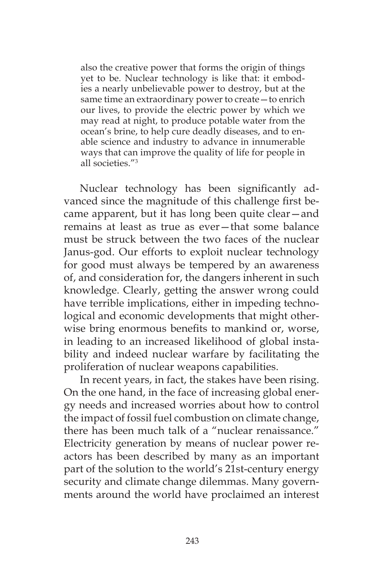also the creative power that forms the origin of things yet to be. Nuclear technology is like that: it embodies a nearly unbelievable power to destroy, but at the same time an extraordinary power to create—to enrich our lives, to provide the electric power by which we may read at night, to produce potable water from the ocean's brine, to help cure deadly diseases, and to enable science and industry to advance in innumerable ways that can improve the quality of life for people in all societies."3

Nuclear technology has been significantly advanced since the magnitude of this challenge first became apparent, but it has long been quite clear—and remains at least as true as ever—that some balance must be struck between the two faces of the nuclear Janus-god. Our efforts to exploit nuclear technology for good must always be tempered by an awareness of, and consideration for, the dangers inherent in such knowledge. Clearly, getting the answer wrong could have terrible implications, either in impeding technological and economic developments that might otherwise bring enormous benefits to mankind or, worse, in leading to an increased likelihood of global instability and indeed nuclear warfare by facilitating the proliferation of nuclear weapons capabilities.

In recent years, in fact, the stakes have been rising. On the one hand, in the face of increasing global energy needs and increased worries about how to control the impact of fossil fuel combustion on climate change, there has been much talk of a "nuclear renaissance." Electricity generation by means of nuclear power reactors has been described by many as an important part of the solution to the world's 21st-century energy security and climate change dilemmas. Many governments around the world have proclaimed an interest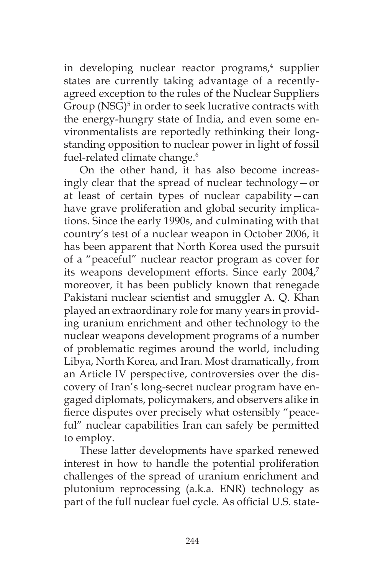in developing nuclear reactor programs,<sup>4</sup> supplier states are currently taking advantage of a recentlyagreed exception to the rules of the Nuclear Suppliers Group (NSG)<sup>5</sup> in order to seek lucrative contracts with the energy-hungry state of India, and even some environmentalists are reportedly rethinking their longstanding opposition to nuclear power in light of fossil fuel-related climate change.<sup>6</sup>

On the other hand, it has also become increasingly clear that the spread of nuclear technology—or at least of certain types of nuclear capability—can have grave proliferation and global security implications. Since the early 1990s, and culminating with that country's test of a nuclear weapon in October 2006, it has been apparent that North Korea used the pursuit of a "peaceful" nuclear reactor program as cover for its weapons development efforts. Since early 2004,<sup>7</sup> moreover, it has been publicly known that renegade Pakistani nuclear scientist and smuggler A. Q. Khan played an extraordinary role for many years in providing uranium enrichment and other technology to the nuclear weapons development programs of a number of problematic regimes around the world, including Libya, North Korea, and Iran. Most dramatically, from an Article IV perspective, controversies over the discovery of Iran's long-secret nuclear program have engaged diplomats, policymakers, and observers alike in fierce disputes over precisely what ostensibly "peaceful" nuclear capabilities Iran can safely be permitted to employ.

These latter developments have sparked renewed interest in how to handle the potential proliferation challenges of the spread of uranium enrichment and plutonium reprocessing (a.k.a. ENR) technology as part of the full nuclear fuel cycle. As official U.S. state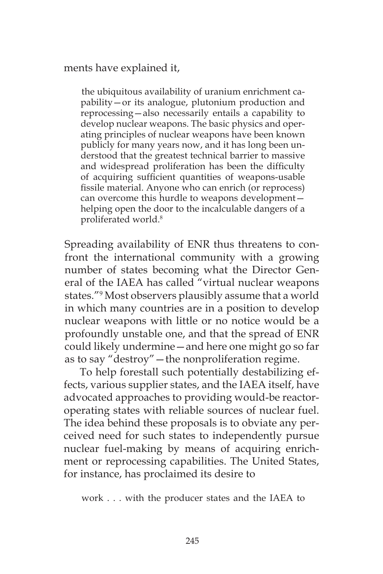ments have explained it,

the ubiquitous availability of uranium enrichment capability—or its analogue, plutonium production and reprocessing—also necessarily entails a capability to develop nuclear weapons. The basic physics and operating principles of nuclear weapons have been known publicly for many years now, and it has long been understood that the greatest technical barrier to massive and widespread proliferation has been the difficulty of acquiring sufficient quantities of weapons-usable fissile material. Anyone who can enrich (or reprocess) can overcome this hurdle to weapons development helping open the door to the incalculable dangers of a proliferated world.8

Spreading availability of ENR thus threatens to confront the international community with a growing number of states becoming what the Director General of the IAEA has called "virtual nuclear weapons states."9 Most observers plausibly assume that a world in which many countries are in a position to develop nuclear weapons with little or no notice would be a profoundly unstable one, and that the spread of ENR could likely undermine—and here one might go so far as to say "destroy"—the nonproliferation regime.

To help forestall such potentially destabilizing effects, various supplier states, and the IAEA itself, have advocated approaches to providing would-be reactoroperating states with reliable sources of nuclear fuel. The idea behind these proposals is to obviate any perceived need for such states to independently pursue nuclear fuel-making by means of acquiring enrichment or reprocessing capabilities. The United States, for instance, has proclaimed its desire to

work . . . with the producer states and the IAEA to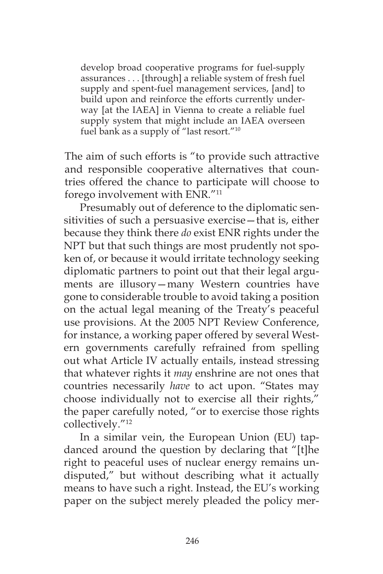develop broad cooperative programs for fuel-supply assurances . . . [through] a reliable system of fresh fuel supply and spent-fuel management services, [and] to build upon and reinforce the efforts currently underway [at the IAEA] in Vienna to create a reliable fuel supply system that might include an IAEA overseen fuel bank as a supply of "last resort."<sup>10</sup>

The aim of such efforts is "to provide such attractive and responsible cooperative alternatives that countries offered the chance to participate will choose to forego involvement with ENR."11

Presumably out of deference to the diplomatic sensitivities of such a persuasive exercise—that is, either because they think there *do* exist ENR rights under the NPT but that such things are most prudently not spoken of, or because it would irritate technology seeking diplomatic partners to point out that their legal arguments are illusory—many Western countries have gone to considerable trouble to avoid taking a position on the actual legal meaning of the Treaty's peaceful use provisions. At the 2005 NPT Review Conference, for instance, a working paper offered by several Western governments carefully refrained from spelling out what Article IV actually entails, instead stressing that whatever rights it *may* enshrine are not ones that countries necessarily *have* to act upon. "States may choose individually not to exercise all their rights," the paper carefully noted, "or to exercise those rights collectively."12

In a similar vein, the European Union (EU) tapdanced around the question by declaring that "[t]he right to peaceful uses of nuclear energy remains undisputed," but without describing what it actually means to have such a right. Instead, the EU's working paper on the subject merely pleaded the policy mer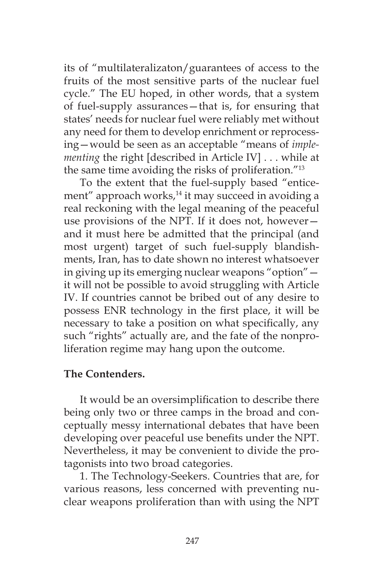its of "multilateralizaton/guarantees of access to the fruits of the most sensitive parts of the nuclear fuel cycle." The EU hoped, in other words, that a system of fuel-supply assurances—that is, for ensuring that states' needs for nuclear fuel were reliably met without any need for them to develop enrichment or reprocessing—would be seen as an acceptable "means of *implementing* the right [described in Article IV] . . . while at the same time avoiding the risks of proliferation."13

To the extent that the fuel-supply based "enticement" approach works,<sup>14</sup> it may succeed in avoiding a real reckoning with the legal meaning of the peaceful use provisions of the NPT. If it does not, however and it must here be admitted that the principal (and most urgent) target of such fuel-supply blandishments, Iran, has to date shown no interest whatsoever in giving up its emerging nuclear weapons "option" it will not be possible to avoid struggling with Article IV. If countries cannot be bribed out of any desire to possess ENR technology in the first place, it will be necessary to take a position on what specifically, any such "rights" actually are, and the fate of the nonproliferation regime may hang upon the outcome.

### **The Contenders.**

It would be an oversimplification to describe there being only two or three camps in the broad and conceptually messy international debates that have been developing over peaceful use benefits under the NPT. Nevertheless, it may be convenient to divide the protagonists into two broad categories.

1. The Technology-Seekers. Countries that are, for various reasons, less concerned with preventing nuclear weapons proliferation than with using the NPT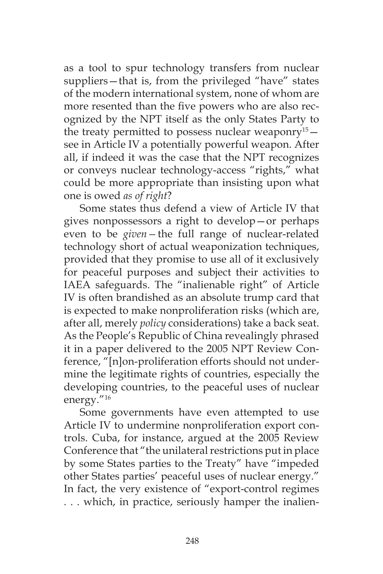as a tool to spur technology transfers from nuclear suppliers—that is, from the privileged "have" states of the modern international system, none of whom are more resented than the five powers who are also recognized by the NPT itself as the only States Party to the treaty permitted to possess nuclear weaponry<sup>15</sup> $$ see in Article IV a potentially powerful weapon. After all, if indeed it was the case that the NPT recognizes or conveys nuclear technology-access "rights," what could be more appropriate than insisting upon what one is owed *as of right*?

Some states thus defend a view of Article IV that gives nonpossessors a right to develop—or perhaps even to be *given—*the full range of nuclear-related technology short of actual weaponization techniques, provided that they promise to use all of it exclusively for peaceful purposes and subject their activities to IAEA safeguards. The "inalienable right" of Article IV is often brandished as an absolute trump card that is expected to make nonproliferation risks (which are, after all, merely *policy* considerations) take a back seat. As the People's Republic of China revealingly phrased it in a paper delivered to the 2005 NPT Review Conference, "[n]on-proliferation efforts should not undermine the legitimate rights of countries, especially the developing countries, to the peaceful uses of nuclear energy."16

Some governments have even attempted to use Article IV to undermine nonproliferation export controls. Cuba, for instance, argued at the 2005 Review Conference that "the unilateral restrictions put in place by some States parties to the Treaty" have "impeded other States parties' peaceful uses of nuclear energy." In fact, the very existence of "export-control regimes . . . which, in practice, seriously hamper the inalien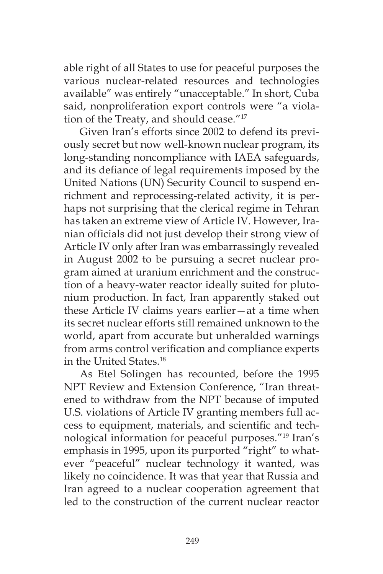able right of all States to use for peaceful purposes the various nuclear-related resources and technologies available" was entirely "unacceptable." In short, Cuba said, nonproliferation export controls were "a violation of the Treaty, and should cease."17

Given Iran's efforts since 2002 to defend its previously secret but now well-known nuclear program, its long-standing noncompliance with IAEA safeguards, and its defiance of legal requirements imposed by the United Nations (UN) Security Council to suspend enrichment and reprocessing-related activity, it is perhaps not surprising that the clerical regime in Tehran has taken an extreme view of Article IV. However, Iranian officials did not just develop their strong view of Article IV only after Iran was embarrassingly revealed in August 2002 to be pursuing a secret nuclear program aimed at uranium enrichment and the construction of a heavy-water reactor ideally suited for plutonium production. In fact, Iran apparently staked out these Article IV claims years earlier—at a time when its secret nuclear efforts still remained unknown to the world, apart from accurate but unheralded warnings from arms control verification and compliance experts in the United States.18

As Etel Solingen has recounted, before the 1995 NPT Review and Extension Conference, "Iran threatened to withdraw from the NPT because of imputed U.S. violations of Article IV granting members full access to equipment, materials, and scientific and technological information for peaceful purposes."19 Iran's emphasis in 1995, upon its purported "right" to whatever "peaceful" nuclear technology it wanted, was likely no coincidence. It was that year that Russia and Iran agreed to a nuclear cooperation agreement that led to the construction of the current nuclear reactor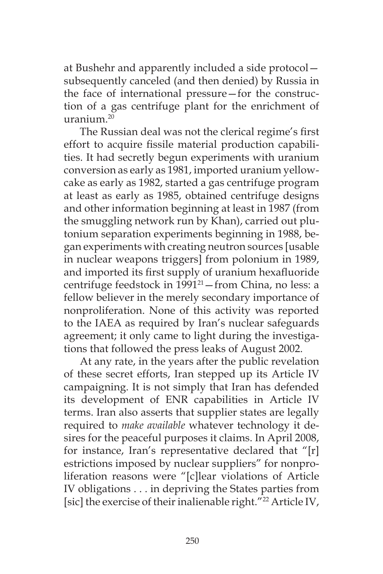at Bushehr and apparently included a side protocol subsequently canceled (and then denied) by Russia in the face of international pressure—for the construction of a gas centrifuge plant for the enrichment of uranium.20

The Russian deal was not the clerical regime's first effort to acquire fissile material production capabilities. It had secretly begun experiments with uranium conversion as early as 1981, imported uranium yellowcake as early as 1982, started a gas centrifuge program at least as early as 1985, obtained centrifuge designs and other information beginning at least in 1987 (from the smuggling network run by Khan), carried out plutonium separation experiments beginning in 1988, began experiments with creating neutron sources [usable in nuclear weapons triggers] from polonium in 1989, and imported its first supply of uranium hexafluoride centrifuge feedstock in 1991<sup>21</sup>-from China, no less: a fellow believer in the merely secondary importance of nonproliferation. None of this activity was reported to the IAEA as required by Iran's nuclear safeguards agreement; it only came to light during the investigations that followed the press leaks of August 2002.

At any rate, in the years after the public revelation of these secret efforts, Iran stepped up its Article IV campaigning. It is not simply that Iran has defended its development of ENR capabilities in Article IV terms. Iran also asserts that supplier states are legally required to *make available* whatever technology it desires for the peaceful purposes it claims. In April 2008, for instance, Iran's representative declared that "[r] estrictions imposed by nuclear suppliers" for nonproliferation reasons were "[c]lear violations of Article IV obligations . . . in depriving the States parties from [sic] the exercise of their inalienable right."<sup>22</sup> Article IV,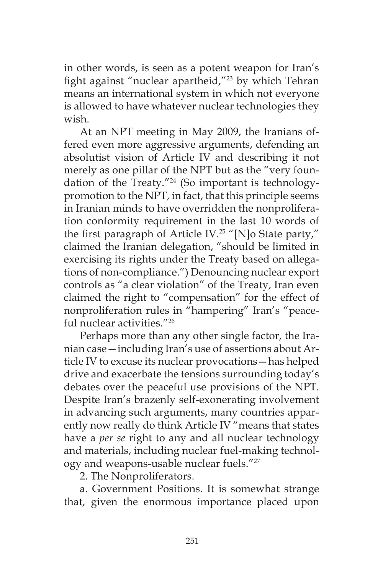in other words, is seen as a potent weapon for Iran's fight against "nuclear apartheid,"<sup>23</sup> by which Tehran means an international system in which not everyone is allowed to have whatever nuclear technologies they wish.

At an NPT meeting in May 2009, the Iranians offered even more aggressive arguments, defending an absolutist vision of Article IV and describing it not merely as one pillar of the NPT but as the "very foundation of the Treaty."24 (So important is technologypromotion to the NPT, in fact, that this principle seems in Iranian minds to have overridden the nonproliferation conformity requirement in the last 10 words of the first paragraph of Article IV.25 "[N]o State party," claimed the Iranian delegation, "should be limited in exercising its rights under the Treaty based on allegations of non-compliance.") Denouncing nuclear export controls as "a clear violation" of the Treaty, Iran even claimed the right to "compensation" for the effect of nonproliferation rules in "hampering" Iran's "peaceful nuclear activities."26

Perhaps more than any other single factor, the Iranian case—including Iran's use of assertions about Article IV to excuse its nuclear provocations—has helped drive and exacerbate the tensions surrounding today's debates over the peaceful use provisions of the NPT. Despite Iran's brazenly self-exonerating involvement in advancing such arguments, many countries apparently now really do think Article IV "means that states have a *per se* right to any and all nuclear technology and materials, including nuclear fuel-making technology and weapons-usable nuclear fuels."<sup>27</sup>

2. The Nonproliferators.

a. Government Positions. It is somewhat strange that, given the enormous importance placed upon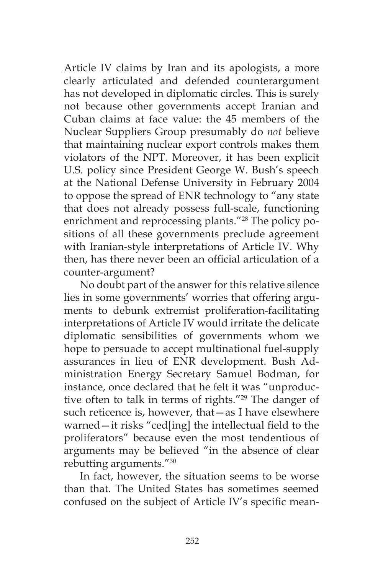Article IV claims by Iran and its apologists, a more clearly articulated and defended counterargument has not developed in diplomatic circles. This is surely not because other governments accept Iranian and Cuban claims at face value: the 45 members of the Nuclear Suppliers Group presumably do *not* believe that maintaining nuclear export controls makes them violators of the NPT. Moreover, it has been explicit U.S. policy since President George W. Bush's speech at the National Defense University in February 2004 to oppose the spread of ENR technology to "any state that does not already possess full-scale, functioning enrichment and reprocessing plants."<sup>28</sup> The policy positions of all these governments preclude agreement with Iranian-style interpretations of Article IV. Why then, has there never been an official articulation of a counter-argument?

No doubt part of the answer for this relative silence lies in some governments' worries that offering arguments to debunk extremist proliferation-facilitating interpretations of Article IV would irritate the delicate diplomatic sensibilities of governments whom we hope to persuade to accept multinational fuel-supply assurances in lieu of ENR development. Bush Administration Energy Secretary Samuel Bodman, for instance, once declared that he felt it was "unproductive often to talk in terms of rights."29 The danger of such reticence is, however, that—as I have elsewhere warned—it risks "ced[ing] the intellectual field to the proliferators" because even the most tendentious of arguments may be believed "in the absence of clear rebutting arguments."30

In fact, however, the situation seems to be worse than that. The United States has sometimes seemed confused on the subject of Article IV's specific mean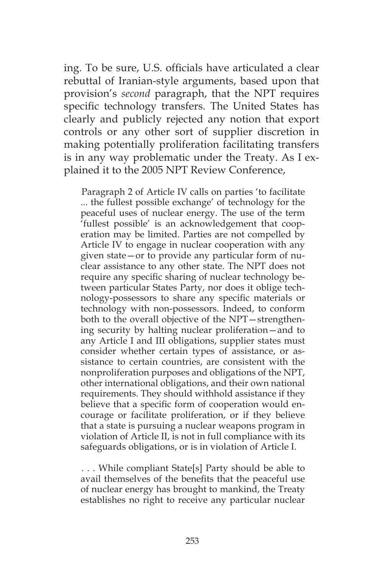ing. To be sure, U.S. officials have articulated a clear rebuttal of Iranian-style arguments, based upon that provision's *second* paragraph, that the NPT requires specific technology transfers. The United States has clearly and publicly rejected any notion that export controls or any other sort of supplier discretion in making potentially proliferation facilitating transfers is in any way problematic under the Treaty. As I explained it to the 2005 NPT Review Conference,

Paragraph 2 of Article IV calls on parties 'to facilitate ... the fullest possible exchange' of technology for the peaceful uses of nuclear energy. The use of the term 'fullest possible' is an acknowledgement that cooperation may be limited. Parties are not compelled by Article IV to engage in nuclear cooperation with any given state—or to provide any particular form of nuclear assistance to any other state. The NPT does not require any specific sharing of nuclear technology between particular States Party, nor does it oblige technology-possessors to share any specific materials or technology with non-possessors. Indeed, to conform both to the overall objective of the NPT—strengthening security by halting nuclear proliferation—and to any Article I and III obligations, supplier states must consider whether certain types of assistance, or assistance to certain countries, are consistent with the nonproliferation purposes and obligations of the NPT, other international obligations, and their own national requirements. They should withhold assistance if they believe that a specific form of cooperation would encourage or facilitate proliferation, or if they believe that a state is pursuing a nuclear weapons program in violation of Article II, is not in full compliance with its safeguards obligations, or is in violation of Article I.

. . . While compliant State[s] Party should be able to avail themselves of the benefits that the peaceful use of nuclear energy has brought to mankind, the Treaty establishes no right to receive any particular nuclear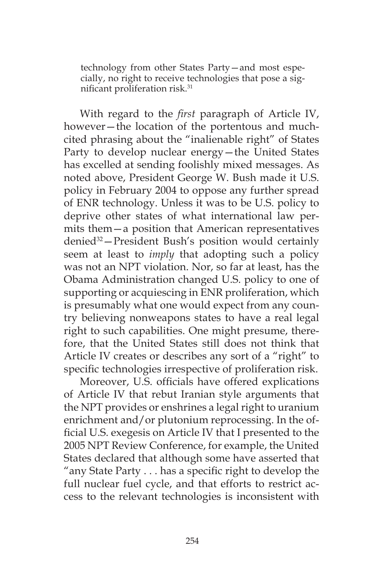technology from other States Party—and most especially, no right to receive technologies that pose a significant proliferation risk.31

With regard to the *first* paragraph of Article IV, however—the location of the portentous and muchcited phrasing about the "inalienable right" of States Party to develop nuclear energy—the United States has excelled at sending foolishly mixed messages. As noted above, President George W. Bush made it U.S. policy in February 2004 to oppose any further spread of ENR technology. Unless it was to be U.S. policy to deprive other states of what international law permits them—a position that American representatives denied32—President Bush's position would certainly seem at least to *imply* that adopting such a policy was not an NPT violation. Nor, so far at least, has the Obama Administration changed U.S. policy to one of supporting or acquiescing in ENR proliferation, which is presumably what one would expect from any country believing nonweapons states to have a real legal right to such capabilities. One might presume, therefore, that the United States still does not think that Article IV creates or describes any sort of a "right" to specific technologies irrespective of proliferation risk.

Moreover, U.S. officials have offered explications of Article IV that rebut Iranian style arguments that the NPT provides or enshrines a legal right to uranium enrichment and/or plutonium reprocessing. In the official U.S. exegesis on Article IV that I presented to the 2005 NPT Review Conference, for example, the United States declared that although some have asserted that "any State Party . . . has a specific right to develop the full nuclear fuel cycle, and that efforts to restrict access to the relevant technologies is inconsistent with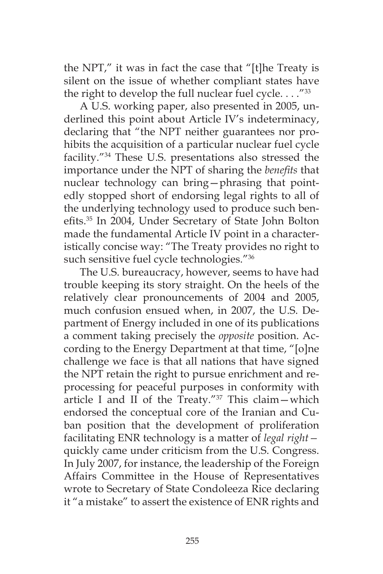the NPT," it was in fact the case that "[t]he Treaty is silent on the issue of whether compliant states have the right to develop the full nuclear fuel cycle.  $\ldots$ "33

A U.S. working paper, also presented in 2005, underlined this point about Article IV's indeterminacy, declaring that "the NPT neither guarantees nor prohibits the acquisition of a particular nuclear fuel cycle facility."34 These U.S. presentations also stressed the importance under the NPT of sharing the *benefits* that nuclear technology can bring—phrasing that pointedly stopped short of endorsing legal rights to all of the underlying technology used to produce such benefits.35 In 2004, Under Secretary of State John Bolton made the fundamental Article IV point in a characteristically concise way: "The Treaty provides no right to such sensitive fuel cycle technologies."<sup>36</sup>

The U.S. bureaucracy, however, seems to have had trouble keeping its story straight. On the heels of the relatively clear pronouncements of 2004 and 2005, much confusion ensued when, in 2007, the U.S. Department of Energy included in one of its publications a comment taking precisely the *opposite* position. According to the Energy Department at that time, "[o]ne challenge we face is that all nations that have signed the NPT retain the right to pursue enrichment and reprocessing for peaceful purposes in conformity with article I and II of the Treaty." $37$  This claim - which endorsed the conceptual core of the Iranian and Cuban position that the development of proliferation facilitating ENR technology is a matter of *legal right* quickly came under criticism from the U.S. Congress. In July 2007, for instance, the leadership of the Foreign Affairs Committee in the House of Representatives wrote to Secretary of State Condoleeza Rice declaring it "a mistake" to assert the existence of ENR rights and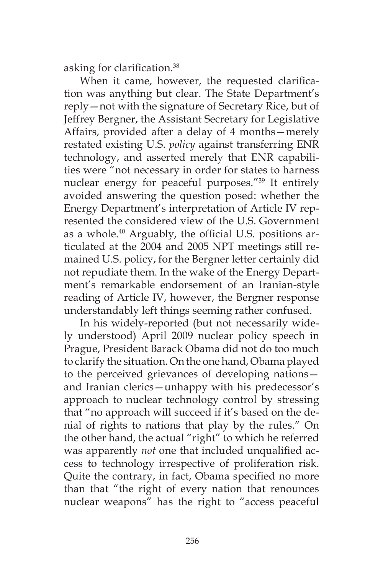asking for clarification.38

When it came, however, the requested clarification was anything but clear. The State Department's reply—not with the signature of Secretary Rice, but of Jeffrey Bergner, the Assistant Secretary for Legislative Affairs, provided after a delay of 4 months—merely restated existing U.S. *policy* against transferring ENR technology, and asserted merely that ENR capabilities were "not necessary in order for states to harness nuclear energy for peaceful purposes."39 It entirely avoided answering the question posed: whether the Energy Department's interpretation of Article IV represented the considered view of the U.S. Government as a whole.40 Arguably, the official U.S. positions articulated at the 2004 and 2005 NPT meetings still remained U.S. policy, for the Bergner letter certainly did not repudiate them. In the wake of the Energy Department's remarkable endorsement of an Iranian-style reading of Article IV, however, the Bergner response understandably left things seeming rather confused.

In his widely-reported (but not necessarily widely understood) April 2009 nuclear policy speech in Prague, President Barack Obama did not do too much to clarify the situation. On the one hand, Obama played to the perceived grievances of developing nations and Iranian clerics—unhappy with his predecessor's approach to nuclear technology control by stressing that "no approach will succeed if it's based on the denial of rights to nations that play by the rules." On the other hand, the actual "right" to which he referred was apparently *not* one that included unqualified access to technology irrespective of proliferation risk. Quite the contrary, in fact, Obama specified no more than that "the right of every nation that renounces nuclear weapons" has the right to "access peaceful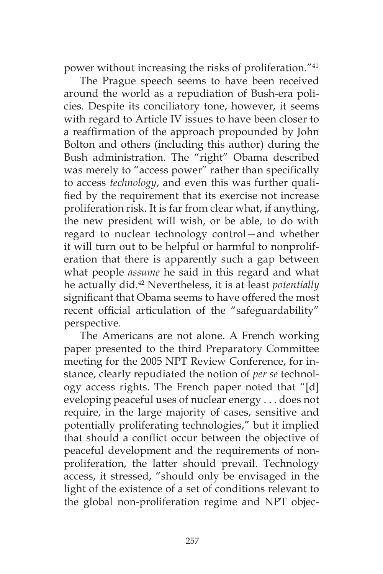power without increasing the risks of proliferation."41

The Prague speech seems to have been received around the world as a repudiation of Bush-era policies. Despite its conciliatory tone, however, it seems with regard to Article IV issues to have been closer to a reaffirmation of the approach propounded by John Bolton and others (including this author) during the Bush administration. The "right" Obama described was merely to "access power" rather than specifically to access *technology*, and even this was further qualified by the requirement that its exercise not increase proliferation risk. It is far from clear what, if anything, the new president will wish, or be able, to do with regard to nuclear technology control—and whether it will turn out to be helpful or harmful to nonproliferation that there is apparently such a gap between what people *assume* he said in this regard and what he actually did.42 Nevertheless, it is at least *potentially*  significant that Obama seems to have offered the most recent official articulation of the "safeguardability" perspective.

The Americans are not alone. A French working paper presented to the third Preparatory Committee meeting for the 2005 NPT Review Conference, for instance, clearly repudiated the notion of *per se* technology access rights. The French paper noted that "[d] eveloping peaceful uses of nuclear energy . . . does not require, in the large majority of cases, sensitive and potentially proliferating technologies," but it implied that should a conflict occur between the objective of peaceful development and the requirements of nonproliferation, the latter should prevail. Technology access, it stressed, "should only be envisaged in the light of the existence of a set of conditions relevant to the global non-proliferation regime and NPT objec-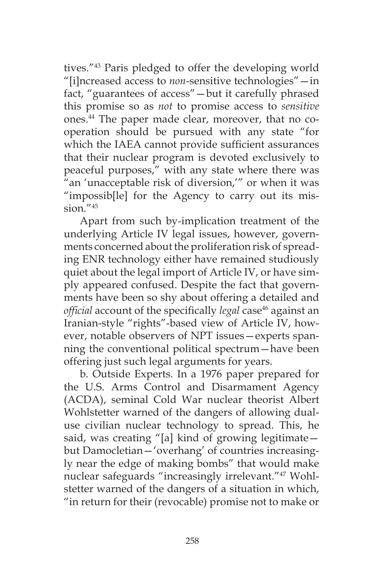tives."43 Paris pledged to offer the developing world "[i]ncreased access to *non*-sensitive technologies"—in fact, "guarantees of access"—but it carefully phrased this promise so as *not* to promise access to *sensitive*  ones.44 The paper made clear, moreover, that no cooperation should be pursued with any state "for which the IAEA cannot provide sufficient assurances that their nuclear program is devoted exclusively to peaceful purposes," with any state where there was "an 'unacceptable risk of diversion,'" or when it was "impossib[le] for the Agency to carry out its mis $sion.$ " $45$ 

Apart from such by-implication treatment of the underlying Article IV legal issues, however, governments concerned about the proliferation risk of spreading ENR technology either have remained studiously quiet about the legal import of Article IV, or have simply appeared confused. Despite the fact that governments have been so shy about offering a detailed and *official* account of the specifically *legal* case<sup>46</sup> against an Iranian-style "rights"-based view of Article IV, however, notable observers of NPT issues—experts spanning the conventional political spectrum—have been offering just such legal arguments for years.

b. Outside Experts. In a 1976 paper prepared for the U.S. Arms Control and Disarmament Agency (ACDA), seminal Cold War nuclear theorist Albert Wohlstetter warned of the dangers of allowing dualuse civilian nuclear technology to spread. This, he said, was creating "[a] kind of growing legitimate but Damocletian—'overhang' of countries increasingly near the edge of making bombs" that would make nuclear safeguards "increasingly irrelevant."47 Wohlstetter warned of the dangers of a situation in which, "in return for their (revocable) promise not to make or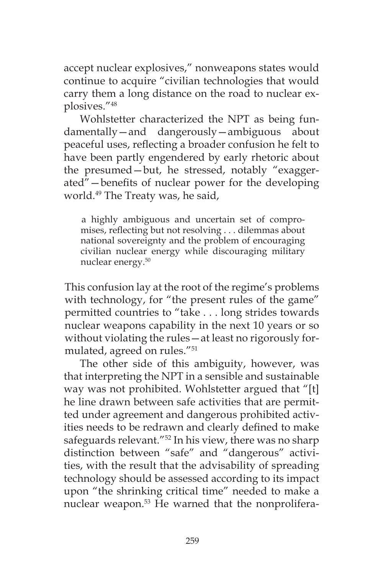accept nuclear explosives," nonweapons states would continue to acquire "civilian technologies that would carry them a long distance on the road to nuclear explosives."48

Wohlstetter characterized the NPT as being fundamentally—and dangerously—ambiguous about peaceful uses, reflecting a broader confusion he felt to have been partly engendered by early rhetoric about the presumed—but, he stressed, notably "exaggerated"—benefits of nuclear power for the developing world.49 The Treaty was, he said,

a highly ambiguous and uncertain set of compromises, reflecting but not resolving . . . dilemmas about national sovereignty and the problem of encouraging civilian nuclear energy while discouraging military nuclear energy.50

This confusion lay at the root of the regime's problems with technology, for "the present rules of the game" permitted countries to "take . . . long strides towards nuclear weapons capability in the next 10 years or so without violating the rules—at least no rigorously formulated, agreed on rules."51

The other side of this ambiguity, however, was that interpreting the NPT in a sensible and sustainable way was not prohibited. Wohlstetter argued that "[t] he line drawn between safe activities that are permitted under agreement and dangerous prohibited activities needs to be redrawn and clearly defined to make safeguards relevant."<sup>52</sup> In his view, there was no sharp distinction between "safe" and "dangerous" activities, with the result that the advisability of spreading technology should be assessed according to its impact upon "the shrinking critical time" needed to make a nuclear weapon.<sup>53</sup> He warned that the nonprolifera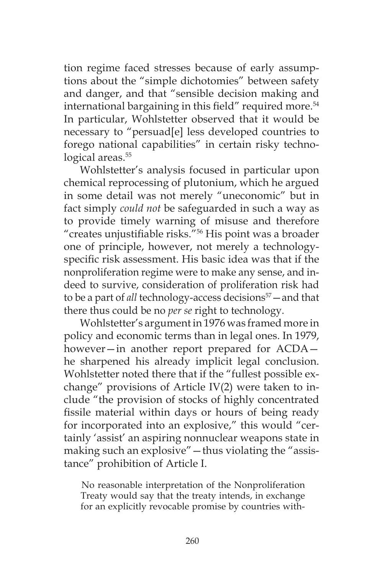tion regime faced stresses because of early assumptions about the "simple dichotomies" between safety and danger, and that "sensible decision making and international bargaining in this field" required more.<sup>54</sup> In particular, Wohlstetter observed that it would be necessary to "persuad[e] less developed countries to forego national capabilities" in certain risky technological areas.<sup>55</sup>

Wohlstetter's analysis focused in particular upon chemical reprocessing of plutonium, which he argued in some detail was not merely "uneconomic" but in fact simply *could not* be safeguarded in such a way as to provide timely warning of misuse and therefore "creates unjustifiable risks."56 His point was a broader one of principle, however, not merely a technologyspecific risk assessment. His basic idea was that if the nonproliferation regime were to make any sense, and indeed to survive, consideration of proliferation risk had to be a part of *all* technology-access decisions<sup>57</sup> – and that there thus could be no *per se* right to technology.

Wohlstetter's argument in 1976 was framed more in policy and economic terms than in legal ones. In 1979, however—in another report prepared for ACDA he sharpened his already implicit legal conclusion. Wohlstetter noted there that if the "fullest possible exchange" provisions of Article IV(2) were taken to include "the provision of stocks of highly concentrated fissile material within days or hours of being ready for incorporated into an explosive," this would "certainly 'assist' an aspiring nonnuclear weapons state in making such an explosive"—thus violating the "assistance" prohibition of Article I.

No reasonable interpretation of the Nonproliferation Treaty would say that the treaty intends, in exchange for an explicitly revocable promise by countries with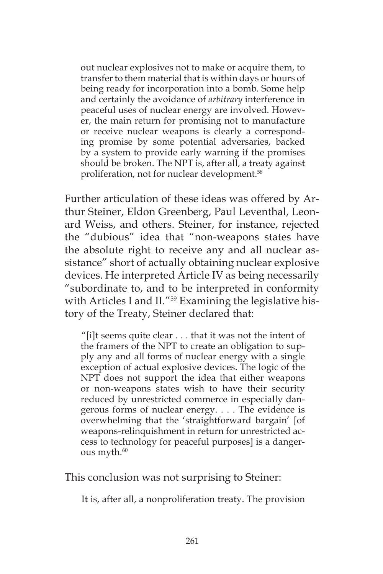out nuclear explosives not to make or acquire them, to transfer to them material that is within days or hours of being ready for incorporation into a bomb. Some help and certainly the avoidance of *arbitrary* interference in peaceful uses of nuclear energy are involved. However, the main return for promising not to manufacture or receive nuclear weapons is clearly a corresponding promise by some potential adversaries, backed by a system to provide early warning if the promises should be broken. The NPT is, after all, a treaty against proliferation, not for nuclear development.58

Further articulation of these ideas was offered by Arthur Steiner, Eldon Greenberg, Paul Leventhal, Leonard Weiss, and others. Steiner, for instance, rejected the "dubious" idea that "non-weapons states have the absolute right to receive any and all nuclear assistance" short of actually obtaining nuclear explosive devices. He interpreted Article IV as being necessarily "subordinate to, and to be interpreted in conformity with Articles I and II."<sup>59</sup> Examining the legislative history of the Treaty, Steiner declared that:

"[i]t seems quite clear . . . that it was not the intent of the framers of the NPT to create an obligation to supply any and all forms of nuclear energy with a single exception of actual explosive devices. The logic of the NPT does not support the idea that either weapons or non-weapons states wish to have their security reduced by unrestricted commerce in especially dangerous forms of nuclear energy. . . . The evidence is overwhelming that the 'straightforward bargain' [of weapons-relinquishment in return for unrestricted access to technology for peaceful purposes] is a dangerous myth. $60$ 

This conclusion was not surprising to Steiner:

It is, after all, a nonproliferation treaty. The provision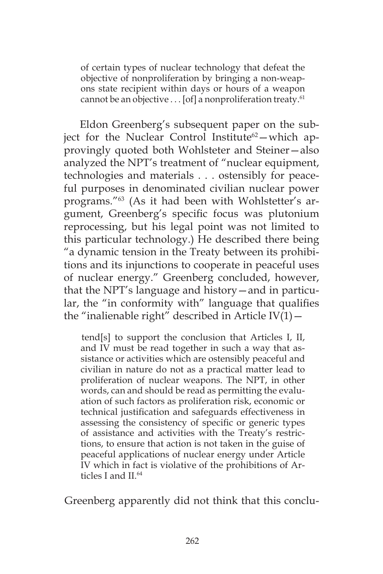of certain types of nuclear technology that defeat the objective of nonproliferation by bringing a non-weapons state recipient within days or hours of a weapon cannot be an objective . . . [of] a nonproliferation treaty.<sup>61</sup>

Eldon Greenberg's subsequent paper on the subject for the Nuclear Control Institute<sup>62</sup>-which approvingly quoted both Wohlsteter and Steiner—also analyzed the NPT's treatment of "nuclear equipment, technologies and materials . . . ostensibly for peaceful purposes in denominated civilian nuclear power programs."63 (As it had been with Wohlstetter's argument, Greenberg's specific focus was plutonium reprocessing, but his legal point was not limited to this particular technology.) He described there being "a dynamic tension in the Treaty between its prohibitions and its injunctions to cooperate in peaceful uses of nuclear energy." Greenberg concluded, however, that the NPT's language and history—and in particular, the "in conformity with" language that qualifies the "inalienable right" described in Article  $IV(1)$  -

tend[s] to support the conclusion that Articles I, II, and IV must be read together in such a way that assistance or activities which are ostensibly peaceful and civilian in nature do not as a practical matter lead to proliferation of nuclear weapons. The NPT, in other words, can and should be read as permitting the evaluation of such factors as proliferation risk, economic or technical justification and safeguards effectiveness in assessing the consistency of specific or generic types of assistance and activities with the Treaty's restrictions, to ensure that action is not taken in the guise of peaceful applications of nuclear energy under Article IV which in fact is violative of the prohibitions of Articles I and II.<sup>64</sup>

Greenberg apparently did not think that this conclu-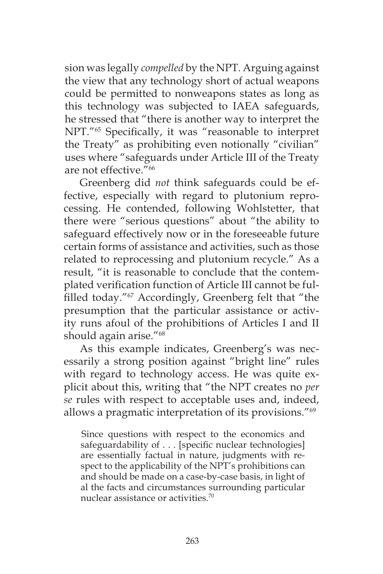sion was legally *compelled* by the NPT. Arguing against the view that any technology short of actual weapons could be permitted to nonweapons states as long as this technology was subjected to IAEA safeguards, he stressed that "there is another way to interpret the NPT."65 Specifically, it was "reasonable to interpret the Treaty" as prohibiting even notionally "civilian" uses where "safeguards under Article III of the Treaty are not effective."66

Greenberg did *not* think safeguards could be effective, especially with regard to plutonium reprocessing. He contended, following Wohlstetter, that there were "serious questions" about "the ability to safeguard effectively now or in the foreseeable future certain forms of assistance and activities, such as those related to reprocessing and plutonium recycle." As a result, "it is reasonable to conclude that the contemplated verification function of Article III cannot be fulfilled today."<sup>67</sup> Accordingly, Greenberg felt that "the presumption that the particular assistance or activity runs afoul of the prohibitions of Articles I and II should again arise."68

As this example indicates, Greenberg's was necessarily a strong position against "bright line" rules with regard to technology access. He was quite explicit about this, writing that "the NPT creates no *per se* rules with respect to acceptable uses and, indeed, allows a pragmatic interpretation of its provisions."69

Since questions with respect to the economics and safeguardability of . . . [specific nuclear technologies] are essentially factual in nature, judgments with respect to the applicability of the NPT's prohibitions can and should be made on a case-by-case basis, in light of al the facts and circumstances surrounding particular nuclear assistance or activities.70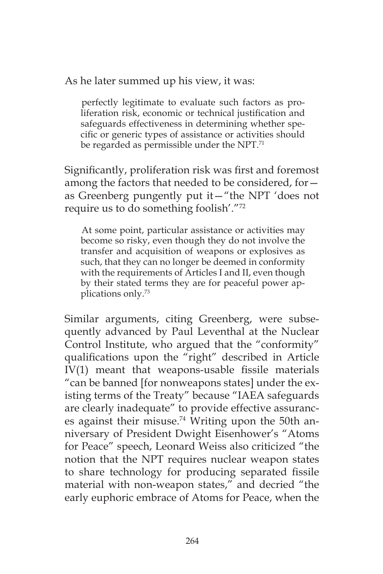As he later summed up his view, it was:

perfectly legitimate to evaluate such factors as proliferation risk, economic or technical justification and safeguards effectiveness in determining whether specific or generic types of assistance or activities should be regarded as permissible under the NPT.<sup>71</sup>

Significantly, proliferation risk was first and foremost among the factors that needed to be considered, for as Greenberg pungently put it—"the NPT 'does not require us to do something foolish'."72

At some point, particular assistance or activities may become so risky, even though they do not involve the transfer and acquisition of weapons or explosives as such, that they can no longer be deemed in conformity with the requirements of Articles I and II, even though by their stated terms they are for peaceful power applications only.73

Similar arguments, citing Greenberg, were subsequently advanced by Paul Leventhal at the Nuclear Control Institute, who argued that the "conformity" qualifications upon the "right" described in Article IV(1) meant that weapons-usable fissile materials "can be banned [for nonweapons states] under the existing terms of the Treaty" because "IAEA safeguards are clearly inadequate" to provide effective assurances against their misuse.<sup>74</sup> Writing upon the 50th anniversary of President Dwight Eisenhower's "Atoms for Peace" speech, Leonard Weiss also criticized "the notion that the NPT requires nuclear weapon states to share technology for producing separated fissile material with non-weapon states," and decried "the early euphoric embrace of Atoms for Peace, when the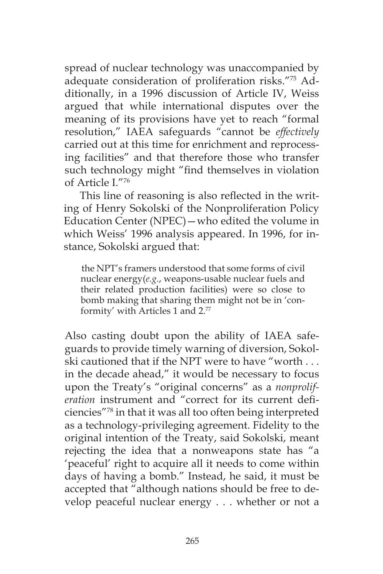spread of nuclear technology was unaccompanied by adequate consideration of proliferation risks."75 Additionally, in a 1996 discussion of Article IV, Weiss argued that while international disputes over the meaning of its provisions have yet to reach "formal resolution," IAEA safeguards "cannot be *effectively* carried out at this time for enrichment and reprocessing facilities" and that therefore those who transfer such technology might "find themselves in violation of Article I<sup>"76</sup>

This line of reasoning is also reflected in the writing of Henry Sokolski of the Nonproliferation Policy Education Center (NPEC)—who edited the volume in which Weiss' 1996 analysis appeared. In 1996, for instance, Sokolski argued that:

the NPT's framers understood that some forms of civil nuclear energy(*e.g*., weapons-usable nuclear fuels and their related production facilities) were so close to bomb making that sharing them might not be in 'conformity' with Articles 1 and 2.77

Also casting doubt upon the ability of IAEA safeguards to provide timely warning of diversion, Sokolski cautioned that if the NPT were to have "worth . . . in the decade ahead," it would be necessary to focus upon the Treaty's "original concerns" as a *nonproliferation* instrument and "correct for its current deficiencies"78 in that it was all too often being interpreted as a technology-privileging agreement. Fidelity to the original intention of the Treaty, said Sokolski, meant rejecting the idea that a nonweapons state has "a 'peaceful' right to acquire all it needs to come within days of having a bomb." Instead, he said, it must be accepted that "although nations should be free to develop peaceful nuclear energy . . . whether or not a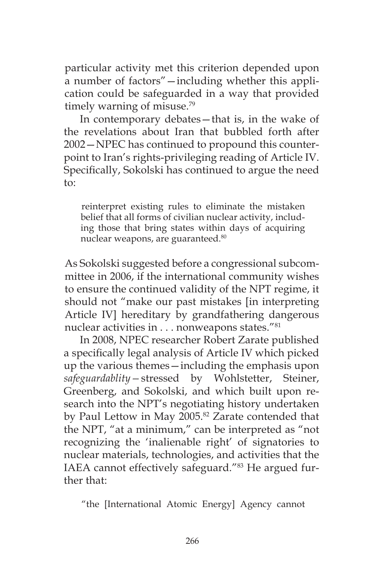particular activity met this criterion depended upon a number of factors"—including whether this application could be safeguarded in a way that provided timely warning of misuse.<sup>79</sup>

In contemporary debates—that is, in the wake of the revelations about Iran that bubbled forth after 2002—NPEC has continued to propound this counterpoint to Iran's rights-privileging reading of Article IV. Specifically, Sokolski has continued to argue the need to:

reinterpret existing rules to eliminate the mistaken belief that all forms of civilian nuclear activity, including those that bring states within days of acquiring nuclear weapons, are guaranteed.80

As Sokolski suggested before a congressional subcommittee in 2006, if the international community wishes to ensure the continued validity of the NPT regime, it should not "make our past mistakes [in interpreting Article IV] hereditary by grandfathering dangerous nuclear activities in . . . nonweapons states."81

In 2008, NPEC researcher Robert Zarate published a specifically legal analysis of Article IV which picked up the various themes—including the emphasis upon *safeguardablity—*stressed by Wohlstetter, Steiner, Greenberg, and Sokolski, and which built upon research into the NPT's negotiating history undertaken by Paul Lettow in May 2005.<sup>82</sup> Zarate contended that the NPT, "at a minimum," can be interpreted as "not recognizing the 'inalienable right' of signatories to nuclear materials, technologies, and activities that the IAEA cannot effectively safeguard."83 He argued further that:

"the [International Atomic Energy] Agency cannot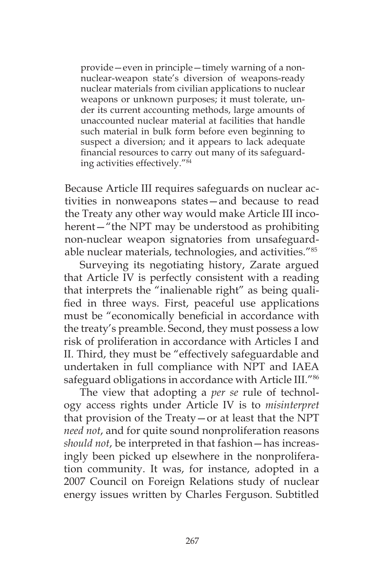provide—even in principle—timely warning of a nonnuclear-weapon state's diversion of weapons-ready nuclear materials from civilian applications to nuclear weapons or unknown purposes; it must tolerate, under its current accounting methods, large amounts of unaccounted nuclear material at facilities that handle such material in bulk form before even beginning to suspect a diversion; and it appears to lack adequate financial resources to carry out many of its safeguarding activities effectively."84

Because Article III requires safeguards on nuclear activities in nonweapons states—and because to read the Treaty any other way would make Article III incoherent—"the NPT may be understood as prohibiting non-nuclear weapon signatories from unsafeguardable nuclear materials, technologies, and activities."85

Surveying its negotiating history, Zarate argued that Article IV is perfectly consistent with a reading that interprets the "inalienable right" as being qualified in three ways. First, peaceful use applications must be "economically beneficial in accordance with the treaty's preamble. Second, they must possess a low risk of proliferation in accordance with Articles I and II. Third, they must be "effectively safeguardable and undertaken in full compliance with NPT and IAEA safeguard obligations in accordance with Article III."86

The view that adopting a *per se* rule of technology access rights under Article IV is to *misinterpret*  that provision of the Treaty—or at least that the NPT *need not*, and for quite sound nonproliferation reasons *should not*, be interpreted in that fashion—has increasingly been picked up elsewhere in the nonproliferation community. It was, for instance, adopted in a 2007 Council on Foreign Relations study of nuclear energy issues written by Charles Ferguson. Subtitled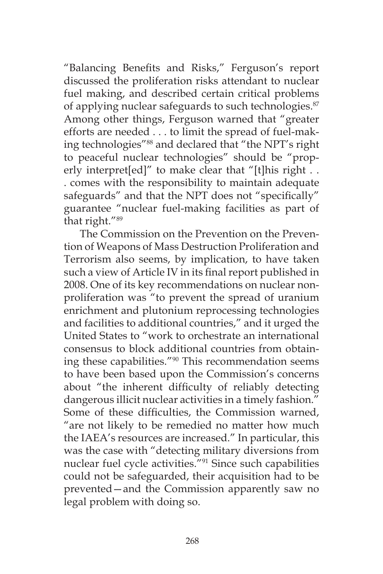"Balancing Benefits and Risks," Ferguson's report discussed the proliferation risks attendant to nuclear fuel making, and described certain critical problems of applying nuclear safeguards to such technologies.<sup>87</sup> Among other things, Ferguson warned that "greater efforts are needed . . . to limit the spread of fuel-making technologies"88 and declared that "the NPT's right to peaceful nuclear technologies" should be "properly interpret[ed]" to make clear that "[t]his right . . . comes with the responsibility to maintain adequate safeguards" and that the NPT does not "specifically" guarantee "nuclear fuel-making facilities as part of that right."89

The Commission on the Prevention on the Prevention of Weapons of Mass Destruction Proliferation and Terrorism also seems, by implication, to have taken such a view of Article IV in its final report published in 2008. One of its key recommendations on nuclear nonproliferation was "to prevent the spread of uranium enrichment and plutonium reprocessing technologies and facilities to additional countries," and it urged the United States to "work to orchestrate an international consensus to block additional countries from obtaining these capabilities."90 This recommendation seems to have been based upon the Commission's concerns about "the inherent difficulty of reliably detecting dangerous illicit nuclear activities in a timely fashion." Some of these difficulties, the Commission warned, "are not likely to be remedied no matter how much the IAEA's resources are increased." In particular, this was the case with "detecting military diversions from nuclear fuel cycle activities."91 Since such capabilities could not be safeguarded, their acquisition had to be prevented—and the Commission apparently saw no legal problem with doing so.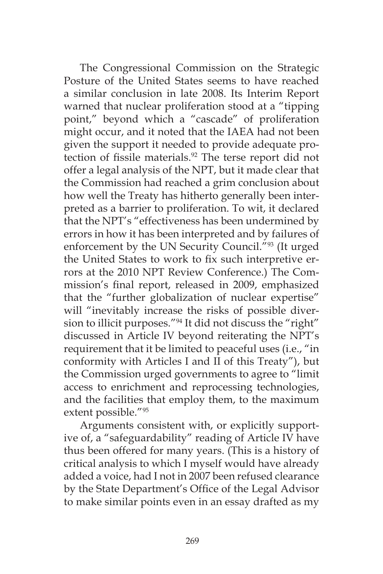The Congressional Commission on the Strategic Posture of the United States seems to have reached a similar conclusion in late 2008. Its Interim Report warned that nuclear proliferation stood at a "tipping point," beyond which a "cascade" of proliferation might occur, and it noted that the IAEA had not been given the support it needed to provide adequate protection of fissile materials.<sup>92</sup> The terse report did not offer a legal analysis of the NPT, but it made clear that the Commission had reached a grim conclusion about how well the Treaty has hitherto generally been interpreted as a barrier to proliferation. To wit, it declared that the NPT's "effectiveness has been undermined by errors in how it has been interpreted and by failures of enforcement by the UN Security Council."<sup>93</sup> (It urged the United States to work to fix such interpretive errors at the 2010 NPT Review Conference.) The Commission's final report, released in 2009, emphasized that the "further globalization of nuclear expertise" will "inevitably increase the risks of possible diversion to illicit purposes."94 It did not discuss the "right" discussed in Article IV beyond reiterating the NPT's requirement that it be limited to peaceful uses (i.e., "in conformity with Articles I and II of this Treaty"), but the Commission urged governments to agree to "limit access to enrichment and reprocessing technologies, and the facilities that employ them, to the maximum extent possible."95

Arguments consistent with, or explicitly supportive of, a "safeguardability" reading of Article IV have thus been offered for many years. (This is a history of critical analysis to which I myself would have already added a voice, had I not in 2007 been refused clearance by the State Department's Office of the Legal Advisor to make similar points even in an essay drafted as my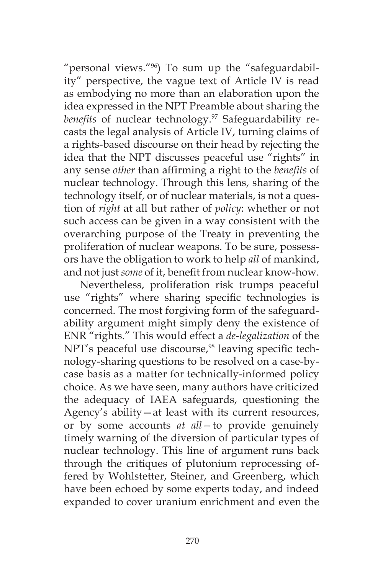"personal views."96) To sum up the "safeguardability" perspective, the vague text of Article IV is read as embodying no more than an elaboration upon the idea expressed in the NPT Preamble about sharing the benefits of nuclear technology.<sup>97</sup> Safeguardability recasts the legal analysis of Article IV, turning claims of a rights-based discourse on their head by rejecting the idea that the NPT discusses peaceful use "rights" in any sense *other* than affirming a right to the *benefits* of nuclear technology. Through this lens, sharing of the technology itself, or of nuclear materials, is not a question of *right* at all but rather of *policy*: whether or not such access can be given in a way consistent with the overarching purpose of the Treaty in preventing the proliferation of nuclear weapons. To be sure, possessors have the obligation to work to help *all* of mankind, and not just *some* of it, benefit from nuclear know-how.

Nevertheless, proliferation risk trumps peaceful use "rights" where sharing specific technologies is concerned. The most forgiving form of the safeguardability argument might simply deny the existence of ENR "rights." This would effect a *de-legalization* of the NPT's peaceful use discourse,<sup>98</sup> leaving specific technology-sharing questions to be resolved on a case-bycase basis as a matter for technically-informed policy choice. As we have seen, many authors have criticized the adequacy of IAEA safeguards, questioning the Agency's ability—at least with its current resources, or by some accounts *at all—*to provide genuinely timely warning of the diversion of particular types of nuclear technology. This line of argument runs back through the critiques of plutonium reprocessing offered by Wohlstetter, Steiner, and Greenberg, which have been echoed by some experts today, and indeed expanded to cover uranium enrichment and even the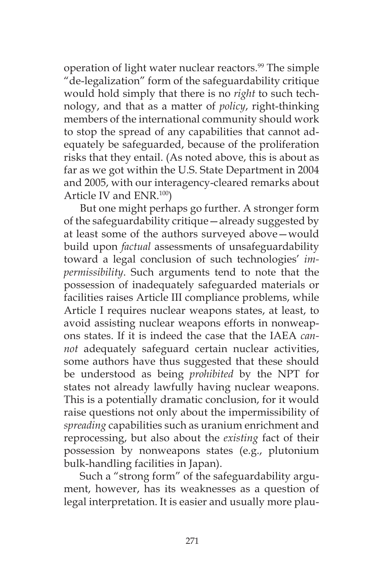operation of light water nuclear reactors.<sup>99</sup> The simple "de-legalization" form of the safeguardability critique would hold simply that there is no *right* to such technology, and that as a matter of *policy*, right-thinking members of the international community should work to stop the spread of any capabilities that cannot adequately be safeguarded, because of the proliferation risks that they entail. (As noted above, this is about as far as we got within the U.S. State Department in 2004 and 2005, with our interagency-cleared remarks about Article IV and ENR.100)

But one might perhaps go further. A stronger form of the safeguardability critique—already suggested by at least some of the authors surveyed above—would build upon *factual* assessments of unsafeguardability toward a legal conclusion of such technologies' *impermissibility*. Such arguments tend to note that the possession of inadequately safeguarded materials or facilities raises Article III compliance problems, while Article I requires nuclear weapons states, at least, to avoid assisting nuclear weapons efforts in nonweapons states. If it is indeed the case that the IAEA *cannot* adequately safeguard certain nuclear activities, some authors have thus suggested that these should be understood as being *prohibited* by the NPT for states not already lawfully having nuclear weapons. This is a potentially dramatic conclusion, for it would raise questions not only about the impermissibility of *spreading* capabilities such as uranium enrichment and reprocessing, but also about the *existing* fact of their possession by nonweapons states (e.g., plutonium bulk-handling facilities in Japan).

Such a "strong form" of the safeguardability argument, however, has its weaknesses as a question of legal interpretation. It is easier and usually more plau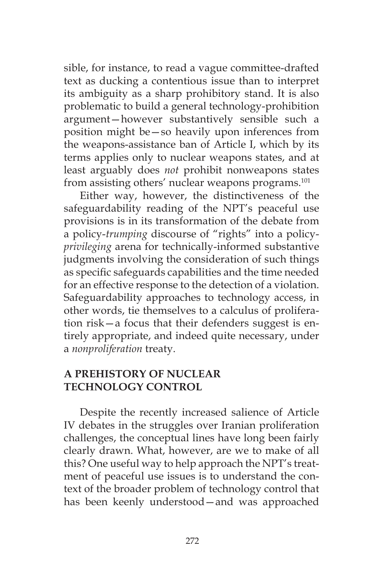sible, for instance, to read a vague committee-drafted text as ducking a contentious issue than to interpret its ambiguity as a sharp prohibitory stand. It is also problematic to build a general technology-prohibition argument—however substantively sensible such a position might be—so heavily upon inferences from the weapons-assistance ban of Article I, which by its terms applies only to nuclear weapons states, and at least arguably does *not* prohibit nonweapons states from assisting others' nuclear weapons programs.<sup>101</sup>

Either way, however, the distinctiveness of the safeguardability reading of the NPT's peaceful use provisions is in its transformation of the debate from a policy-*trumping* discourse of "rights" into a policy*privileging* arena for technically-informed substantive judgments involving the consideration of such things as specific safeguards capabilities and the time needed for an effective response to the detection of a violation. Safeguardability approaches to technology access, in other words, tie themselves to a calculus of proliferation risk—a focus that their defenders suggest is entirely appropriate, and indeed quite necessary, under a *nonproliferation* treaty.

# **A PREHISTORY OF NUCLEAR TECHNOLOGY CONTROL**

Despite the recently increased salience of Article IV debates in the struggles over Iranian proliferation challenges, the conceptual lines have long been fairly clearly drawn. What, however, are we to make of all this? One useful way to help approach the NPT's treatment of peaceful use issues is to understand the context of the broader problem of technology control that has been keenly understood—and was approached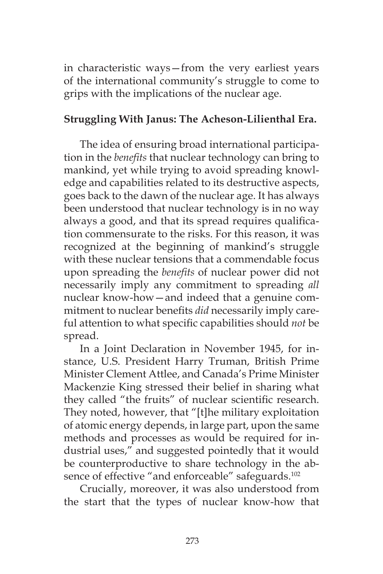in characteristic ways—from the very earliest years of the international community's struggle to come to grips with the implications of the nuclear age.

## **Struggling With Janus: The Acheson-Lilienthal Era.**

The idea of ensuring broad international participation in the *benefits* that nuclear technology can bring to mankind, yet while trying to avoid spreading knowledge and capabilities related to its destructive aspects, goes back to the dawn of the nuclear age. It has always been understood that nuclear technology is in no way always a good, and that its spread requires qualification commensurate to the risks. For this reason, it was recognized at the beginning of mankind's struggle with these nuclear tensions that a commendable focus upon spreading the *benefits* of nuclear power did not necessarily imply any commitment to spreading *all*  nuclear know-how—and indeed that a genuine commitment to nuclear benefits *did* necessarily imply careful attention to what specific capabilities should *not* be spread.

In a Joint Declaration in November 1945, for instance, U.S. President Harry Truman, British Prime Minister Clement Attlee, and Canada's Prime Minister Mackenzie King stressed their belief in sharing what they called "the fruits" of nuclear scientific research. They noted, however, that "[t]he military exploitation of atomic energy depends, in large part, upon the same methods and processes as would be required for industrial uses," and suggested pointedly that it would be counterproductive to share technology in the absence of effective "and enforceable" safeguards.<sup>102</sup>

Crucially, moreover, it was also understood from the start that the types of nuclear know-how that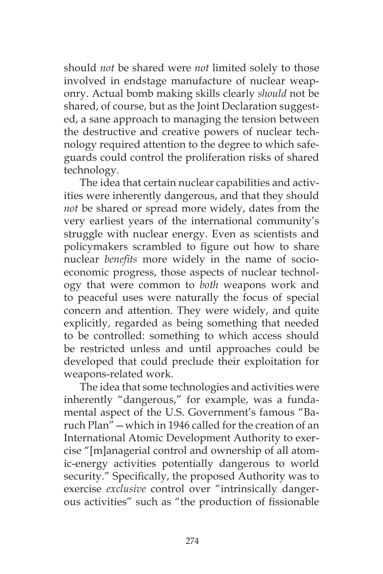should *not* be shared were *not* limited solely to those involved in endstage manufacture of nuclear weaponry. Actual bomb making skills clearly *should* not be shared, of course, but as the Joint Declaration suggested, a sane approach to managing the tension between the destructive and creative powers of nuclear technology required attention to the degree to which safeguards could control the proliferation risks of shared technology.

The idea that certain nuclear capabilities and activities were inherently dangerous, and that they should *not* be shared or spread more widely, dates from the very earliest years of the international community's struggle with nuclear energy. Even as scientists and policymakers scrambled to figure out how to share nuclear *benefits* more widely in the name of socioeconomic progress, those aspects of nuclear technology that were common to *both* weapons work and to peaceful uses were naturally the focus of special concern and attention. They were widely, and quite explicitly, regarded as being something that needed to be controlled: something to which access should be restricted unless and until approaches could be developed that could preclude their exploitation for weapons-related work.

The idea that some technologies and activities were inherently "dangerous," for example, was a fundamental aspect of the U.S. Government's famous "Baruch Plan"—which in 1946 called for the creation of an International Atomic Development Authority to exercise "[m]anagerial control and ownership of all atomic-energy activities potentially dangerous to world security." Specifically, the proposed Authority was to exercise *exclusive* control over "intrinsically dangerous activities" such as "the production of fissionable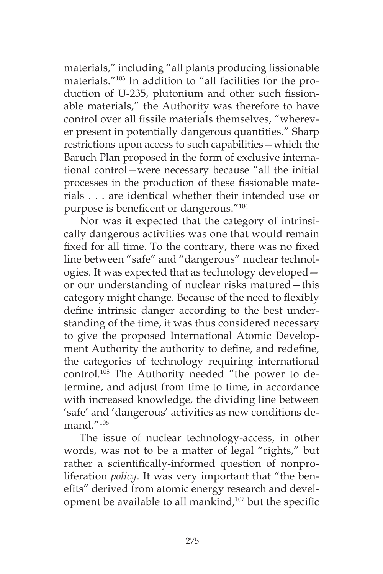materials," including "all plants producing fissionable materials."103 In addition to "all facilities for the production of U-235, plutonium and other such fissionable materials," the Authority was therefore to have control over all fissile materials themselves, "wherever present in potentially dangerous quantities." Sharp restrictions upon access to such capabilities—which the Baruch Plan proposed in the form of exclusive international control—were necessary because "all the initial processes in the production of these fissionable materials . . . are identical whether their intended use or purpose is beneficent or dangerous."104

Nor was it expected that the category of intrinsically dangerous activities was one that would remain fixed for all time. To the contrary, there was no fixed line between "safe" and "dangerous" nuclear technologies. It was expected that as technology developed or our understanding of nuclear risks matured—this category might change. Because of the need to flexibly define intrinsic danger according to the best understanding of the time, it was thus considered necessary to give the proposed International Atomic Development Authority the authority to define, and redefine, the categories of technology requiring international control.105 The Authority needed "the power to determine, and adjust from time to time, in accordance with increased knowledge, the dividing line between 'safe' and 'dangerous' activities as new conditions demand."106

The issue of nuclear technology-access, in other words, was not to be a matter of legal "rights," but rather a scientifically-informed question of nonproliferation *policy*. It was very important that "the benefits" derived from atomic energy research and development be available to all mankind,<sup>107</sup> but the specific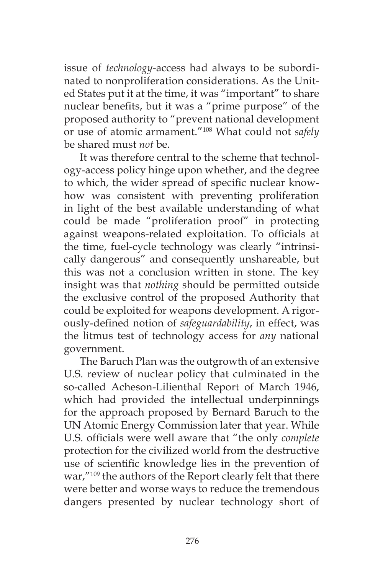issue of *technology*-access had always to be subordinated to nonproliferation considerations. As the United States put it at the time, it was "important" to share nuclear benefits, but it was a "prime purpose" of the proposed authority to "prevent national development or use of atomic armament."108 What could not *safely*  be shared must *not* be.

It was therefore central to the scheme that technology-access policy hinge upon whether, and the degree to which, the wider spread of specific nuclear knowhow was consistent with preventing proliferation in light of the best available understanding of what could be made "proliferation proof" in protecting against weapons-related exploitation. To officials at the time, fuel-cycle technology was clearly "intrinsically dangerous" and consequently unshareable, but this was not a conclusion written in stone. The key insight was that *nothing* should be permitted outside the exclusive control of the proposed Authority that could be exploited for weapons development. A rigorously-defined notion of *safeguardability*, in effect, was the litmus test of technology access for *any* national government.

The Baruch Plan was the outgrowth of an extensive U.S. review of nuclear policy that culminated in the so-called Acheson-Lilienthal Report of March 1946, which had provided the intellectual underpinnings for the approach proposed by Bernard Baruch to the UN Atomic Energy Commission later that year. While U.S. officials were well aware that "the only *complete*  protection for the civilized world from the destructive use of scientific knowledge lies in the prevention of war,"<sup>109</sup> the authors of the Report clearly felt that there were better and worse ways to reduce the tremendous dangers presented by nuclear technology short of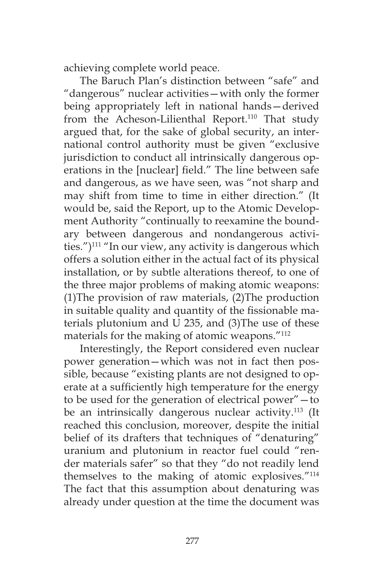achieving complete world peace.

The Baruch Plan's distinction between "safe" and "dangerous" nuclear activities—with only the former being appropriately left in national hands—derived from the Acheson-Lilienthal Report.<sup>110</sup> That study argued that, for the sake of global security, an international control authority must be given "exclusive jurisdiction to conduct all intrinsically dangerous operations in the [nuclear] field." The line between safe and dangerous, as we have seen, was "not sharp and may shift from time to time in either direction." (It would be, said the Report, up to the Atomic Development Authority "continually to reexamine the boundary between dangerous and nondangerous activities.") $^{111}$  "In our view, any activity is dangerous which offers a solution either in the actual fact of its physical installation, or by subtle alterations thereof, to one of the three major problems of making atomic weapons: (1)The provision of raw materials, (2)The production in suitable quality and quantity of the fissionable materials plutonium and U 235, and (3)The use of these materials for the making of atomic weapons."112

Interestingly, the Report considered even nuclear power generation—which was not in fact then possible, because "existing plants are not designed to operate at a sufficiently high temperature for the energy to be used for the generation of electrical power"—to be an intrinsically dangerous nuclear activity.<sup>113</sup> (It reached this conclusion, moreover, despite the initial belief of its drafters that techniques of "denaturing" uranium and plutonium in reactor fuel could "render materials safer" so that they "do not readily lend themselves to the making of atomic explosives."114 The fact that this assumption about denaturing was already under question at the time the document was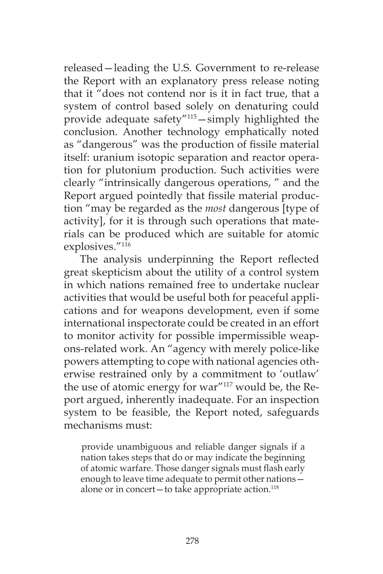released—leading the U.S. Government to re-release the Report with an explanatory press release noting that it "does not contend nor is it in fact true, that a system of control based solely on denaturing could provide adequate safety"115—simply highlighted the conclusion. Another technology emphatically noted as "dangerous" was the production of fissile material itself: uranium isotopic separation and reactor operation for plutonium production. Such activities were clearly "intrinsically dangerous operations, " and the Report argued pointedly that fissile material production "may be regarded as the *most* dangerous [type of activity], for it is through such operations that materials can be produced which are suitable for atomic explosives."<sup>116</sup>

The analysis underpinning the Report reflected great skepticism about the utility of a control system in which nations remained free to undertake nuclear activities that would be useful both for peaceful applications and for weapons development, even if some international inspectorate could be created in an effort to monitor activity for possible impermissible weapons-related work. An "agency with merely police-like powers attempting to cope with national agencies otherwise restrained only by a commitment to 'outlaw' the use of atomic energy for war"117 would be, the Report argued, inherently inadequate. For an inspection system to be feasible, the Report noted, safeguards mechanisms must:

provide unambiguous and reliable danger signals if a nation takes steps that do or may indicate the beginning of atomic warfare. Those danger signals must flash early enough to leave time adequate to permit other nations alone or in concert—to take appropriate action. $118$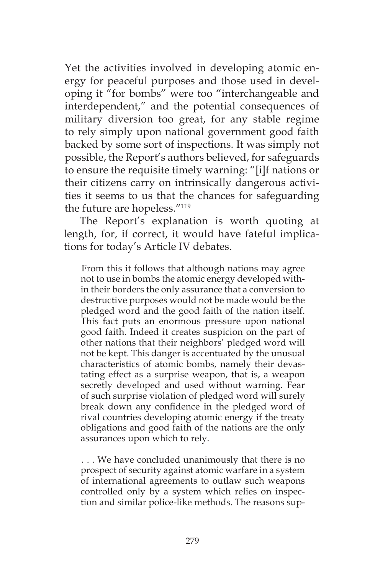Yet the activities involved in developing atomic energy for peaceful purposes and those used in developing it "for bombs" were too "interchangeable and interdependent," and the potential consequences of military diversion too great, for any stable regime to rely simply upon national government good faith backed by some sort of inspections. It was simply not possible, the Report's authors believed, for safeguards to ensure the requisite timely warning: "[i]f nations or their citizens carry on intrinsically dangerous activities it seems to us that the chances for safeguarding the future are hopeless."119

The Report's explanation is worth quoting at length, for, if correct, it would have fateful implications for today's Article IV debates.

From this it follows that although nations may agree not to use in bombs the atomic energy developed within their borders the only assurance that a conversion to destructive purposes would not be made would be the pledged word and the good faith of the nation itself. This fact puts an enormous pressure upon national good faith. Indeed it creates suspicion on the part of other nations that their neighbors' pledged word will not be kept. This danger is accentuated by the unusual characteristics of atomic bombs, namely their devastating effect as a surprise weapon, that is, a weapon secretly developed and used without warning. Fear of such surprise violation of pledged word will surely break down any confidence in the pledged word of rival countries developing atomic energy if the treaty obligations and good faith of the nations are the only assurances upon which to rely.

. . . We have concluded unanimously that there is no prospect of security against atomic warfare in a system of international agreements to outlaw such weapons controlled only by a system which relies on inspection and similar police-like methods. The reasons sup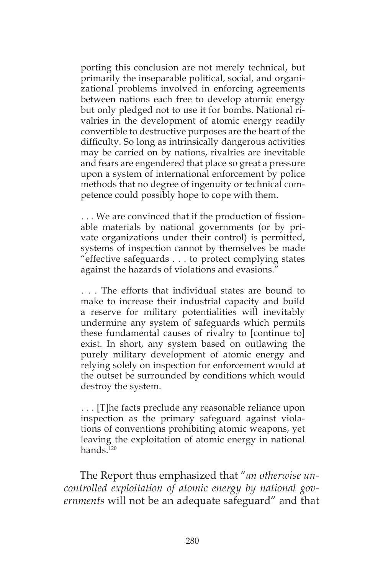porting this conclusion are not merely technical, but primarily the inseparable political, social, and organizational problems involved in enforcing agreements between nations each free to develop atomic energy but only pledged not to use it for bombs. National rivalries in the development of atomic energy readily convertible to destructive purposes are the heart of the difficulty. So long as intrinsically dangerous activities may be carried on by nations, rivalries are inevitable and fears are engendered that place so great a pressure upon a system of international enforcement by police methods that no degree of ingenuity or technical competence could possibly hope to cope with them.

. . . We are convinced that if the production of fissionable materials by national governments (or by private organizations under their control) is permitted, systems of inspection cannot by themselves be made "effective safeguards . . . to protect complying states against the hazards of violations and evasions."

. . . The efforts that individual states are bound to make to increase their industrial capacity and build a reserve for military potentialities will inevitably undermine any system of safeguards which permits these fundamental causes of rivalry to [continue to] exist. In short, any system based on outlawing the purely military development of atomic energy and relying solely on inspection for enforcement would at the outset be surrounded by conditions which would destroy the system.

. . . [T]he facts preclude any reasonable reliance upon inspection as the primary safeguard against violations of conventions prohibiting atomic weapons, yet leaving the exploitation of atomic energy in national hands<sup>120</sup>

The Report thus emphasized that "*an otherwise uncontrolled exploitation of atomic energy by national governments* will not be an adequate safeguard" and that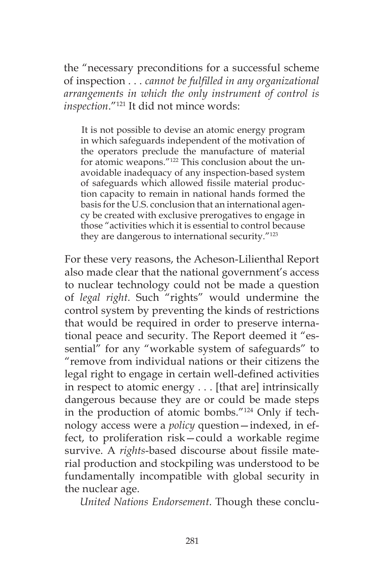the "necessary preconditions for a successful scheme of inspection . . . *cannot be fulfilled in any organizational arrangements in which the only instrument of control is inspection*."121 It did not mince words:

It is not possible to devise an atomic energy program in which safeguards independent of the motivation of the operators preclude the manufacture of material for atomic weapons."122 This conclusion about the unavoidable inadequacy of any inspection-based system of safeguards which allowed fissile material production capacity to remain in national hands formed the basis for the U.S. conclusion that an international agency be created with exclusive prerogatives to engage in those "activities which it is essential to control because they are dangerous to international security."123

For these very reasons, the Acheson-Lilienthal Report also made clear that the national government's access to nuclear technology could not be made a question of *legal right*. Such "rights" would undermine the control system by preventing the kinds of restrictions that would be required in order to preserve international peace and security. The Report deemed it "essential" for any "workable system of safeguards" to "remove from individual nations or their citizens the legal right to engage in certain well-defined activities in respect to atomic energy . . . [that are] intrinsically dangerous because they are or could be made steps in the production of atomic bombs."124 Only if technology access were a *policy* question—indexed, in effect, to proliferation risk—could a workable regime survive. A *rights*-based discourse about fissile material production and stockpiling was understood to be fundamentally incompatible with global security in the nuclear age.

*United Nations Endorsement*. Though these conclu-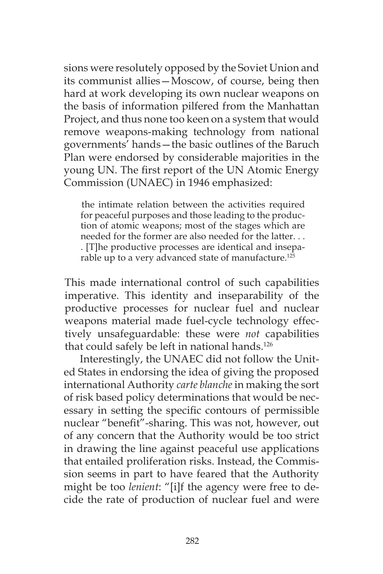sions were resolutely opposed by the Soviet Union and its communist allies—Moscow, of course, being then hard at work developing its own nuclear weapons on the basis of information pilfered from the Manhattan Project, and thus none too keen on a system that would remove weapons-making technology from national governments' hands—the basic outlines of the Baruch Plan were endorsed by considerable majorities in the young UN. The first report of the UN Atomic Energy Commission (UNAEC) in 1946 emphasized:

the intimate relation between the activities required for peaceful purposes and those leading to the production of atomic weapons; most of the stages which are needed for the former are also needed for the latter. . . . [T]he productive processes are identical and inseparable up to a very advanced state of manufacture.<sup>125</sup>

This made international control of such capabilities imperative. This identity and inseparability of the productive processes for nuclear fuel and nuclear weapons material made fuel-cycle technology effectively unsafeguardable: these were *not* capabilities that could safely be left in national hands.<sup>126</sup>

Interestingly, the UNAEC did not follow the United States in endorsing the idea of giving the proposed international Authority *carte blanche* in making the sort of risk based policy determinations that would be necessary in setting the specific contours of permissible nuclear "benefit"-sharing. This was not, however, out of any concern that the Authority would be too strict in drawing the line against peaceful use applications that entailed proliferation risks. Instead, the Commission seems in part to have feared that the Authority might be too *lenient*: "[i]f the agency were free to decide the rate of production of nuclear fuel and were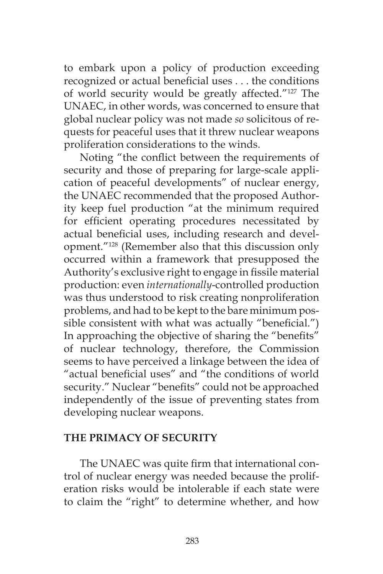to embark upon a policy of production exceeding recognized or actual beneficial uses . . . the conditions of world security would be greatly affected."127 The UNAEC, in other words, was concerned to ensure that global nuclear policy was not made *so* solicitous of requests for peaceful uses that it threw nuclear weapons proliferation considerations to the winds.

Noting "the conflict between the requirements of security and those of preparing for large-scale application of peaceful developments" of nuclear energy, the UNAEC recommended that the proposed Authority keep fuel production "at the minimum required for efficient operating procedures necessitated by actual beneficial uses, including research and development."128 (Remember also that this discussion only occurred within a framework that presupposed the Authority's exclusive right to engage in fissile material production: even *internationally*-controlled production was thus understood to risk creating nonproliferation problems, and had to be kept to the bare minimum possible consistent with what was actually "beneficial.") In approaching the objective of sharing the "benefits" of nuclear technology, therefore, the Commission seems to have perceived a linkage between the idea of "actual beneficial uses" and "the conditions of world security." Nuclear "benefits" could not be approached independently of the issue of preventing states from developing nuclear weapons.

#### **THE PRIMACY OF SECURITY**

The UNAEC was quite firm that international control of nuclear energy was needed because the proliferation risks would be intolerable if each state were to claim the "right" to determine whether, and how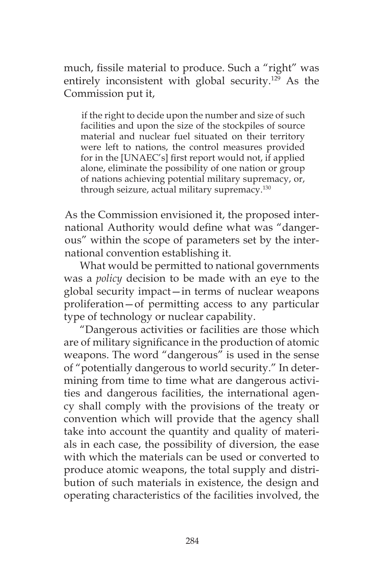much, fissile material to produce. Such a "right" was entirely inconsistent with global security.<sup>129</sup> As the Commission put it,

if the right to decide upon the number and size of such facilities and upon the size of the stockpiles of source material and nuclear fuel situated on their territory were left to nations, the control measures provided for in the [UNAEC's] first report would not, if applied alone, eliminate the possibility of one nation or group of nations achieving potential military supremacy, or, through seizure, actual military supremacy.130

As the Commission envisioned it, the proposed international Authority would define what was "dangerous" within the scope of parameters set by the international convention establishing it.

What would be permitted to national governments was a *policy* decision to be made with an eye to the global security impact—in terms of nuclear weapons proliferation—of permitting access to any particular type of technology or nuclear capability.

"Dangerous activities or facilities are those which are of military significance in the production of atomic weapons. The word "dangerous" is used in the sense of "potentially dangerous to world security." In determining from time to time what are dangerous activities and dangerous facilities, the international agency shall comply with the provisions of the treaty or convention which will provide that the agency shall take into account the quantity and quality of materials in each case, the possibility of diversion, the ease with which the materials can be used or converted to produce atomic weapons, the total supply and distribution of such materials in existence, the design and operating characteristics of the facilities involved, the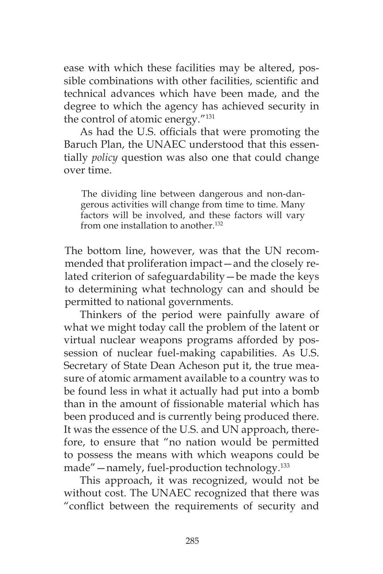ease with which these facilities may be altered, possible combinations with other facilities, scientific and technical advances which have been made, and the degree to which the agency has achieved security in the control of atomic energy."131

As had the U.S. officials that were promoting the Baruch Plan, the UNAEC understood that this essentially *policy* question was also one that could change over time.

The dividing line between dangerous and non-dangerous activities will change from time to time. Many factors will be involved, and these factors will vary from one installation to another.<sup>132</sup>

The bottom line, however, was that the UN recommended that proliferation impact—and the closely related criterion of safeguardability—be made the keys to determining what technology can and should be permitted to national governments.

Thinkers of the period were painfully aware of what we might today call the problem of the latent or virtual nuclear weapons programs afforded by possession of nuclear fuel-making capabilities. As U.S. Secretary of State Dean Acheson put it, the true measure of atomic armament available to a country was to be found less in what it actually had put into a bomb than in the amount of fissionable material which has been produced and is currently being produced there. It was the essence of the U.S. and UN approach, therefore, to ensure that "no nation would be permitted to possess the means with which weapons could be made"—namely, fuel-production technology.133

This approach, it was recognized, would not be without cost. The UNAEC recognized that there was "conflict between the requirements of security and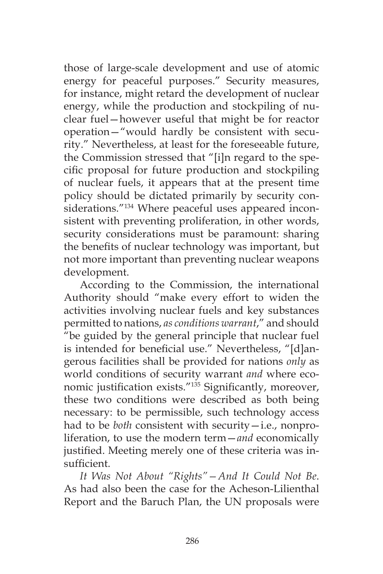those of large-scale development and use of atomic energy for peaceful purposes." Security measures, for instance, might retard the development of nuclear energy, while the production and stockpiling of nuclear fuel—however useful that might be for reactor operation—"would hardly be consistent with security." Nevertheless, at least for the foreseeable future, the Commission stressed that "[i]n regard to the specific proposal for future production and stockpiling of nuclear fuels, it appears that at the present time policy should be dictated primarily by security considerations."134 Where peaceful uses appeared inconsistent with preventing proliferation, in other words, security considerations must be paramount: sharing the benefits of nuclear technology was important, but not more important than preventing nuclear weapons development.

According to the Commission, the international Authority should "make every effort to widen the activities involving nuclear fuels and key substances permitted to nations, *as conditions warrant*," and should "be guided by the general principle that nuclear fuel is intended for beneficial use." Nevertheless, "[d]angerous facilities shall be provided for nations *only* as world conditions of security warrant *and* where economic justification exists."<sup>135</sup> Significantly, moreover, these two conditions were described as both being necessary: to be permissible, such technology access had to be *both* consistent with security—i.e., nonproliferation, to use the modern term—*and* economically justified. Meeting merely one of these criteria was insufficient.

*It Was Not About "Rights"—And It Could Not Be*. As had also been the case for the Acheson-Lilienthal Report and the Baruch Plan, the UN proposals were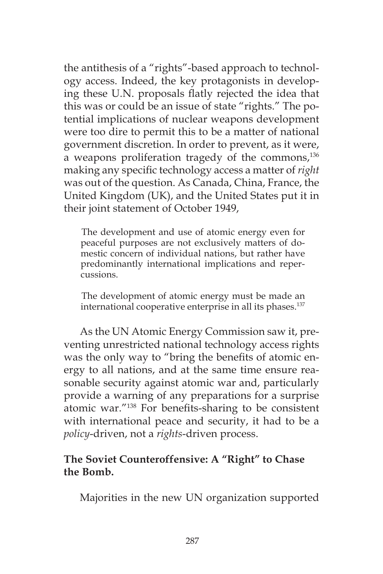the antithesis of a "rights"-based approach to technology access. Indeed, the key protagonists in developing these U.N. proposals flatly rejected the idea that this was or could be an issue of state "rights." The potential implications of nuclear weapons development were too dire to permit this to be a matter of national government discretion. In order to prevent, as it were, a weapons proliferation tragedy of the commons,<sup>136</sup> making any specific technology access a matter of *right*  was out of the question. As Canada, China, France, the United Kingdom (UK), and the United States put it in their joint statement of October 1949,

The development and use of atomic energy even for peaceful purposes are not exclusively matters of domestic concern of individual nations, but rather have predominantly international implications and repercussions.

The development of atomic energy must be made an international cooperative enterprise in all its phases.<sup>137</sup>

As the UN Atomic Energy Commission saw it, preventing unrestricted national technology access rights was the only way to "bring the benefits of atomic energy to all nations, and at the same time ensure reasonable security against atomic war and, particularly provide a warning of any preparations for a surprise atomic war."138 For benefits-sharing to be consistent with international peace and security, it had to be a *policy*-driven, not a *rights*-driven process.

# **The Soviet Counteroffensive: A "Right" to Chase the Bomb.**

Majorities in the new UN organization supported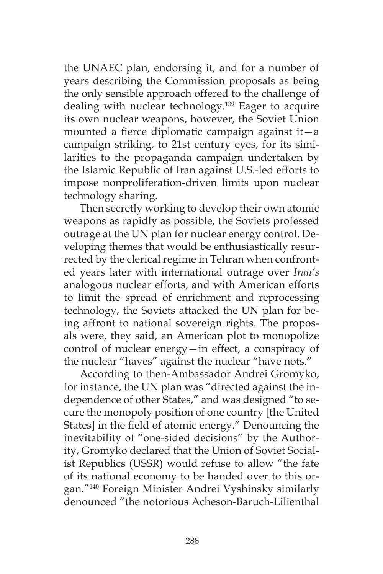the UNAEC plan, endorsing it, and for a number of years describing the Commission proposals as being the only sensible approach offered to the challenge of dealing with nuclear technology.139 Eager to acquire its own nuclear weapons, however, the Soviet Union mounted a fierce diplomatic campaign against it—a campaign striking, to 21st century eyes, for its similarities to the propaganda campaign undertaken by the Islamic Republic of Iran against U.S.-led efforts to impose nonproliferation-driven limits upon nuclear technology sharing.

Then secretly working to develop their own atomic weapons as rapidly as possible, the Soviets professed outrage at the UN plan for nuclear energy control. Developing themes that would be enthusiastically resurrected by the clerical regime in Tehran when confronted years later with international outrage over *Iran's*  analogous nuclear efforts, and with American efforts to limit the spread of enrichment and reprocessing technology, the Soviets attacked the UN plan for being affront to national sovereign rights. The proposals were, they said, an American plot to monopolize control of nuclear energy—in effect, a conspiracy of the nuclear "haves" against the nuclear "have nots."

According to then-Ambassador Andrei Gromyko, for instance, the UN plan was "directed against the independence of other States," and was designed "to secure the monopoly position of one country [the United States] in the field of atomic energy." Denouncing the inevitability of "one-sided decisions" by the Authority, Gromyko declared that the Union of Soviet Socialist Republics (USSR) would refuse to allow "the fate of its national economy to be handed over to this organ."140 Foreign Minister Andrei Vyshinsky similarly denounced "the notorious Acheson-Baruch-Lilienthal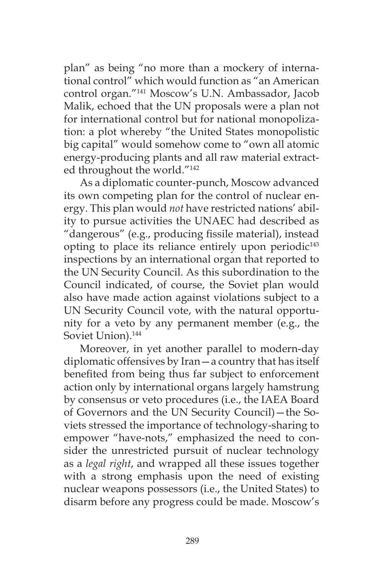plan" as being "no more than a mockery of international control" which would function as "an American control organ."141 Moscow's U.N. Ambassador, Jacob Malik, echoed that the UN proposals were a plan not for international control but for national monopolization: a plot whereby "the United States monopolistic big capital" would somehow come to "own all atomic energy-producing plants and all raw material extracted throughout the world."142

As a diplomatic counter-punch, Moscow advanced its own competing plan for the control of nuclear energy. This plan would *not* have restricted nations' ability to pursue activities the UNAEC had described as "dangerous" (e.g., producing fissile material), instead opting to place its reliance entirely upon periodic $143$ inspections by an international organ that reported to the UN Security Council. As this subordination to the Council indicated, of course, the Soviet plan would also have made action against violations subject to a UN Security Council vote, with the natural opportunity for a veto by any permanent member (e.g., the Soviet Union).<sup>144</sup>

Moreover, in yet another parallel to modern-day diplomatic offensives by Iran—a country that has itself benefited from being thus far subject to enforcement action only by international organs largely hamstrung by consensus or veto procedures (i.e., the IAEA Board of Governors and the UN Security Council)—the Soviets stressed the importance of technology-sharing to empower "have-nots," emphasized the need to consider the unrestricted pursuit of nuclear technology as a *legal right*, and wrapped all these issues together with a strong emphasis upon the need of existing nuclear weapons possessors (i.e., the United States) to disarm before any progress could be made. Moscow's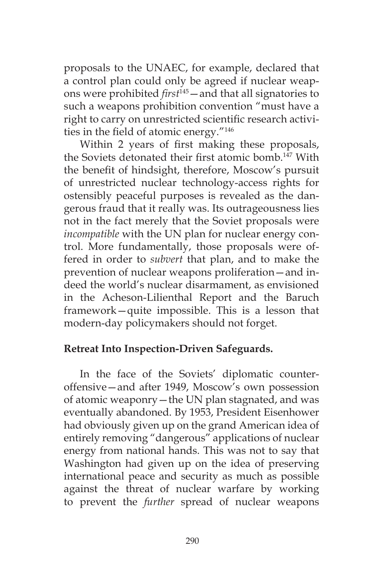proposals to the UNAEC, for example, declared that a control plan could only be agreed if nuclear weapons were prohibited *first*145—and that all signatories to such a weapons prohibition convention "must have a right to carry on unrestricted scientific research activities in the field of atomic energy."146

Within 2 years of first making these proposals, the Soviets detonated their first atomic bomb.<sup>147</sup> With the benefit of hindsight, therefore, Moscow's pursuit of unrestricted nuclear technology-access rights for ostensibly peaceful purposes is revealed as the dangerous fraud that it really was. Its outrageousness lies not in the fact merely that the Soviet proposals were *incompatible* with the UN plan for nuclear energy control. More fundamentally, those proposals were offered in order to *subvert* that plan, and to make the prevention of nuclear weapons proliferation—and indeed the world's nuclear disarmament, as envisioned in the Acheson-Lilienthal Report and the Baruch framework—quite impossible. This is a lesson that modern-day policymakers should not forget.

#### **Retreat Into Inspection-Driven Safeguards.**

In the face of the Soviets' diplomatic counteroffensive—and after 1949, Moscow's own possession of atomic weaponry—the UN plan stagnated, and was eventually abandoned. By 1953, President Eisenhower had obviously given up on the grand American idea of entirely removing "dangerous" applications of nuclear energy from national hands. This was not to say that Washington had given up on the idea of preserving international peace and security as much as possible against the threat of nuclear warfare by working to prevent the *further* spread of nuclear weapons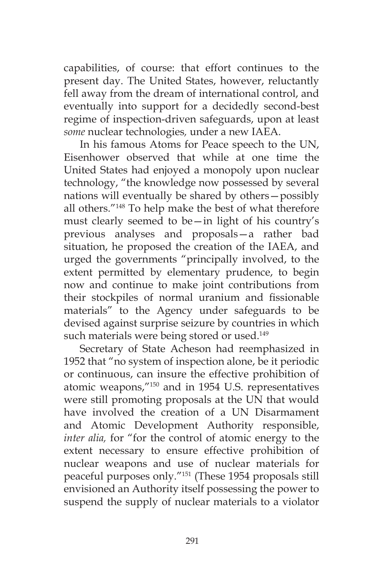capabilities, of course: that effort continues to the present day. The United States, however, reluctantly fell away from the dream of international control, and eventually into support for a decidedly second-best regime of inspection-driven safeguards, upon at least *some* nuclear technologies*,* under a new IAEA.

In his famous Atoms for Peace speech to the UN, Eisenhower observed that while at one time the United States had enjoyed a monopoly upon nuclear technology, "the knowledge now possessed by several nations will eventually be shared by others—possibly all others."148 To help make the best of what therefore must clearly seemed to be—in light of his country's previous analyses and proposals—a rather bad situation, he proposed the creation of the IAEA, and urged the governments "principally involved, to the extent permitted by elementary prudence, to begin now and continue to make joint contributions from their stockpiles of normal uranium and fissionable materials" to the Agency under safeguards to be devised against surprise seizure by countries in which such materials were being stored or used.<sup>149</sup>

Secretary of State Acheson had reemphasized in 1952 that "no system of inspection alone, be it periodic or continuous, can insure the effective prohibition of atomic weapons,"150 and in 1954 U.S. representatives were still promoting proposals at the UN that would have involved the creation of a UN Disarmament and Atomic Development Authority responsible, *inter alia,* for "for the control of atomic energy to the extent necessary to ensure effective prohibition of nuclear weapons and use of nuclear materials for peaceful purposes only."151 (These 1954 proposals still envisioned an Authority itself possessing the power to suspend the supply of nuclear materials to a violator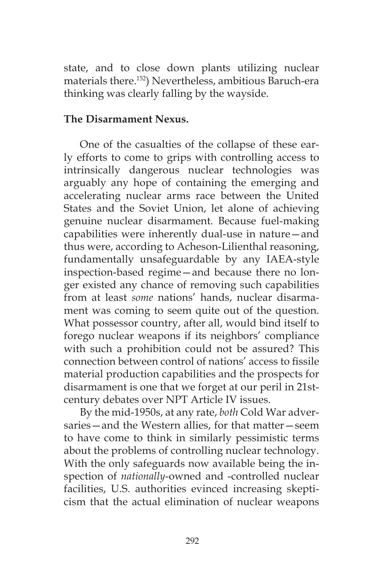state, and to close down plants utilizing nuclear materials there.152) Nevertheless, ambitious Baruch-era thinking was clearly falling by the wayside.

#### **The Disarmament Nexus.**

One of the casualties of the collapse of these early efforts to come to grips with controlling access to intrinsically dangerous nuclear technologies was arguably any hope of containing the emerging and accelerating nuclear arms race between the United States and the Soviet Union, let alone of achieving genuine nuclear disarmament. Because fuel-making capabilities were inherently dual-use in nature—and thus were, according to Acheson-Lilienthal reasoning, fundamentally unsafeguardable by any IAEA-style inspection-based regime—and because there no longer existed any chance of removing such capabilities from at least *some* nations' hands, nuclear disarmament was coming to seem quite out of the question. What possessor country, after all, would bind itself to forego nuclear weapons if its neighbors' compliance with such a prohibition could not be assured? This connection between control of nations' access to fissile material production capabilities and the prospects for disarmament is one that we forget at our peril in 21stcentury debates over NPT Article IV issues.

By the mid-1950s, at any rate, *both* Cold War adversaries—and the Western allies, for that matter—seem to have come to think in similarly pessimistic terms about the problems of controlling nuclear technology. With the only safeguards now available being the inspection of *nationally*-owned and -controlled nuclear facilities, U.S. authorities evinced increasing skepticism that the actual elimination of nuclear weapons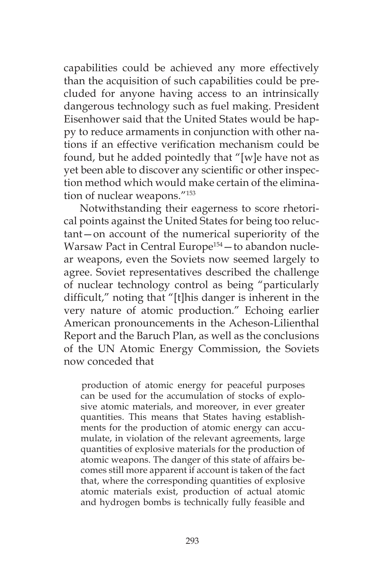capabilities could be achieved any more effectively than the acquisition of such capabilities could be precluded for anyone having access to an intrinsically dangerous technology such as fuel making. President Eisenhower said that the United States would be happy to reduce armaments in conjunction with other nations if an effective verification mechanism could be found, but he added pointedly that "[w]e have not as yet been able to discover any scientific or other inspection method which would make certain of the elimination of nuclear weapons."153

Notwithstanding their eagerness to score rhetorical points against the United States for being too reluctant—on account of the numerical superiority of the Warsaw Pact in Central Europe<sup>154</sup> - to abandon nuclear weapons, even the Soviets now seemed largely to agree. Soviet representatives described the challenge of nuclear technology control as being "particularly difficult," noting that "[t]his danger is inherent in the very nature of atomic production." Echoing earlier American pronouncements in the Acheson-Lilienthal Report and the Baruch Plan, as well as the conclusions of the UN Atomic Energy Commission, the Soviets now conceded that

production of atomic energy for peaceful purposes can be used for the accumulation of stocks of explosive atomic materials, and moreover, in ever greater quantities. This means that States having establishments for the production of atomic energy can accumulate, in violation of the relevant agreements, large quantities of explosive materials for the production of atomic weapons. The danger of this state of affairs becomes still more apparent if account is taken of the fact that, where the corresponding quantities of explosive atomic materials exist, production of actual atomic and hydrogen bombs is technically fully feasible and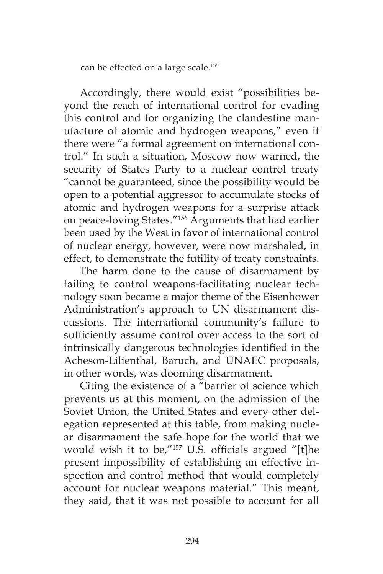can be effected on a large scale.155

Accordingly, there would exist "possibilities beyond the reach of international control for evading this control and for organizing the clandestine manufacture of atomic and hydrogen weapons," even if there were "a formal agreement on international control." In such a situation, Moscow now warned, the security of States Party to a nuclear control treaty "cannot be guaranteed, since the possibility would be open to a potential aggressor to accumulate stocks of atomic and hydrogen weapons for a surprise attack on peace-loving States."156 Arguments that had earlier been used by the West in favor of international control of nuclear energy, however, were now marshaled, in effect, to demonstrate the futility of treaty constraints.

The harm done to the cause of disarmament by failing to control weapons-facilitating nuclear technology soon became a major theme of the Eisenhower Administration's approach to UN disarmament discussions. The international community's failure to sufficiently assume control over access to the sort of intrinsically dangerous technologies identified in the Acheson-Lilienthal, Baruch, and UNAEC proposals, in other words, was dooming disarmament.

Citing the existence of a "barrier of science which prevents us at this moment, on the admission of the Soviet Union, the United States and every other delegation represented at this table, from making nuclear disarmament the safe hope for the world that we would wish it to be,"157 U.S. officials argued "[t]he present impossibility of establishing an effective inspection and control method that would completely account for nuclear weapons material." This meant, they said, that it was not possible to account for all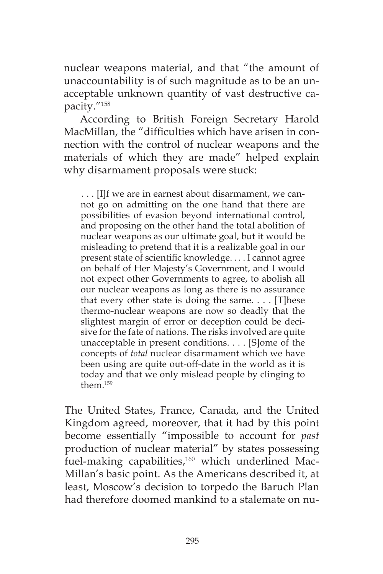nuclear weapons material, and that "the amount of unaccountability is of such magnitude as to be an unacceptable unknown quantity of vast destructive capacity."158

According to British Foreign Secretary Harold MacMillan, the "difficulties which have arisen in connection with the control of nuclear weapons and the materials of which they are made" helped explain why disarmament proposals were stuck:

. . . [I]f we are in earnest about disarmament, we cannot go on admitting on the one hand that there are possibilities of evasion beyond international control, and proposing on the other hand the total abolition of nuclear weapons as our ultimate goal, but it would be misleading to pretend that it is a realizable goal in our present state of scientific knowledge. . . . I cannot agree on behalf of Her Majesty's Government, and I would not expect other Governments to agree, to abolish all our nuclear weapons as long as there is no assurance that every other state is doing the same. . . . [T]hese thermo-nuclear weapons are now so deadly that the slightest margin of error or deception could be decisive for the fate of nations. The risks involved are quite unacceptable in present conditions. . . . [S]ome of the concepts of *total* nuclear disarmament which we have been using are quite out-off-date in the world as it is today and that we only mislead people by clinging to them $159$ 

The United States, France, Canada, and the United Kingdom agreed, moreover, that it had by this point become essentially "impossible to account for *past*  production of nuclear material" by states possessing fuel-making capabilities,<sup>160</sup> which underlined Mac-Millan's basic point. As the Americans described it, at least, Moscow's decision to torpedo the Baruch Plan had therefore doomed mankind to a stalemate on nu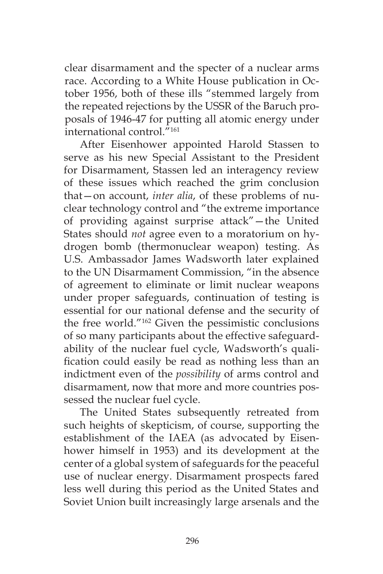clear disarmament and the specter of a nuclear arms race. According to a White House publication in October 1956, both of these ills "stemmed largely from the repeated rejections by the USSR of the Baruch proposals of 1946-47 for putting all atomic energy under international control."161

After Eisenhower appointed Harold Stassen to serve as his new Special Assistant to the President for Disarmament, Stassen led an interagency review of these issues which reached the grim conclusion that—on account, *inter alia*, of these problems of nuclear technology control and "the extreme importance of providing against surprise attack"—the United States should *not* agree even to a moratorium on hydrogen bomb (thermonuclear weapon) testing. As U.S. Ambassador James Wadsworth later explained to the UN Disarmament Commission, "in the absence of agreement to eliminate or limit nuclear weapons under proper safeguards, continuation of testing is essential for our national defense and the security of the free world."162 Given the pessimistic conclusions of so many participants about the effective safeguardability of the nuclear fuel cycle, Wadsworth's qualification could easily be read as nothing less than an indictment even of the *possibility* of arms control and disarmament, now that more and more countries possessed the nuclear fuel cycle.

The United States subsequently retreated from such heights of skepticism, of course, supporting the establishment of the IAEA (as advocated by Eisenhower himself in 1953) and its development at the center of a global system of safeguards for the peaceful use of nuclear energy. Disarmament prospects fared less well during this period as the United States and Soviet Union built increasingly large arsenals and the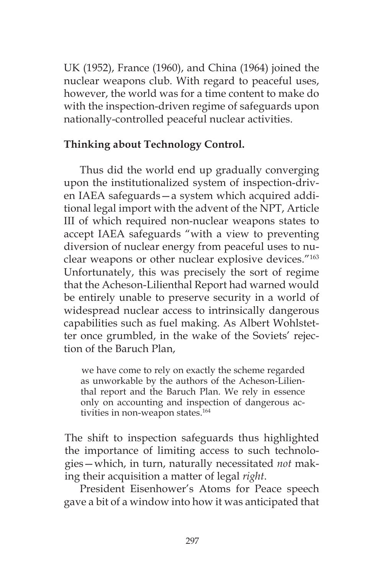UK (1952), France (1960), and China (1964) joined the nuclear weapons club. With regard to peaceful uses, however, the world was for a time content to make do with the inspection-driven regime of safeguards upon nationally-controlled peaceful nuclear activities.

## **Thinking about Technology Control.**

Thus did the world end up gradually converging upon the institutionalized system of inspection-driven IAEA safeguards—a system which acquired additional legal import with the advent of the NPT, Article III of which required non-nuclear weapons states to accept IAEA safeguards "with a view to preventing diversion of nuclear energy from peaceful uses to nuclear weapons or other nuclear explosive devices."163 Unfortunately, this was precisely the sort of regime that the Acheson-Lilienthal Report had warned would be entirely unable to preserve security in a world of widespread nuclear access to intrinsically dangerous capabilities such as fuel making. As Albert Wohlstetter once grumbled, in the wake of the Soviets' rejection of the Baruch Plan,

we have come to rely on exactly the scheme regarded as unworkable by the authors of the Acheson-Lilienthal report and the Baruch Plan. We rely in essence only on accounting and inspection of dangerous activities in non-weapon states.<sup>164</sup>

The shift to inspection safeguards thus highlighted the importance of limiting access to such technologies—which, in turn, naturally necessitated *not* making their acquisition a matter of legal *right*.

President Eisenhower's Atoms for Peace speech gave a bit of a window into how it was anticipated that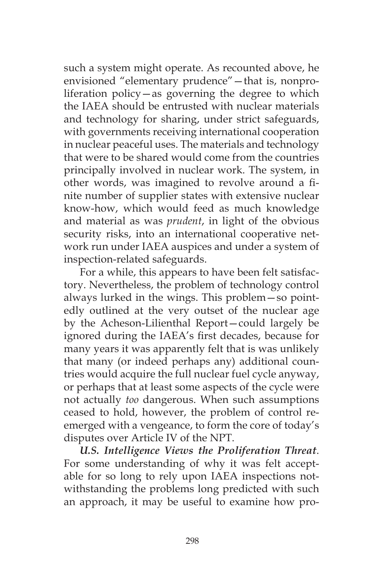such a system might operate. As recounted above, he envisioned "elementary prudence"—that is, nonproliferation policy—as governing the degree to which the IAEA should be entrusted with nuclear materials and technology for sharing, under strict safeguards, with governments receiving international cooperation in nuclear peaceful uses. The materials and technology that were to be shared would come from the countries principally involved in nuclear work. The system, in other words, was imagined to revolve around a finite number of supplier states with extensive nuclear know-how, which would feed as much knowledge and material as was *prudent*, in light of the obvious security risks, into an international cooperative network run under IAEA auspices and under a system of inspection-related safeguards.

For a while, this appears to have been felt satisfactory. Nevertheless, the problem of technology control always lurked in the wings. This problem—so pointedly outlined at the very outset of the nuclear age by the Acheson-Lilienthal Report—could largely be ignored during the IAEA's first decades, because for many years it was apparently felt that is was unlikely that many (or indeed perhaps any) additional countries would acquire the full nuclear fuel cycle anyway, or perhaps that at least some aspects of the cycle were not actually *too* dangerous. When such assumptions ceased to hold, however, the problem of control reemerged with a vengeance, to form the core of today's disputes over Article IV of the NPT.

*U.S. Intelligence Views the Proliferation Threat*. For some understanding of why it was felt acceptable for so long to rely upon IAEA inspections notwithstanding the problems long predicted with such an approach, it may be useful to examine how pro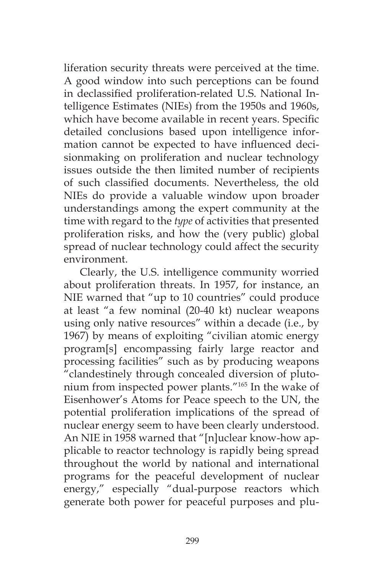liferation security threats were perceived at the time. A good window into such perceptions can be found in declassified proliferation-related U.S. National Intelligence Estimates (NIEs) from the 1950s and 1960s, which have become available in recent years. Specific detailed conclusions based upon intelligence information cannot be expected to have influenced decisionmaking on proliferation and nuclear technology issues outside the then limited number of recipients of such classified documents. Nevertheless, the old NIEs do provide a valuable window upon broader understandings among the expert community at the time with regard to the *type* of activities that presented proliferation risks, and how the (very public) global spread of nuclear technology could affect the security environment.

Clearly, the U.S. intelligence community worried about proliferation threats. In 1957, for instance, an NIE warned that "up to 10 countries" could produce at least "a few nominal (20-40 kt) nuclear weapons using only native resources" within a decade (i.e., by 1967) by means of exploiting "civilian atomic energy program[s] encompassing fairly large reactor and processing facilities" such as by producing weapons "clandestinely through concealed diversion of plutonium from inspected power plants."165 In the wake of Eisenhower's Atoms for Peace speech to the UN, the potential proliferation implications of the spread of nuclear energy seem to have been clearly understood. An NIE in 1958 warned that "[n]uclear know-how applicable to reactor technology is rapidly being spread throughout the world by national and international programs for the peaceful development of nuclear energy," especially "dual-purpose reactors which generate both power for peaceful purposes and plu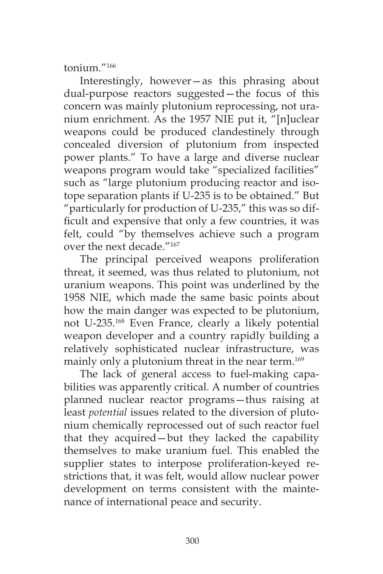tonium."166

Interestingly, however—as this phrasing about dual-purpose reactors suggested—the focus of this concern was mainly plutonium reprocessing, not uranium enrichment. As the 1957 NIE put it, "[n]uclear weapons could be produced clandestinely through concealed diversion of plutonium from inspected power plants." To have a large and diverse nuclear weapons program would take "specialized facilities" such as "large plutonium producing reactor and isotope separation plants if U-235 is to be obtained." But "particularly for production of U-235," this was so difficult and expensive that only a few countries, it was felt, could "by themselves achieve such a program over the next decade "167

The principal perceived weapons proliferation threat, it seemed, was thus related to plutonium, not uranium weapons. This point was underlined by the 1958 NIE, which made the same basic points about how the main danger was expected to be plutonium, not U-235.168 Even France, clearly a likely potential weapon developer and a country rapidly building a relatively sophisticated nuclear infrastructure, was mainly only a plutonium threat in the near term.<sup>169</sup>

The lack of general access to fuel-making capabilities was apparently critical. A number of countries planned nuclear reactor programs—thus raising at least *potential* issues related to the diversion of plutonium chemically reprocessed out of such reactor fuel that they acquired—but they lacked the capability themselves to make uranium fuel. This enabled the supplier states to interpose proliferation-keyed restrictions that, it was felt, would allow nuclear power development on terms consistent with the maintenance of international peace and security.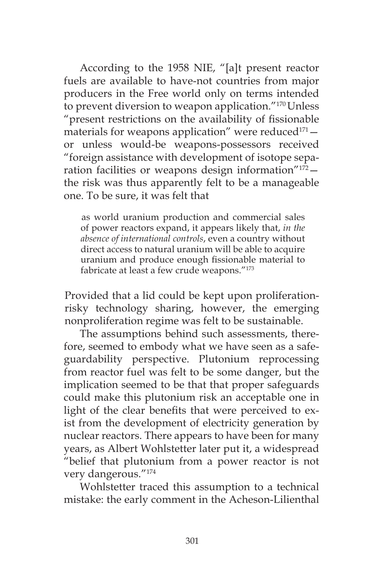According to the 1958 NIE, "[a]t present reactor fuels are available to have-not countries from major producers in the Free world only on terms intended to prevent diversion to weapon application."170 Unless "present restrictions on the availability of fissionable materials for weapons application" were reduced $171$ or unless would-be weapons-possessors received "foreign assistance with development of isotope separation facilities or weapons design information $\frac{n_{172}}{n}$ the risk was thus apparently felt to be a manageable one. To be sure, it was felt that

as world uranium production and commercial sales of power reactors expand, it appears likely that, *in the absence of international controls*, even a country without direct access to natural uranium will be able to acquire uranium and produce enough fissionable material to fabricate at least a few crude weapons."173

Provided that a lid could be kept upon proliferationrisky technology sharing, however, the emerging nonproliferation regime was felt to be sustainable.

The assumptions behind such assessments, therefore, seemed to embody what we have seen as a safeguardability perspective. Plutonium reprocessing from reactor fuel was felt to be some danger, but the implication seemed to be that that proper safeguards could make this plutonium risk an acceptable one in light of the clear benefits that were perceived to exist from the development of electricity generation by nuclear reactors. There appears to have been for many years, as Albert Wohlstetter later put it, a widespread "belief that plutonium from a power reactor is not very dangerous."174

Wohlstetter traced this assumption to a technical mistake: the early comment in the Acheson-Lilienthal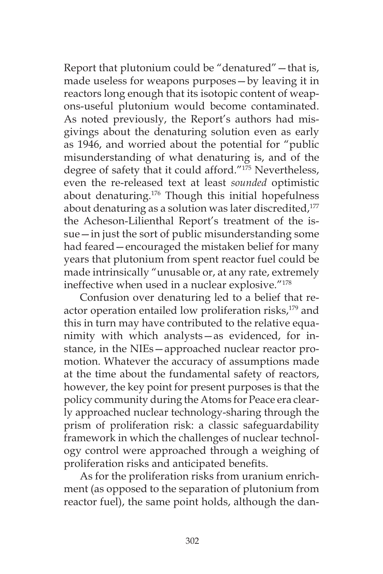Report that plutonium could be "denatured"—that is, made useless for weapons purposes—by leaving it in reactors long enough that its isotopic content of weapons-useful plutonium would become contaminated. As noted previously, the Report's authors had misgivings about the denaturing solution even as early as 1946, and worried about the potential for "public misunderstanding of what denaturing is, and of the degree of safety that it could afford."175 Nevertheless, even the re-released text at least *sounded* optimistic about denaturing.<sup>176</sup> Though this initial hopefulness about denaturing as a solution was later discredited,<sup>177</sup> the Acheson-Lilienthal Report's treatment of the issue—in just the sort of public misunderstanding some had feared—encouraged the mistaken belief for many years that plutonium from spent reactor fuel could be made intrinsically "unusable or, at any rate, extremely ineffective when used in a nuclear explosive."178

Confusion over denaturing led to a belief that reactor operation entailed low proliferation risks,<sup>179</sup> and this in turn may have contributed to the relative equanimity with which analysts—as evidenced, for instance, in the NIEs—approached nuclear reactor promotion. Whatever the accuracy of assumptions made at the time about the fundamental safety of reactors, however, the key point for present purposes is that the policy community during the Atoms for Peace era clearly approached nuclear technology-sharing through the prism of proliferation risk: a classic safeguardability framework in which the challenges of nuclear technology control were approached through a weighing of proliferation risks and anticipated benefits.

As for the proliferation risks from uranium enrichment (as opposed to the separation of plutonium from reactor fuel), the same point holds, although the dan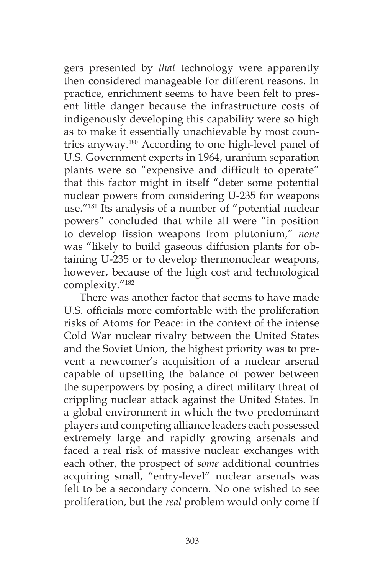gers presented by *that* technology were apparently then considered manageable for different reasons. In practice, enrichment seems to have been felt to present little danger because the infrastructure costs of indigenously developing this capability were so high as to make it essentially unachievable by most countries anyway.180 According to one high-level panel of U.S. Government experts in 1964, uranium separation plants were so "expensive and difficult to operate" that this factor might in itself "deter some potential nuclear powers from considering U-235 for weapons use."181 Its analysis of a number of "potential nuclear powers" concluded that while all were "in position to develop fission weapons from plutonium," *none*  was "likely to build gaseous diffusion plants for obtaining U-235 or to develop thermonuclear weapons, however, because of the high cost and technological complexity."182

There was another factor that seems to have made U.S. officials more comfortable with the proliferation risks of Atoms for Peace: in the context of the intense Cold War nuclear rivalry between the United States and the Soviet Union, the highest priority was to prevent a newcomer's acquisition of a nuclear arsenal capable of upsetting the balance of power between the superpowers by posing a direct military threat of crippling nuclear attack against the United States. In a global environment in which the two predominant players and competing alliance leaders each possessed extremely large and rapidly growing arsenals and faced a real risk of massive nuclear exchanges with each other, the prospect of *some* additional countries acquiring small, "entry-level" nuclear arsenals was felt to be a secondary concern. No one wished to see proliferation, but the *real* problem would only come if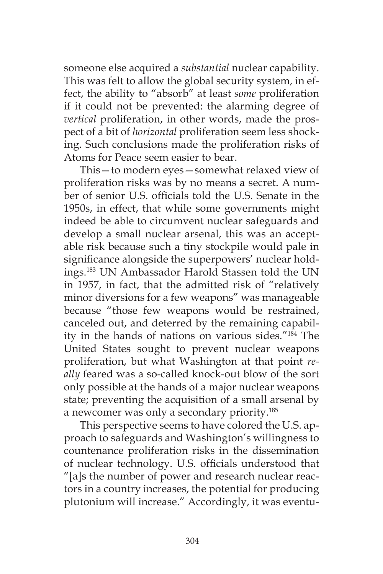someone else acquired a *substantial* nuclear capability. This was felt to allow the global security system, in effect, the ability to "absorb" at least *some* proliferation if it could not be prevented: the alarming degree of *vertical* proliferation, in other words, made the prospect of a bit of *horizontal* proliferation seem less shocking. Such conclusions made the proliferation risks of Atoms for Peace seem easier to bear.

This—to modern eyes—somewhat relaxed view of proliferation risks was by no means a secret. A number of senior U.S. officials told the U.S. Senate in the 1950s, in effect, that while some governments might indeed be able to circumvent nuclear safeguards and develop a small nuclear arsenal, this was an acceptable risk because such a tiny stockpile would pale in significance alongside the superpowers' nuclear holdings.183 UN Ambassador Harold Stassen told the UN in 1957, in fact, that the admitted risk of "relatively minor diversions for a few weapons" was manageable because "those few weapons would be restrained, canceled out, and deterred by the remaining capability in the hands of nations on various sides."184 The United States sought to prevent nuclear weapons proliferation, but what Washington at that point *really* feared was a so-called knock-out blow of the sort only possible at the hands of a major nuclear weapons state; preventing the acquisition of a small arsenal by a newcomer was only a secondary priority.<sup>185</sup>

This perspective seems to have colored the U.S. approach to safeguards and Washington's willingness to countenance proliferation risks in the dissemination of nuclear technology. U.S. officials understood that "[a]s the number of power and research nuclear reactors in a country increases, the potential for producing plutonium will increase." Accordingly, it was eventu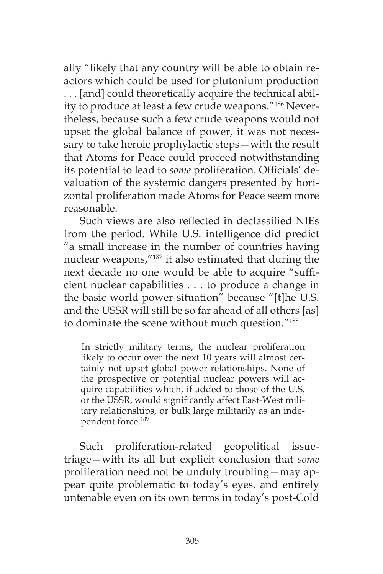ally "likely that any country will be able to obtain reactors which could be used for plutonium production . . . [and] could theoretically acquire the technical ability to produce at least a few crude weapons."186 Nevertheless, because such a few crude weapons would not upset the global balance of power, it was not necessary to take heroic prophylactic steps—with the result that Atoms for Peace could proceed notwithstanding its potential to lead to *some* proliferation. Officials' devaluation of the systemic dangers presented by horizontal proliferation made Atoms for Peace seem more reasonable.

Such views are also reflected in declassified NIEs from the period. While U.S. intelligence did predict "a small increase in the number of countries having nuclear weapons,"187 it also estimated that during the next decade no one would be able to acquire "sufficient nuclear capabilities . . . to produce a change in the basic world power situation" because "[t]he U.S. and the USSR will still be so far ahead of all others [as] to dominate the scene without much question."188

In strictly military terms, the nuclear proliferation likely to occur over the next 10 years will almost certainly not upset global power relationships. None of the prospective or potential nuclear powers will acquire capabilities which, if added to those of the U.S. or the USSR, would significantly affect East-West military relationships, or bulk large militarily as an independent force.<sup>189</sup>

Such proliferation-related geopolitical issuetriage—with its all but explicit conclusion that *some*  proliferation need not be unduly troubling—may appear quite problematic to today's eyes, and entirely untenable even on its own terms in today's post-Cold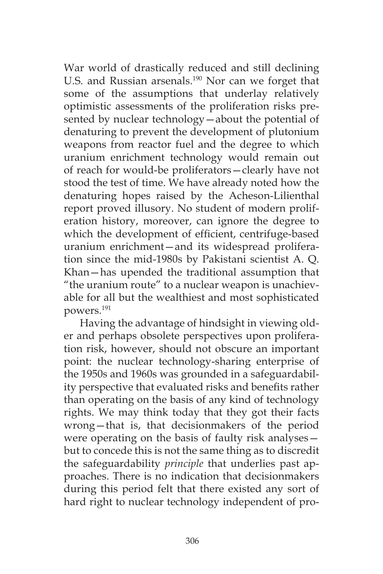War world of drastically reduced and still declining U.S. and Russian arsenals.<sup>190</sup> Nor can we forget that some of the assumptions that underlay relatively optimistic assessments of the proliferation risks presented by nuclear technology—about the potential of denaturing to prevent the development of plutonium weapons from reactor fuel and the degree to which uranium enrichment technology would remain out of reach for would-be proliferators—clearly have not stood the test of time. We have already noted how the denaturing hopes raised by the Acheson-Lilienthal report proved illusory. No student of modern proliferation history, moreover, can ignore the degree to which the development of efficient, centrifuge-based uranium enrichment—and its widespread proliferation since the mid-1980s by Pakistani scientist A. Q. Khan—has upended the traditional assumption that "the uranium route" to a nuclear weapon is unachievable for all but the wealthiest and most sophisticated powers.191

Having the advantage of hindsight in viewing older and perhaps obsolete perspectives upon proliferation risk, however, should not obscure an important point: the nuclear technology-sharing enterprise of the 1950s and 1960s was grounded in a safeguardability perspective that evaluated risks and benefits rather than operating on the basis of any kind of technology rights. We may think today that they got their facts wrong—that is, that decisionmakers of the period were operating on the basis of faulty risk analyses but to concede this is not the same thing as to discredit the safeguardability *principle* that underlies past approaches. There is no indication that decisionmakers during this period felt that there existed any sort of hard right to nuclear technology independent of pro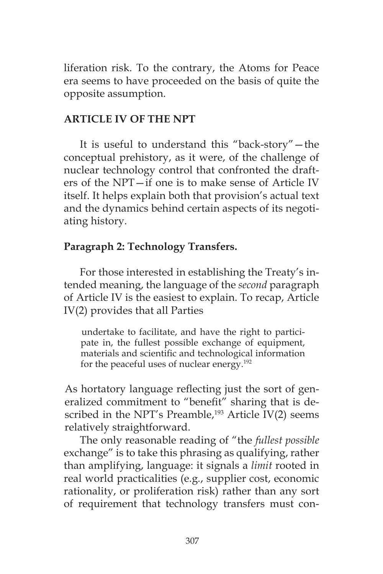liferation risk. To the contrary, the Atoms for Peace era seems to have proceeded on the basis of quite the opposite assumption.

### **ARTICLE IV OF THE NPT**

It is useful to understand this "back-story"—the conceptual prehistory, as it were, of the challenge of nuclear technology control that confronted the drafters of the NPT—if one is to make sense of Article IV itself. It helps explain both that provision's actual text and the dynamics behind certain aspects of its negotiating history.

## **Paragraph 2: Technology Transfers.**

For those interested in establishing the Treaty's intended meaning, the language of the *second* paragraph of Article IV is the easiest to explain. To recap, Article IV(2) provides that all Parties

undertake to facilitate, and have the right to participate in, the fullest possible exchange of equipment, materials and scientific and technological information for the peaceful uses of nuclear energy.192

As hortatory language reflecting just the sort of generalized commitment to "benefit" sharing that is described in the NPT's Preamble,<sup>193</sup> Article IV(2) seems relatively straightforward.

The only reasonable reading of "the *fullest possible*  exchange" is to take this phrasing as qualifying, rather than amplifying, language: it signals a *limit* rooted in real world practicalities (e.g*.*, supplier cost, economic rationality, or proliferation risk) rather than any sort of requirement that technology transfers must con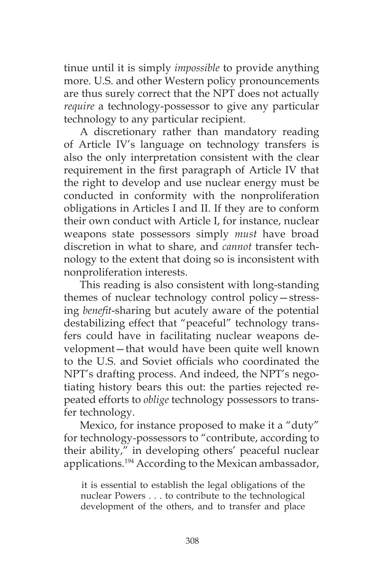tinue until it is simply *impossible* to provide anything more. U.S. and other Western policy pronouncements are thus surely correct that the NPT does not actually *require* a technology-possessor to give any particular technology to any particular recipient.

A discretionary rather than mandatory reading of Article IV's language on technology transfers is also the only interpretation consistent with the clear requirement in the first paragraph of Article IV that the right to develop and use nuclear energy must be conducted in conformity with the nonproliferation obligations in Articles I and II. If they are to conform their own conduct with Article I, for instance, nuclear weapons state possessors simply *must* have broad discretion in what to share, and *cannot* transfer technology to the extent that doing so is inconsistent with nonproliferation interests.

This reading is also consistent with long-standing themes of nuclear technology control policy—stressing *benefit*-sharing but acutely aware of the potential destabilizing effect that "peaceful" technology transfers could have in facilitating nuclear weapons development—that would have been quite well known to the U.S. and Soviet officials who coordinated the NPT's drafting process. And indeed, the NPT's negotiating history bears this out: the parties rejected repeated efforts to *oblige* technology possessors to transfer technology.

Mexico, for instance proposed to make it a "duty" for technology-possessors to "contribute, according to their ability," in developing others' peaceful nuclear applications.194 According to the Mexican ambassador,

it is essential to establish the legal obligations of the nuclear Powers . . . to contribute to the technological development of the others, and to transfer and place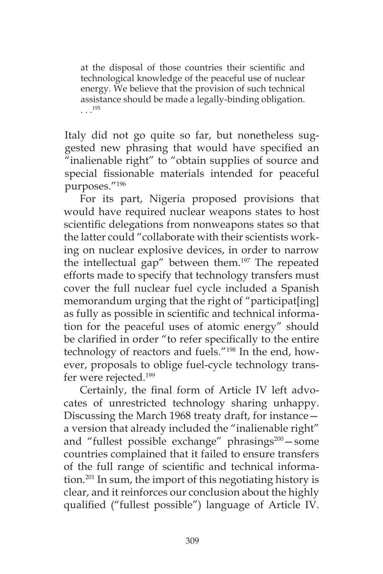at the disposal of those countries their scientific and technological knowledge of the peaceful use of nuclear energy. We believe that the provision of such technical assistance should be made a legally-binding obligation. . . .195

Italy did not go quite so far, but nonetheless suggested new phrasing that would have specified an "inalienable right" to "obtain supplies of source and special fissionable materials intended for peaceful purposes."196

For its part, Nigeria proposed provisions that would have required nuclear weapons states to host scientific delegations from nonweapons states so that the latter could "collaborate with their scientists working on nuclear explosive devices, in order to narrow the intellectual gap" between them.<sup>197</sup> The repeated efforts made to specify that technology transfers must cover the full nuclear fuel cycle included a Spanish memorandum urging that the right of "participat[ing] as fully as possible in scientific and technical information for the peaceful uses of atomic energy" should be clarified in order "to refer specifically to the entire technology of reactors and fuels."198 In the end, however, proposals to oblige fuel-cycle technology transfer were rejected.<sup>199</sup>

Certainly, the final form of Article IV left advocates of unrestricted technology sharing unhappy. Discussing the March 1968 treaty draft, for instance a version that already included the "inalienable right" and "fullest possible exchange" phrasings<sup>200</sup> - some countries complained that it failed to ensure transfers of the full range of scientific and technical information.201 In sum, the import of this negotiating history is clear, and it reinforces our conclusion about the highly qualified ("fullest possible") language of Article IV.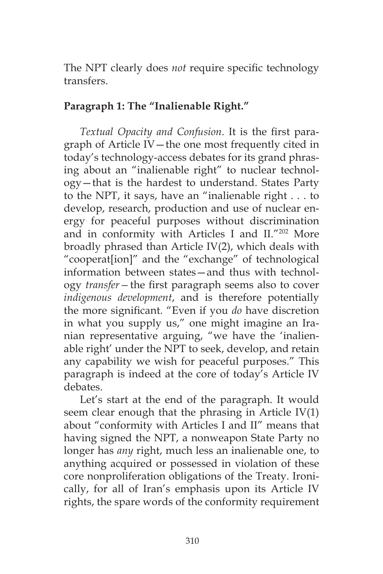The NPT clearly does *not* require specific technology transfers.

### **Paragraph 1: The "Inalienable Right."**

*Textual Opacity and Confusion*. It is the first paragraph of Article IV—the one most frequently cited in today's technology-access debates for its grand phrasing about an "inalienable right" to nuclear technology—that is the hardest to understand. States Party to the NPT, it says, have an "inalienable right . . . to develop, research, production and use of nuclear energy for peaceful purposes without discrimination and in conformity with Articles I and II."202 More broadly phrased than Article IV(2), which deals with "cooperat[ion]" and the "exchange" of technological information between states—and thus with technology *transfer—*the first paragraph seems also to cover *indigenous development*, and is therefore potentially the more significant. "Even if you *do* have discretion in what you supply us," one might imagine an Iranian representative arguing, "we have the 'inalienable right' under the NPT to seek, develop, and retain any capability we wish for peaceful purposes." This paragraph is indeed at the core of today's Article IV debates.

Let's start at the end of the paragraph. It would seem clear enough that the phrasing in Article IV(1) about "conformity with Articles I and II" means that having signed the NPT, a nonweapon State Party no longer has *any* right, much less an inalienable one, to anything acquired or possessed in violation of these core nonproliferation obligations of the Treaty. Ironically, for all of Iran's emphasis upon its Article IV rights, the spare words of the conformity requirement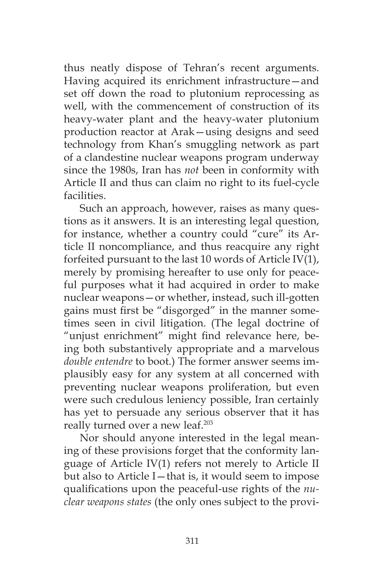thus neatly dispose of Tehran's recent arguments. Having acquired its enrichment infrastructure—and set off down the road to plutonium reprocessing as well, with the commencement of construction of its heavy-water plant and the heavy-water plutonium production reactor at Arak—using designs and seed technology from Khan's smuggling network as part of a clandestine nuclear weapons program underway since the 1980s, Iran has *not* been in conformity with Article II and thus can claim no right to its fuel-cycle facilities.

Such an approach, however, raises as many questions as it answers. It is an interesting legal question, for instance, whether a country could "cure" its Article II noncompliance, and thus reacquire any right forfeited pursuant to the last 10 words of Article IV(1), merely by promising hereafter to use only for peaceful purposes what it had acquired in order to make nuclear weapons—or whether, instead, such ill-gotten gains must first be "disgorged" in the manner sometimes seen in civil litigation. (The legal doctrine of "unjust enrichment" might find relevance here, being both substantively appropriate and a marvelous *double entendre* to boot.) The former answer seems implausibly easy for any system at all concerned with preventing nuclear weapons proliferation, but even were such credulous leniency possible, Iran certainly has yet to persuade any serious observer that it has really turned over a new leaf.<sup>203</sup>

Nor should anyone interested in the legal meaning of these provisions forget that the conformity language of Article IV(1) refers not merely to Article II but also to Article I—that is, it would seem to impose qualifications upon the peaceful-use rights of the *nuclear weapons states* (the only ones subject to the provi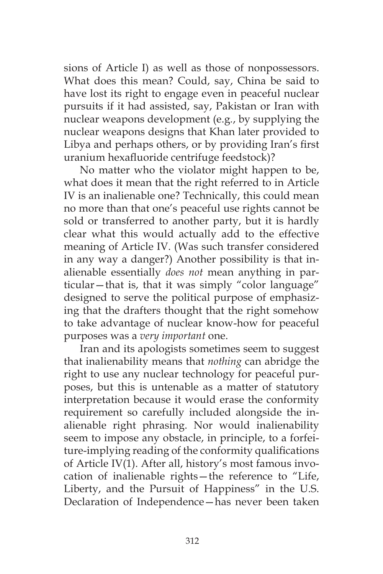sions of Article I) as well as those of nonpossessors. What does this mean? Could, say, China be said to have lost its right to engage even in peaceful nuclear pursuits if it had assisted, say, Pakistan or Iran with nuclear weapons development (e.g*.*, by supplying the nuclear weapons designs that Khan later provided to Libya and perhaps others, or by providing Iran's first uranium hexafluoride centrifuge feedstock)?

No matter who the violator might happen to be, what does it mean that the right referred to in Article IV is an inalienable one? Technically, this could mean no more than that one's peaceful use rights cannot be sold or transferred to another party, but it is hardly clear what this would actually add to the effective meaning of Article IV. (Was such transfer considered in any way a danger?) Another possibility is that inalienable essentially *does not* mean anything in particular—that is, that it was simply "color language" designed to serve the political purpose of emphasizing that the drafters thought that the right somehow to take advantage of nuclear know-how for peaceful purposes was a *very important* one.

Iran and its apologists sometimes seem to suggest that inalienability means that *nothing* can abridge the right to use any nuclear technology for peaceful purposes, but this is untenable as a matter of statutory interpretation because it would erase the conformity requirement so carefully included alongside the inalienable right phrasing. Nor would inalienability seem to impose any obstacle, in principle, to a forfeiture-implying reading of the conformity qualifications of Article IV(1). After all, history's most famous invocation of inalienable rights—the reference to "Life, Liberty, and the Pursuit of Happiness" in the U.S. Declaration of Independence—has never been taken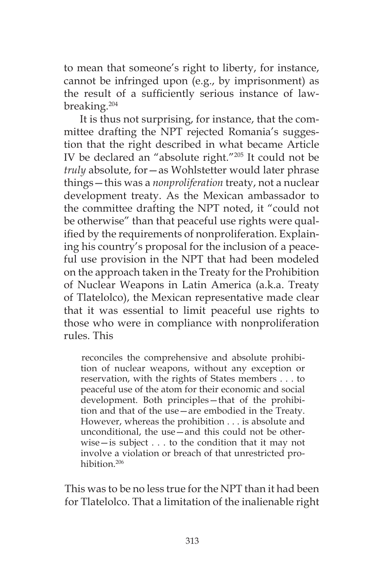to mean that someone's right to liberty, for instance, cannot be infringed upon (e.g., by imprisonment) as the result of a sufficiently serious instance of lawbreaking.204

It is thus not surprising, for instance, that the committee drafting the NPT rejected Romania's suggestion that the right described in what became Article IV be declared an "absolute right."205 It could not be *truly* absolute, for—as Wohlstetter would later phrase things—this was a *nonproliferation* treaty, not a nuclear development treaty. As the Mexican ambassador to the committee drafting the NPT noted, it "could not be otherwise" than that peaceful use rights were qualified by the requirements of nonproliferation. Explaining his country's proposal for the inclusion of a peaceful use provision in the NPT that had been modeled on the approach taken in the Treaty for the Prohibition of Nuclear Weapons in Latin America (a.k.a. Treaty of Tlatelolco), the Mexican representative made clear that it was essential to limit peaceful use rights to those who were in compliance with nonproliferation rules. This

reconciles the comprehensive and absolute prohibition of nuclear weapons, without any exception or reservation, with the rights of States members . . . to peaceful use of the atom for their economic and social development. Both principles—that of the prohibition and that of the use—are embodied in the Treaty. However, whereas the prohibition . . . is absolute and unconditional, the use—and this could not be otherwise—is subject . . . to the condition that it may not involve a violation or breach of that unrestricted prohibition.206

This was to be no less true for the NPT than it had been for Tlatelolco. That a limitation of the inalienable right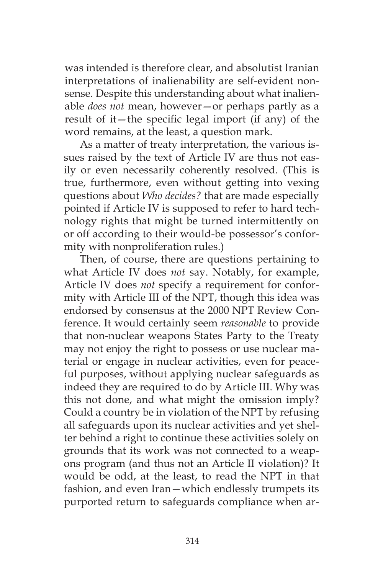was intended is therefore clear, and absolutist Iranian interpretations of inalienability are self-evident nonsense. Despite this understanding about what inalienable *does not* mean, however—or perhaps partly as a result of it—the specific legal import (if any) of the word remains, at the least, a question mark.

As a matter of treaty interpretation, the various issues raised by the text of Article IV are thus not easily or even necessarily coherently resolved. (This is true, furthermore, even without getting into vexing questions about *Who decides?* that are made especially pointed if Article IV is supposed to refer to hard technology rights that might be turned intermittently on or off according to their would-be possessor's conformity with nonproliferation rules.)

Then, of course, there are questions pertaining to what Article IV does *not* say. Notably, for example, Article IV does *not* specify a requirement for conformity with Article III of the NPT, though this idea was endorsed by consensus at the 2000 NPT Review Conference. It would certainly seem *reasonable* to provide that non-nuclear weapons States Party to the Treaty may not enjoy the right to possess or use nuclear material or engage in nuclear activities, even for peaceful purposes, without applying nuclear safeguards as indeed they are required to do by Article III. Why was this not done, and what might the omission imply? Could a country be in violation of the NPT by refusing all safeguards upon its nuclear activities and yet shelter behind a right to continue these activities solely on grounds that its work was not connected to a weapons program (and thus not an Article II violation)? It would be odd, at the least, to read the NPT in that fashion, and even Iran—which endlessly trumpets its purported return to safeguards compliance when ar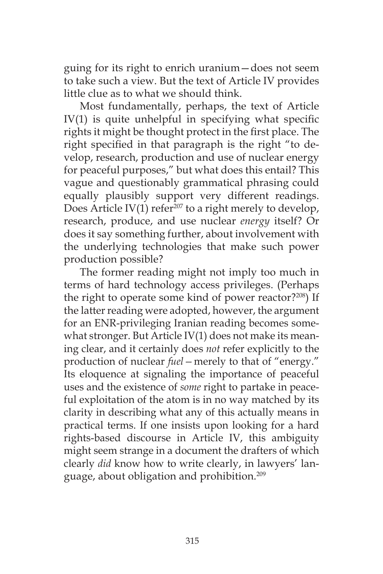guing for its right to enrich uranium—does not seem to take such a view. But the text of Article IV provides little clue as to what we should think.

Most fundamentally, perhaps, the text of Article IV(1) is quite unhelpful in specifying what specific rights it might be thought protect in the first place. The right specified in that paragraph is the right "to develop, research, production and use of nuclear energy for peaceful purposes," but what does this entail? This vague and questionably grammatical phrasing could equally plausibly support very different readings. Does Article IV(1) refer<sup>207</sup> to a right merely to develop, research, produce, and use nuclear *energy* itself? Or does it say something further, about involvement with the underlying technologies that make such power production possible?

The former reading might not imply too much in terms of hard technology access privileges. (Perhaps the right to operate some kind of power reactor?208) If the latter reading were adopted, however, the argument for an ENR-privileging Iranian reading becomes somewhat stronger. But Article IV(1) does not make its meaning clear, and it certainly does *not* refer explicitly to the production of nuclear *fuel—*merely to that of "energy." Its eloquence at signaling the importance of peaceful uses and the existence of *some* right to partake in peaceful exploitation of the atom is in no way matched by its clarity in describing what any of this actually means in practical terms. If one insists upon looking for a hard rights-based discourse in Article IV, this ambiguity might seem strange in a document the drafters of which clearly *did* know how to write clearly, in lawyers' language, about obligation and prohibition.209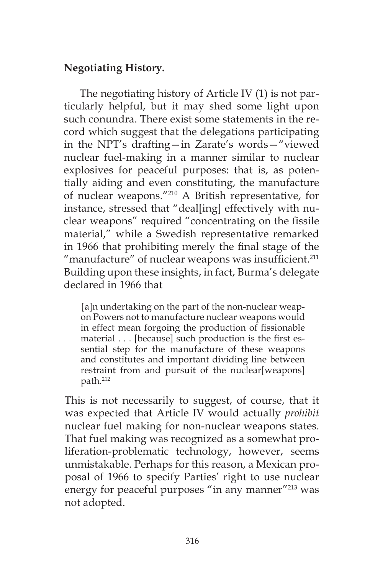# **Negotiating History.**

The negotiating history of Article IV (1) is not particularly helpful, but it may shed some light upon such conundra. There exist some statements in the record which suggest that the delegations participating in the NPT's drafting—in Zarate's words—"viewed nuclear fuel-making in a manner similar to nuclear explosives for peaceful purposes: that is, as potentially aiding and even constituting, the manufacture of nuclear weapons."210 A British representative, for instance, stressed that "deal[ing] effectively with nuclear weapons" required "concentrating on the fissile material," while a Swedish representative remarked in 1966 that prohibiting merely the final stage of the "manufacture" of nuclear weapons was insufficient.<sup>211</sup> Building upon these insights, in fact, Burma's delegate declared in 1966 that

[a]n undertaking on the part of the non-nuclear weapon Powers not to manufacture nuclear weapons would in effect mean forgoing the production of fissionable material . . . [because] such production is the first essential step for the manufacture of these weapons and constitutes and important dividing line between restraint from and pursuit of the nuclear[weapons] path.212

This is not necessarily to suggest, of course, that it was expected that Article IV would actually *prohibit*  nuclear fuel making for non-nuclear weapons states. That fuel making was recognized as a somewhat proliferation-problematic technology, however, seems unmistakable. Perhaps for this reason, a Mexican proposal of 1966 to specify Parties' right to use nuclear energy for peaceful purposes "in any manner"<sup>213</sup> was not adopted.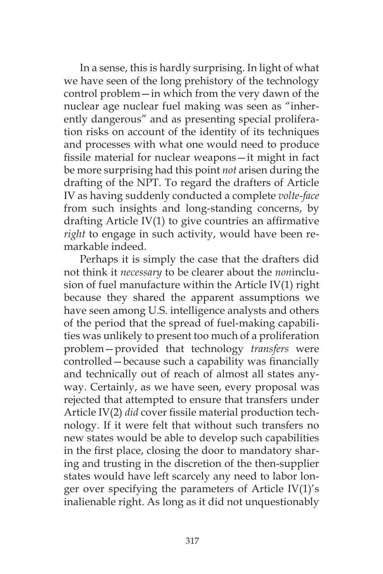In a sense, this is hardly surprising. In light of what we have seen of the long prehistory of the technology control problem—in which from the very dawn of the nuclear age nuclear fuel making was seen as "inherently dangerous" and as presenting special proliferation risks on account of the identity of its techniques and processes with what one would need to produce fissile material for nuclear weapons—it might in fact be more surprising had this point *not* arisen during the drafting of the NPT. To regard the drafters of Article IV as having suddenly conducted a complete *volte-face* from such insights and long-standing concerns, by drafting Article IV(1) to give countries an affirmative *right* to engage in such activity, would have been remarkable indeed.

Perhaps it is simply the case that the drafters did not think it *necessary* to be clearer about the *non*inclusion of fuel manufacture within the Article IV(1) right because they shared the apparent assumptions we have seen among U.S. intelligence analysts and others of the period that the spread of fuel-making capabilities was unlikely to present too much of a proliferation problem—provided that technology *transfers* were controlled—because such a capability was financially and technically out of reach of almost all states anyway. Certainly, as we have seen, every proposal was rejected that attempted to ensure that transfers under Article IV(2) *did* cover fissile material production technology. If it were felt that without such transfers no new states would be able to develop such capabilities in the first place, closing the door to mandatory sharing and trusting in the discretion of the then-supplier states would have left scarcely any need to labor longer over specifying the parameters of Article IV(1)'s inalienable right. As long as it did not unquestionably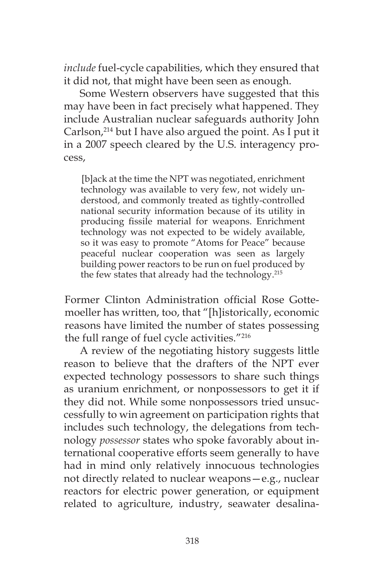*include* fuel-cycle capabilities, which they ensured that it did not, that might have been seen as enough.

Some Western observers have suggested that this may have been in fact precisely what happened. They include Australian nuclear safeguards authority John Carlson,<sup>214</sup> but I have also argued the point. As I put it in a 2007 speech cleared by the U.S. interagency process,

[b]ack at the time the NPT was negotiated, enrichment technology was available to very few, not widely understood, and commonly treated as tightly-controlled national security information because of its utility in producing fissile material for weapons. Enrichment technology was not expected to be widely available, so it was easy to promote "Atoms for Peace" because peaceful nuclear cooperation was seen as largely building power reactors to be run on fuel produced by the few states that already had the technology.<sup>215</sup>

Former Clinton Administration official Rose Gottemoeller has written, too, that "[h]istorically, economic reasons have limited the number of states possessing the full range of fuel cycle activities."216

A review of the negotiating history suggests little reason to believe that the drafters of the NPT ever expected technology possessors to share such things as uranium enrichment, or nonpossessors to get it if they did not. While some nonpossessors tried unsuccessfully to win agreement on participation rights that includes such technology, the delegations from technology *possessor* states who spoke favorably about international cooperative efforts seem generally to have had in mind only relatively innocuous technologies not directly related to nuclear weapons—e.g., nuclear reactors for electric power generation, or equipment related to agriculture, industry, seawater desalina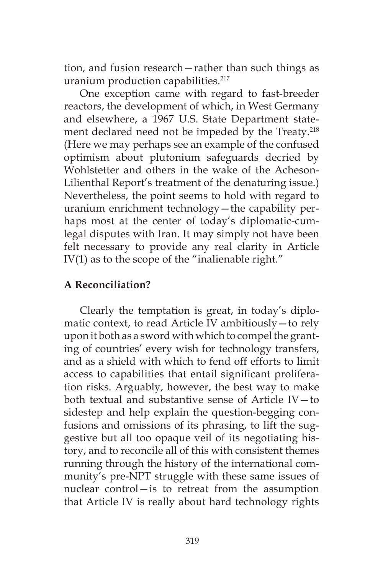tion, and fusion research—rather than such things as uranium production capabilities.<sup>217</sup>

One exception came with regard to fast-breeder reactors, the development of which, in West Germany and elsewhere, a 1967 U.S. State Department statement declared need not be impeded by the Treaty.<sup>218</sup> (Here we may perhaps see an example of the confused optimism about plutonium safeguards decried by Wohlstetter and others in the wake of the Acheson-Lilienthal Report's treatment of the denaturing issue.) Nevertheless, the point seems to hold with regard to uranium enrichment technology—the capability perhaps most at the center of today's diplomatic-cumlegal disputes with Iran. It may simply not have been felt necessary to provide any real clarity in Article IV(1) as to the scope of the "inalienable right."

# **A Reconciliation?**

Clearly the temptation is great, in today's diplomatic context, to read Article IV ambitiously—to rely upon it both as a sword with which to compel the granting of countries' every wish for technology transfers, and as a shield with which to fend off efforts to limit access to capabilities that entail significant proliferation risks. Arguably, however, the best way to make both textual and substantive sense of Article IV—to sidestep and help explain the question-begging confusions and omissions of its phrasing, to lift the suggestive but all too opaque veil of its negotiating history, and to reconcile all of this with consistent themes running through the history of the international community's pre-NPT struggle with these same issues of nuclear control—is to retreat from the assumption that Article IV is really about hard technology rights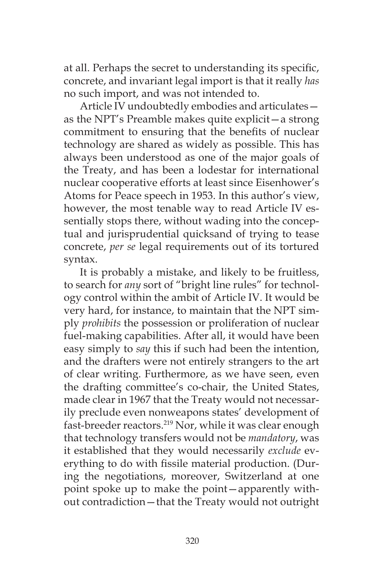at all. Perhaps the secret to understanding its specific, concrete, and invariant legal import is that it really *has*  no such import, and was not intended to.

Article IV undoubtedly embodies and articulates as the NPT's Preamble makes quite explicit—a strong commitment to ensuring that the benefits of nuclear technology are shared as widely as possible. This has always been understood as one of the major goals of the Treaty, and has been a lodestar for international nuclear cooperative efforts at least since Eisenhower's Atoms for Peace speech in 1953. In this author's view, however, the most tenable way to read Article IV essentially stops there, without wading into the conceptual and jurisprudential quicksand of trying to tease concrete, *per se* legal requirements out of its tortured syntax.

It is probably a mistake, and likely to be fruitless, to search for *any* sort of "bright line rules" for technology control within the ambit of Article IV. It would be very hard, for instance, to maintain that the NPT simply *prohibits* the possession or proliferation of nuclear fuel-making capabilities. After all, it would have been easy simply to *say* this if such had been the intention, and the drafters were not entirely strangers to the art of clear writing. Furthermore, as we have seen, even the drafting committee's co-chair, the United States, made clear in 1967 that the Treaty would not necessarily preclude even nonweapons states' development of fast-breeder reactors.<sup>219</sup> Nor, while it was clear enough that technology transfers would not be *mandatory*, was it established that they would necessarily *exclude* everything to do with fissile material production. (During the negotiations, moreover, Switzerland at one point spoke up to make the point—apparently without contradiction—that the Treaty would not outright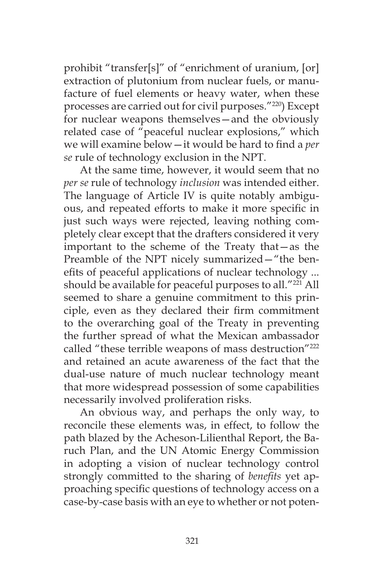prohibit "transfer[s]" of "enrichment of uranium, [or] extraction of plutonium from nuclear fuels, or manufacture of fuel elements or heavy water, when these processes are carried out for civil purposes."220) Except for nuclear weapons themselves—and the obviously related case of "peaceful nuclear explosions," which we will examine below—it would be hard to find a *per se* rule of technology exclusion in the NPT.

At the same time, however, it would seem that no *per se* rule of technology *inclusion* was intended either. The language of Article IV is quite notably ambiguous, and repeated efforts to make it more specific in just such ways were rejected, leaving nothing completely clear except that the drafters considered it very important to the scheme of the Treaty that—as the Preamble of the NPT nicely summarized—"the benefits of peaceful applications of nuclear technology ... should be available for peaceful purposes to all."<sup>221</sup> All seemed to share a genuine commitment to this principle, even as they declared their firm commitment to the overarching goal of the Treaty in preventing the further spread of what the Mexican ambassador called "these terrible weapons of mass destruction"<sup>222</sup> and retained an acute awareness of the fact that the dual-use nature of much nuclear technology meant that more widespread possession of some capabilities necessarily involved proliferation risks.

An obvious way, and perhaps the only way, to reconcile these elements was, in effect, to follow the path blazed by the Acheson-Lilienthal Report, the Baruch Plan, and the UN Atomic Energy Commission in adopting a vision of nuclear technology control strongly committed to the sharing of *benefits* yet approaching specific questions of technology access on a case-by-case basis with an eye to whether or not poten-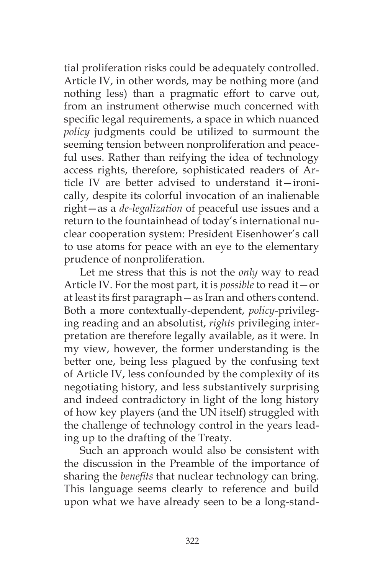tial proliferation risks could be adequately controlled. Article IV, in other words, may be nothing more (and nothing less) than a pragmatic effort to carve out, from an instrument otherwise much concerned with specific legal requirements, a space in which nuanced *policy* judgments could be utilized to surmount the seeming tension between nonproliferation and peaceful uses. Rather than reifying the idea of technology access rights, therefore, sophisticated readers of Article IV are better advised to understand it—ironically, despite its colorful invocation of an inalienable right—as a *de-legalization* of peaceful use issues and a return to the fountainhead of today's international nuclear cooperation system: President Eisenhower's call to use atoms for peace with an eye to the elementary prudence of nonproliferation.

Let me stress that this is not the *only* way to read Article IV. For the most part, it is *possible* to read it—or at least its first paragraph—as Iran and others contend. Both a more contextually-dependent, *policy*-privileging reading and an absolutist, *rights* privileging interpretation are therefore legally available, as it were. In my view, however, the former understanding is the better one, being less plagued by the confusing text of Article IV, less confounded by the complexity of its negotiating history, and less substantively surprising and indeed contradictory in light of the long history of how key players (and the UN itself) struggled with the challenge of technology control in the years leading up to the drafting of the Treaty.

Such an approach would also be consistent with the discussion in the Preamble of the importance of sharing the *benefits* that nuclear technology can bring. This language seems clearly to reference and build upon what we have already seen to be a long-stand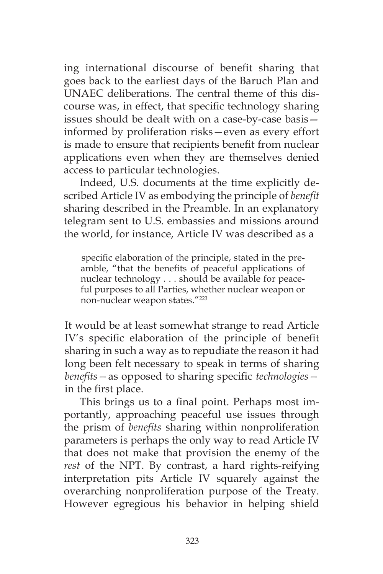ing international discourse of benefit sharing that goes back to the earliest days of the Baruch Plan and UNAEC deliberations. The central theme of this discourse was, in effect, that specific technology sharing issues should be dealt with on a case-by-case basis informed by proliferation risks—even as every effort is made to ensure that recipients benefit from nuclear applications even when they are themselves denied access to particular technologies.

Indeed, U.S. documents at the time explicitly described Article IV as embodying the principle of *benefit* sharing described in the Preamble. In an explanatory telegram sent to U.S. embassies and missions around the world, for instance, Article IV was described as a

specific elaboration of the principle, stated in the preamble, "that the benefits of peaceful applications of nuclear technology . . . should be available for peaceful purposes to all Parties, whether nuclear weapon or non-nuclear weapon states."223

It would be at least somewhat strange to read Article IV's specific elaboration of the principle of benefit sharing in such a way as to repudiate the reason it had long been felt necessary to speak in terms of sharing *benefits—*as opposed to sharing specific *technologies* in the first place.

This brings us to a final point. Perhaps most importantly, approaching peaceful use issues through the prism of *benefits* sharing within nonproliferation parameters is perhaps the only way to read Article IV that does not make that provision the enemy of the *rest* of the NPT. By contrast, a hard rights-reifying interpretation pits Article IV squarely against the overarching nonproliferation purpose of the Treaty. However egregious his behavior in helping shield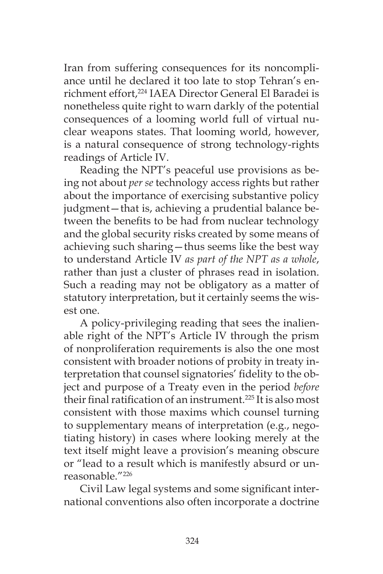Iran from suffering consequences for its noncompliance until he declared it too late to stop Tehran's enrichment effort,<sup>224</sup> IAEA Director General El Baradei is nonetheless quite right to warn darkly of the potential consequences of a looming world full of virtual nuclear weapons states. That looming world, however, is a natural consequence of strong technology-rights readings of Article IV.

Reading the NPT's peaceful use provisions as being not about *per se* technology access rights but rather about the importance of exercising substantive policy judgment—that is, achieving a prudential balance between the benefits to be had from nuclear technology and the global security risks created by some means of achieving such sharing—thus seems like the best way to understand Article IV *as part of the NPT as a whole*, rather than just a cluster of phrases read in isolation. Such a reading may not be obligatory as a matter of statutory interpretation, but it certainly seems the wisest one.

A policy-privileging reading that sees the inalienable right of the NPT's Article IV through the prism of nonproliferation requirements is also the one most consistent with broader notions of probity in treaty interpretation that counsel signatories' fidelity to the object and purpose of a Treaty even in the period *before*  their final ratification of an instrument.<sup>225</sup> It is also most consistent with those maxims which counsel turning to supplementary means of interpretation (e.g., negotiating history) in cases where looking merely at the text itself might leave a provision's meaning obscure or "lead to a result which is manifestly absurd or unreasonable."226

Civil Law legal systems and some significant international conventions also often incorporate a doctrine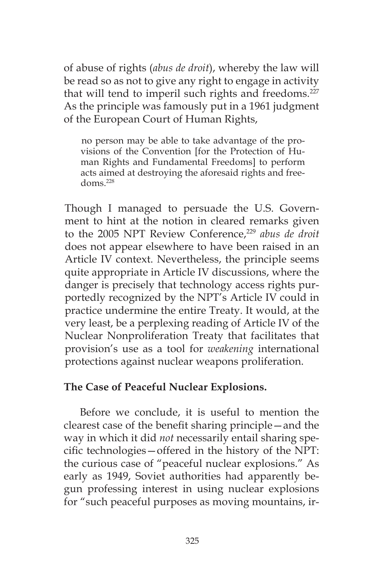of abuse of rights (*abus de droit*), whereby the law will be read so as not to give any right to engage in activity that will tend to imperil such rights and freedoms.<sup>227</sup> As the principle was famously put in a 1961 judgment of the European Court of Human Rights,

no person may be able to take advantage of the provisions of the Convention [for the Protection of Human Rights and Fundamental Freedoms] to perform acts aimed at destroying the aforesaid rights and freedoms.228

Though I managed to persuade the U.S. Government to hint at the notion in cleared remarks given to the 2005 NPT Review Conference,<sup>229</sup> abus de droit does not appear elsewhere to have been raised in an Article IV context. Nevertheless, the principle seems quite appropriate in Article IV discussions, where the danger is precisely that technology access rights purportedly recognized by the NPT's Article IV could in practice undermine the entire Treaty. It would, at the very least, be a perplexing reading of Article IV of the Nuclear Nonproliferation Treaty that facilitates that provision's use as a tool for *weakening* international protections against nuclear weapons proliferation.

# **The Case of Peaceful Nuclear Explosions.**

Before we conclude, it is useful to mention the clearest case of the benefit sharing principle—and the way in which it did *not* necessarily entail sharing specific technologies—offered in the history of the NPT: the curious case of "peaceful nuclear explosions." As early as 1949, Soviet authorities had apparently begun professing interest in using nuclear explosions for "such peaceful purposes as moving mountains, ir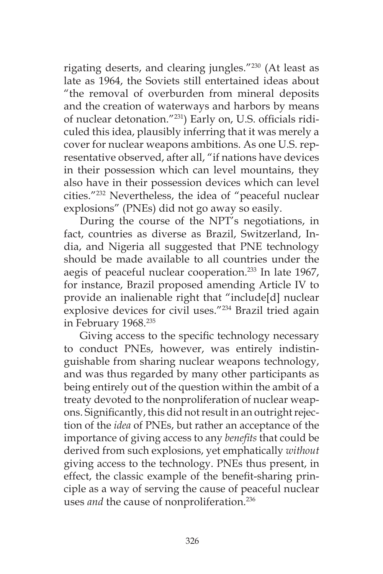rigating deserts, and clearing jungles."230 (At least as late as 1964, the Soviets still entertained ideas about "the removal of overburden from mineral deposits and the creation of waterways and harbors by means of nuclear detonation."231) Early on, U.S. officials ridiculed this idea, plausibly inferring that it was merely a cover for nuclear weapons ambitions. As one U.S. representative observed, after all, "if nations have devices in their possession which can level mountains, they also have in their possession devices which can level cities."232 Nevertheless, the idea of "peaceful nuclear explosions" (PNEs) did not go away so easily.

During the course of the NPT's negotiations, in fact, countries as diverse as Brazil, Switzerland, India, and Nigeria all suggested that PNE technology should be made available to all countries under the aegis of peaceful nuclear cooperation.<sup>233</sup> In late 1967, for instance, Brazil proposed amending Article IV to provide an inalienable right that "include[d] nuclear explosive devices for civil uses."234 Brazil tried again in February 1968.235

Giving access to the specific technology necessary to conduct PNEs, however, was entirely indistinguishable from sharing nuclear weapons technology, and was thus regarded by many other participants as being entirely out of the question within the ambit of a treaty devoted to the nonproliferation of nuclear weapons. Significantly, this did not result in an outright rejection of the *idea* of PNEs, but rather an acceptance of the importance of giving access to any *benefits* that could be derived from such explosions, yet emphatically *without*  giving access to the technology. PNEs thus present, in effect, the classic example of the benefit-sharing principle as a way of serving the cause of peaceful nuclear uses *and* the cause of nonproliferation.<sup>236</sup>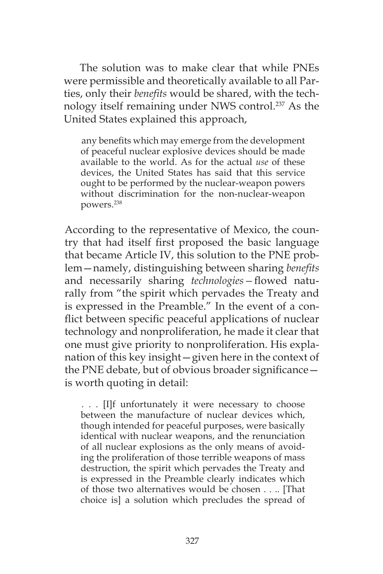The solution was to make clear that while PNEs were permissible and theoretically available to all Parties, only their *benefits* would be shared, with the technology itself remaining under NWS control.237 As the United States explained this approach,

any benefits which may emerge from the development of peaceful nuclear explosive devices should be made available to the world. As for the actual *use* of these devices, the United States has said that this service ought to be performed by the nuclear-weapon powers without discrimination for the non-nuclear-weapon powers.238

According to the representative of Mexico, the country that had itself first proposed the basic language that became Article IV, this solution to the PNE problem—namely, distinguishing between sharing *benefits*  and necessarily sharing *technologies—*flowed naturally from "the spirit which pervades the Treaty and is expressed in the Preamble." In the event of a conflict between specific peaceful applications of nuclear technology and nonproliferation, he made it clear that one must give priority to nonproliferation. His explanation of this key insight—given here in the context of the PNE debate, but of obvious broader significance is worth quoting in detail:

. . . [I]f unfortunately it were necessary to choose between the manufacture of nuclear devices which, though intended for peaceful purposes, were basically identical with nuclear weapons, and the renunciation of all nuclear explosions as the only means of avoiding the proliferation of those terrible weapons of mass destruction, the spirit which pervades the Treaty and is expressed in the Preamble clearly indicates which of those two alternatives would be chosen . . .. [That choice is] a solution which precludes the spread of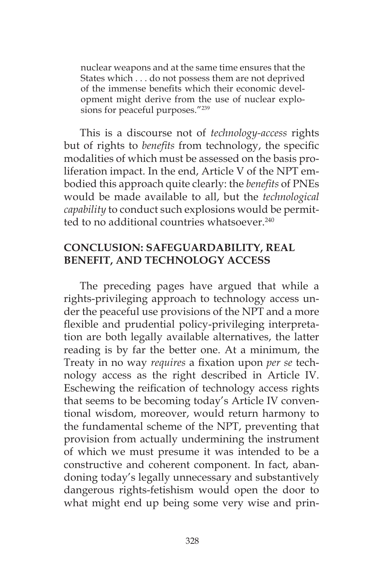nuclear weapons and at the same time ensures that the States which . . . do not possess them are not deprived of the immense benefits which their economic development might derive from the use of nuclear explosions for peaceful purposes."239

This is a discourse not of *technology-access* rights but of rights to *benefits* from technology, the specific modalities of which must be assessed on the basis proliferation impact. In the end, Article V of the NPT embodied this approach quite clearly: the *benefits* of PNEs would be made available to all, but the *technological capability* to conduct such explosions would be permitted to no additional countries whatsoever<sup>240</sup>

## **CONCLUSION: SAFEGUARDABILITY, REAL BENEFIT, AND TECHNOLOGY ACCESS**

The preceding pages have argued that while a rights-privileging approach to technology access under the peaceful use provisions of the NPT and a more flexible and prudential policy-privileging interpretation are both legally available alternatives, the latter reading is by far the better one. At a minimum, the Treaty in no way *requires* a fixation upon *per se* technology access as the right described in Article IV. Eschewing the reification of technology access rights that seems to be becoming today's Article IV conventional wisdom, moreover, would return harmony to the fundamental scheme of the NPT, preventing that provision from actually undermining the instrument of which we must presume it was intended to be a constructive and coherent component. In fact, abandoning today's legally unnecessary and substantively dangerous rights-fetishism would open the door to what might end up being some very wise and prin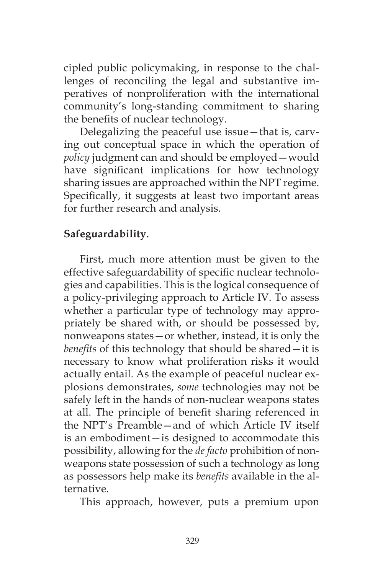cipled public policymaking, in response to the challenges of reconciling the legal and substantive imperatives of nonproliferation with the international community's long-standing commitment to sharing the benefits of nuclear technology.

Delegalizing the peaceful use issue—that is, carving out conceptual space in which the operation of *policy* judgment can and should be employed—would have significant implications for how technology sharing issues are approached within the NPT regime. Specifically, it suggests at least two important areas for further research and analysis.

## **Safeguardability.**

First, much more attention must be given to the effective safeguardability of specific nuclear technologies and capabilities. This is the logical consequence of a policy-privileging approach to Article IV. To assess whether a particular type of technology may appropriately be shared with, or should be possessed by, nonweapons states—or whether, instead, it is only the *benefits* of this technology that should be shared—it is necessary to know what proliferation risks it would actually entail. As the example of peaceful nuclear explosions demonstrates, *some* technologies may not be safely left in the hands of non-nuclear weapons states at all. The principle of benefit sharing referenced in the NPT's Preamble—and of which Article IV itself is an embodiment—is designed to accommodate this possibility, allowing for the *de facto* prohibition of nonweapons state possession of such a technology as long as possessors help make its *benefits* available in the alternative.

This approach, however, puts a premium upon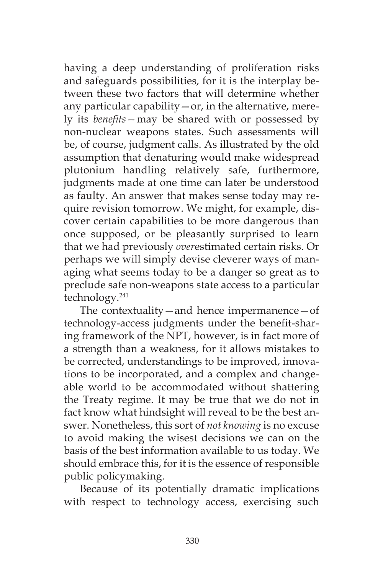having a deep understanding of proliferation risks and safeguards possibilities, for it is the interplay between these two factors that will determine whether any particular capability  $-$  or, in the alternative, merely its *benefits—*may be shared with or possessed by non-nuclear weapons states. Such assessments will be, of course, judgment calls. As illustrated by the old assumption that denaturing would make widespread plutonium handling relatively safe, furthermore, judgments made at one time can later be understood as faulty. An answer that makes sense today may require revision tomorrow. We might, for example, discover certain capabilities to be more dangerous than once supposed, or be pleasantly surprised to learn that we had previously *over*estimated certain risks. Or perhaps we will simply devise cleverer ways of managing what seems today to be a danger so great as to preclude safe non-weapons state access to a particular technology.241

The contextuality—and hence impermanence—of technology-access judgments under the benefit-sharing framework of the NPT, however, is in fact more of a strength than a weakness, for it allows mistakes to be corrected, understandings to be improved, innovations to be incorporated, and a complex and changeable world to be accommodated without shattering the Treaty regime. It may be true that we do not in fact know what hindsight will reveal to be the best answer. Nonetheless, this sort of *not knowing* is no excuse to avoid making the wisest decisions we can on the basis of the best information available to us today. We should embrace this, for it is the essence of responsible public policymaking.

Because of its potentially dramatic implications with respect to technology access, exercising such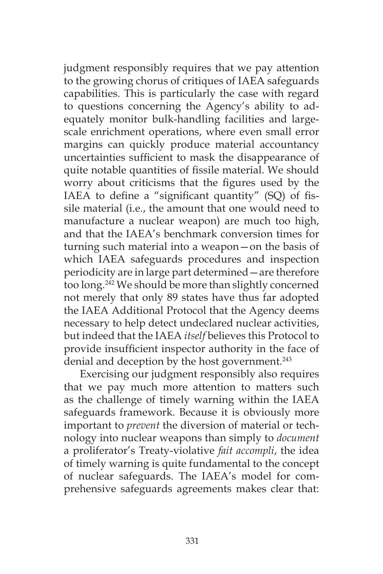judgment responsibly requires that we pay attention to the growing chorus of critiques of IAEA safeguards capabilities. This is particularly the case with regard to questions concerning the Agency's ability to adequately monitor bulk-handling facilities and largescale enrichment operations, where even small error margins can quickly produce material accountancy uncertainties sufficient to mask the disappearance of quite notable quantities of fissile material. We should worry about criticisms that the figures used by the IAEA to define a "significant quantity" (SQ) of fissile material (i.e., the amount that one would need to manufacture a nuclear weapon) are much too high, and that the IAEA's benchmark conversion times for turning such material into a weapon—on the basis of which IAEA safeguards procedures and inspection periodicity are in large part determined—are therefore too long.242 We should be more than slightly concerned not merely that only 89 states have thus far adopted the IAEA Additional Protocol that the Agency deems necessary to help detect undeclared nuclear activities, but indeed that the IAEA *itself* believes this Protocol to provide insufficient inspector authority in the face of denial and deception by the host government*.* 243

Exercising our judgment responsibly also requires that we pay much more attention to matters such as the challenge of timely warning within the IAEA safeguards framework. Because it is obviously more important to *prevent* the diversion of material or technology into nuclear weapons than simply to *document*  a proliferator's Treaty-violative *fait accompli*, the idea of timely warning is quite fundamental to the concept of nuclear safeguards. The IAEA's model for comprehensive safeguards agreements makes clear that: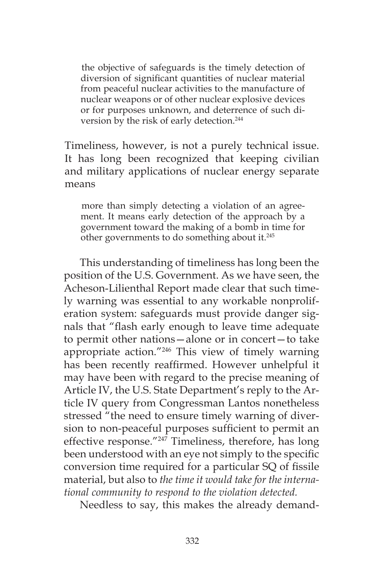the objective of safeguards is the timely detection of diversion of significant quantities of nuclear material from peaceful nuclear activities to the manufacture of nuclear weapons or of other nuclear explosive devices or for purposes unknown, and deterrence of such diversion by the risk of early detection.<sup>244</sup>

Timeliness, however, is not a purely technical issue. It has long been recognized that keeping civilian and military applications of nuclear energy separate means

more than simply detecting a violation of an agreement. It means early detection of the approach by a government toward the making of a bomb in time for other governments to do something about it.245

This understanding of timeliness has long been the position of the U.S. Government. As we have seen, the Acheson-Lilienthal Report made clear that such timely warning was essential to any workable nonproliferation system: safeguards must provide danger signals that "flash early enough to leave time adequate to permit other nations—alone or in concert—to take appropriate action."246 This view of timely warning has been recently reaffirmed. However unhelpful it may have been with regard to the precise meaning of Article IV, the U.S. State Department's reply to the Article IV query from Congressman Lantos nonetheless stressed "the need to ensure timely warning of diversion to non-peaceful purposes sufficient to permit an effective response."<sup>247</sup> Timeliness, therefore, has long been understood with an eye not simply to the specific conversion time required for a particular SQ of fissile material, but also to *the time it would take for the international community to respond to the violation detected.*

Needless to say, this makes the already demand-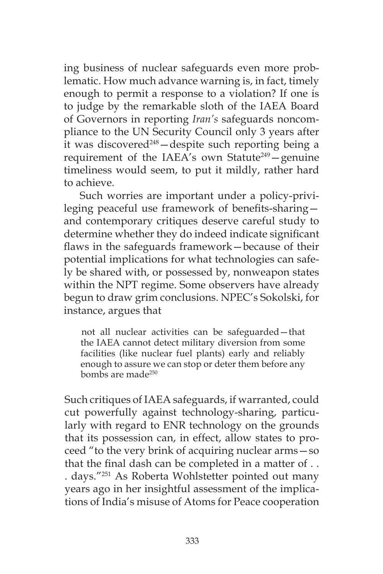ing business of nuclear safeguards even more problematic. How much advance warning is, in fact, timely enough to permit a response to a violation? If one is to judge by the remarkable sloth of the IAEA Board of Governors in reporting *Iran's* safeguards noncompliance to the UN Security Council only 3 years after it was discovered<sup>248</sup> - despite such reporting being a requirement of the IAEA's own Statute<sup>249</sup> – genuine timeliness would seem, to put it mildly, rather hard to achieve.

Such worries are important under a policy-privileging peaceful use framework of benefits-sharing and contemporary critiques deserve careful study to determine whether they do indeed indicate significant flaws in the safeguards framework—because of their potential implications for what technologies can safely be shared with, or possessed by, nonweapon states within the NPT regime. Some observers have already begun to draw grim conclusions. NPEC's Sokolski, for instance, argues that

not all nuclear activities can be safeguarded—that the IAEA cannot detect military diversion from some facilities (like nuclear fuel plants) early and reliably enough to assure we can stop or deter them before any bombs are made250

Such critiques of IAEA safeguards, if warranted, could cut powerfully against technology-sharing, particularly with regard to ENR technology on the grounds that its possession can, in effect, allow states to proceed "to the very brink of acquiring nuclear arms—so that the final dash can be completed in a matter of . . . days."251 As Roberta Wohlstetter pointed out many years ago in her insightful assessment of the implications of India's misuse of Atoms for Peace cooperation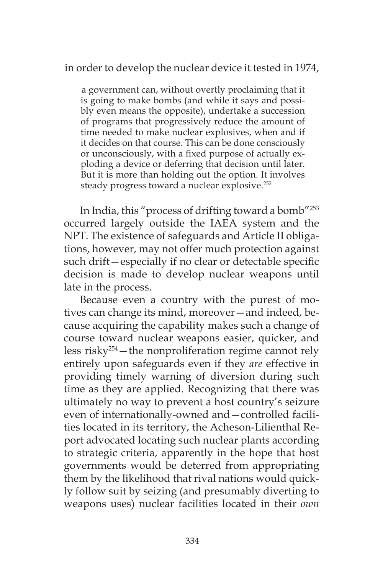in order to develop the nuclear device it tested in 1974,

a government can, without overtly proclaiming that it is going to make bombs (and while it says and possibly even means the opposite), undertake a succession of programs that progressively reduce the amount of time needed to make nuclear explosives, when and if it decides on that course. This can be done consciously or unconsciously, with a fixed purpose of actually exploding a device or deferring that decision until later. But it is more than holding out the option. It involves steady progress toward a nuclear explosive.<sup>252</sup>

In India, this "process of drifting toward a bomb"253 occurred largely outside the IAEA system and the NPT. The existence of safeguards and Article II obligations, however, may not offer much protection against such drift—especially if no clear or detectable specific decision is made to develop nuclear weapons until late in the process.

Because even a country with the purest of motives can change its mind, moreover—and indeed, because acquiring the capability makes such a change of course toward nuclear weapons easier, quicker, and less risky254—the nonproliferation regime cannot rely entirely upon safeguards even if they *are* effective in providing timely warning of diversion during such time as they are applied. Recognizing that there was ultimately no way to prevent a host country's seizure even of internationally-owned and—controlled facilities located in its territory, the Acheson-Lilienthal Report advocated locating such nuclear plants according to strategic criteria, apparently in the hope that host governments would be deterred from appropriating them by the likelihood that rival nations would quickly follow suit by seizing (and presumably diverting to weapons uses) nuclear facilities located in their *own*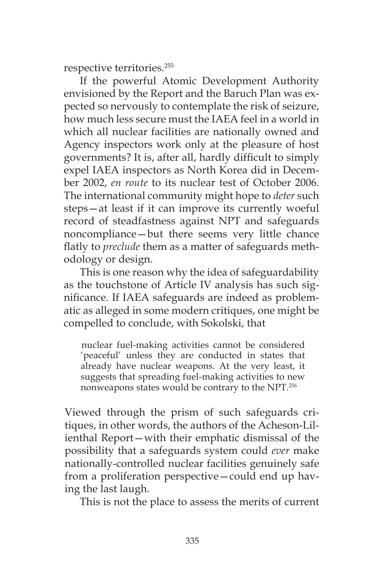respective territories.255

If the powerful Atomic Development Authority envisioned by the Report and the Baruch Plan was expected so nervously to contemplate the risk of seizure, how much less secure must the IAEA feel in a world in which all nuclear facilities are nationally owned and Agency inspectors work only at the pleasure of host governments? It is, after all, hardly difficult to simply expel IAEA inspectors as North Korea did in December 2002, *en route* to its nuclear test of October 2006. The international community might hope to *deter* such steps—at least if it can improve its currently woeful record of steadfastness against NPT and safeguards noncompliance—but there seems very little chance flatly to *preclude* them as a matter of safeguards methodology or design.

This is one reason why the idea of safeguardability as the touchstone of Article IV analysis has such significance. If IAEA safeguards are indeed as problematic as alleged in some modern critiques, one might be compelled to conclude, with Sokolski, that

nuclear fuel-making activities cannot be considered 'peaceful' unless they are conducted in states that already have nuclear weapons. At the very least, it suggests that spreading fuel-making activities to new nonweapons states would be contrary to the NPT.256

Viewed through the prism of such safeguards critiques, in other words, the authors of the Acheson-Lilienthal Report—with their emphatic dismissal of the possibility that a safeguards system could *ever* make nationally-controlled nuclear facilities genuinely safe from a proliferation perspective—could end up having the last laugh.

This is not the place to assess the merits of current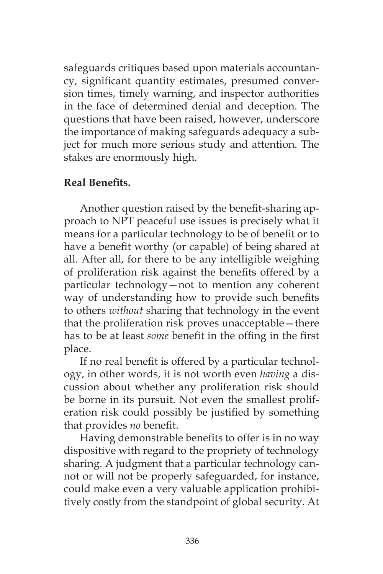safeguards critiques based upon materials accountancy, significant quantity estimates, presumed conversion times, timely warning, and inspector authorities in the face of determined denial and deception. The questions that have been raised, however, underscore the importance of making safeguards adequacy a subject for much more serious study and attention. The stakes are enormously high.

#### **Real Benefits.**

Another question raised by the benefit-sharing approach to NPT peaceful use issues is precisely what it means for a particular technology to be of benefit or to have a benefit worthy (or capable) of being shared at all. After all, for there to be any intelligible weighing of proliferation risk against the benefits offered by a particular technology—not to mention any coherent way of understanding how to provide such benefits to others *without* sharing that technology in the event that the proliferation risk proves unacceptable—there has to be at least *some* benefit in the offing in the first place.

If no real benefit is offered by a particular technology, in other words, it is not worth even *having* a discussion about whether any proliferation risk should be borne in its pursuit. Not even the smallest proliferation risk could possibly be justified by something that provides *no* benefit.

Having demonstrable benefits to offer is in no way dispositive with regard to the propriety of technology sharing. A judgment that a particular technology cannot or will not be properly safeguarded, for instance, could make even a very valuable application prohibitively costly from the standpoint of global security. At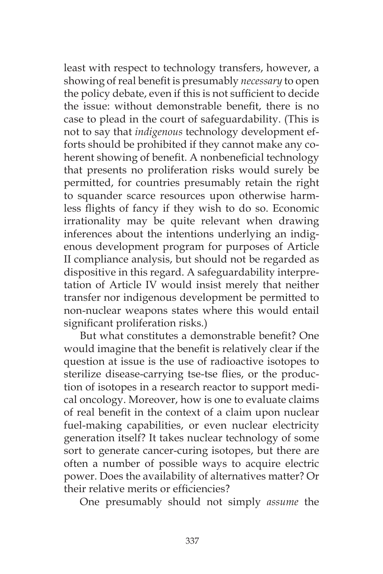least with respect to technology transfers, however, a showing of real benefit is presumably *necessary* to open the policy debate, even if this is not sufficient to decide the issue: without demonstrable benefit, there is no case to plead in the court of safeguardability. (This is not to say that *indigenous* technology development efforts should be prohibited if they cannot make any coherent showing of benefit. A nonbeneficial technology that presents no proliferation risks would surely be permitted, for countries presumably retain the right to squander scarce resources upon otherwise harmless flights of fancy if they wish to do so. Economic irrationality may be quite relevant when drawing inferences about the intentions underlying an indigenous development program for purposes of Article II compliance analysis, but should not be regarded as dispositive in this regard. A safeguardability interpretation of Article IV would insist merely that neither transfer nor indigenous development be permitted to non-nuclear weapons states where this would entail significant proliferation risks.)

But what constitutes a demonstrable benefit? One would imagine that the benefit is relatively clear if the question at issue is the use of radioactive isotopes to sterilize disease-carrying tse-tse flies, or the production of isotopes in a research reactor to support medical oncology. Moreover, how is one to evaluate claims of real benefit in the context of a claim upon nuclear fuel-making capabilities, or even nuclear electricity generation itself? It takes nuclear technology of some sort to generate cancer-curing isotopes, but there are often a number of possible ways to acquire electric power. Does the availability of alternatives matter? Or their relative merits or efficiencies?

One presumably should not simply *assume* the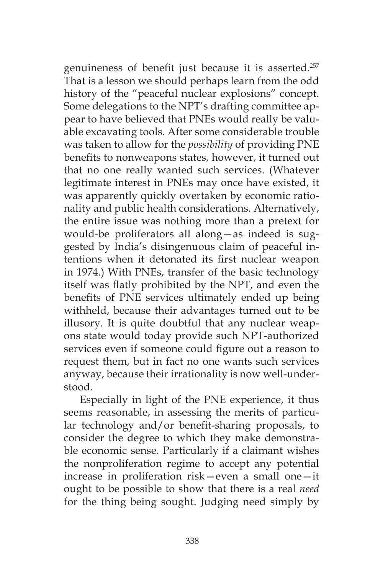genuineness of benefit just because it is asserted.<sup>257</sup> That is a lesson we should perhaps learn from the odd history of the "peaceful nuclear explosions" concept. Some delegations to the NPT's drafting committee appear to have believed that PNEs would really be valuable excavating tools. After some considerable trouble was taken to allow for the *possibility* of providing PNE benefits to nonweapons states, however, it turned out that no one really wanted such services. (Whatever legitimate interest in PNEs may once have existed, it was apparently quickly overtaken by economic rationality and public health considerations. Alternatively, the entire issue was nothing more than a pretext for would-be proliferators all along—as indeed is suggested by India's disingenuous claim of peaceful intentions when it detonated its first nuclear weapon in 1974.) With PNEs, transfer of the basic technology itself was flatly prohibited by the NPT, and even the benefits of PNE services ultimately ended up being withheld, because their advantages turned out to be illusory. It is quite doubtful that any nuclear weapons state would today provide such NPT-authorized services even if someone could figure out a reason to request them, but in fact no one wants such services anyway, because their irrationality is now well-understood.

Especially in light of the PNE experience, it thus seems reasonable, in assessing the merits of particular technology and/or benefit-sharing proposals, to consider the degree to which they make demonstrable economic sense. Particularly if a claimant wishes the nonproliferation regime to accept any potential increase in proliferation risk—even a small one—it ought to be possible to show that there is a real *need*  for the thing being sought. Judging need simply by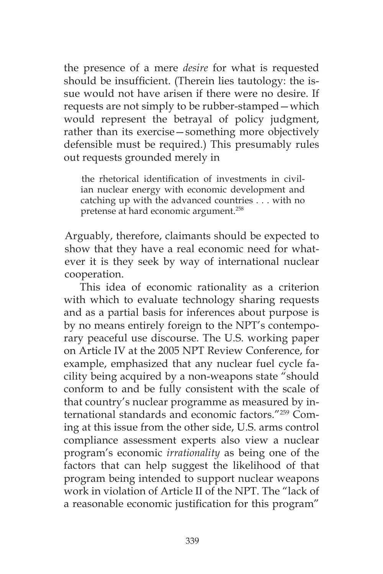the presence of a mere *desire* for what is requested should be insufficient. (Therein lies tautology: the issue would not have arisen if there were no desire. If requests are not simply to be rubber-stamped—which would represent the betrayal of policy judgment, rather than its exercise—something more objectively defensible must be required.) This presumably rules out requests grounded merely in

the rhetorical identification of investments in civilian nuclear energy with economic development and catching up with the advanced countries . . . with no pretense at hard economic argument.258

Arguably, therefore, claimants should be expected to show that they have a real economic need for whatever it is they seek by way of international nuclear cooperation.

This idea of economic rationality as a criterion with which to evaluate technology sharing requests and as a partial basis for inferences about purpose is by no means entirely foreign to the NPT's contemporary peaceful use discourse. The U.S. working paper on Article IV at the 2005 NPT Review Conference, for example, emphasized that any nuclear fuel cycle facility being acquired by a non-weapons state "should conform to and be fully consistent with the scale of that country's nuclear programme as measured by international standards and economic factors."259 Coming at this issue from the other side, U.S. arms control compliance assessment experts also view a nuclear program's economic *irrationality* as being one of the factors that can help suggest the likelihood of that program being intended to support nuclear weapons work in violation of Article II of the NPT. The "lack of a reasonable economic justification for this program"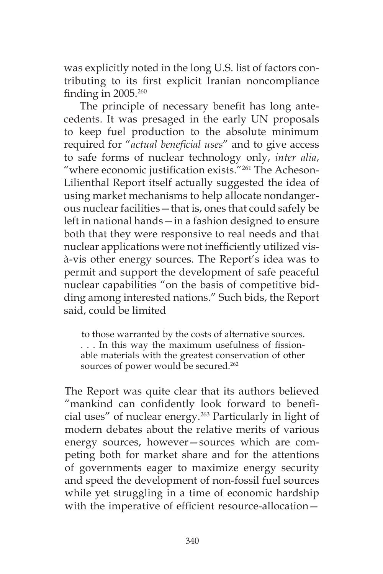was explicitly noted in the long U.S. list of factors contributing to its first explicit Iranian noncompliance finding in  $2005.^{260}$ 

The principle of necessary benefit has long antecedents. It was presaged in the early UN proposals to keep fuel production to the absolute minimum required for "*actual beneficial uses*" and to give access to safe forms of nuclear technology only, *inter alia*, "where economic justification exists."261 The Acheson-Lilienthal Report itself actually suggested the idea of using market mechanisms to help allocate nondangerous nuclear facilities—that is, ones that could safely be left in national hands—in a fashion designed to ensure both that they were responsive to real needs and that nuclear applications were not inefficiently utilized visà-vis other energy sources. The Report's idea was to permit and support the development of safe peaceful nuclear capabilities "on the basis of competitive bidding among interested nations." Such bids, the Report said, could be limited

to those warranted by the costs of alternative sources. . . . In this way the maximum usefulness of fissionable materials with the greatest conservation of other sources of power would be secured.<sup>262</sup>

The Report was quite clear that its authors believed "mankind can confidently look forward to beneficial uses" of nuclear energy.263 Particularly in light of modern debates about the relative merits of various energy sources, however—sources which are competing both for market share and for the attentions of governments eager to maximize energy security and speed the development of non-fossil fuel sources while yet struggling in a time of economic hardship with the imperative of efficient resource-allocation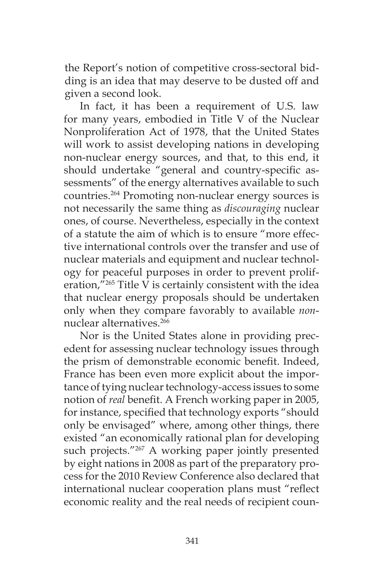the Report's notion of competitive cross-sectoral bidding is an idea that may deserve to be dusted off and given a second look.

In fact, it has been a requirement of U.S. law for many years, embodied in Title V of the Nuclear Nonproliferation Act of 1978, that the United States will work to assist developing nations in developing non-nuclear energy sources, and that, to this end, it should undertake "general and country-specific assessments" of the energy alternatives available to such countries.264 Promoting non-nuclear energy sources is not necessarily the same thing as *discouraging* nuclear ones, of course. Nevertheless, especially in the context of a statute the aim of which is to ensure "more effective international controls over the transfer and use of nuclear materials and equipment and nuclear technology for peaceful purposes in order to prevent proliferation,"265 Title V is certainly consistent with the idea that nuclear energy proposals should be undertaken only when they compare favorably to available *non*nuclear alternatives<sup>266</sup>

Nor is the United States alone in providing precedent for assessing nuclear technology issues through the prism of demonstrable economic benefit. Indeed, France has been even more explicit about the importance of tying nuclear technology-access issues to some notion of *real* benefit. A French working paper in 2005, for instance, specified that technology exports "should only be envisaged" where, among other things, there existed "an economically rational plan for developing such projects."<sup>267</sup> A working paper jointly presented by eight nations in 2008 as part of the preparatory process for the 2010 Review Conference also declared that international nuclear cooperation plans must "reflect economic reality and the real needs of recipient coun-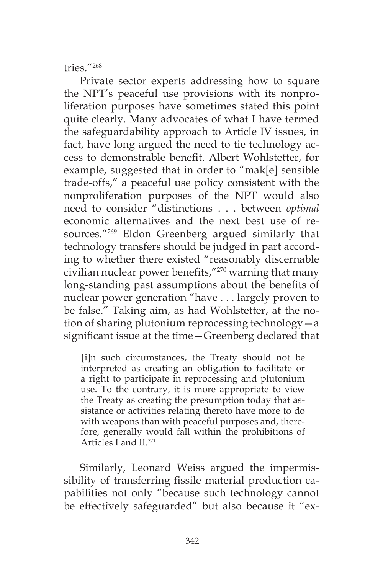#### tries."268

Private sector experts addressing how to square the NPT's peaceful use provisions with its nonproliferation purposes have sometimes stated this point quite clearly. Many advocates of what I have termed the safeguardability approach to Article IV issues, in fact, have long argued the need to tie technology access to demonstrable benefit. Albert Wohlstetter, for example, suggested that in order to "mak[e] sensible trade-offs," a peaceful use policy consistent with the nonproliferation purposes of the NPT would also need to consider "distinctions . . . between *optimal*  economic alternatives and the next best use of resources."269 Eldon Greenberg argued similarly that technology transfers should be judged in part according to whether there existed "reasonably discernable civilian nuclear power benefits,"270 warning that many long-standing past assumptions about the benefits of nuclear power generation "have . . . largely proven to be false." Taking aim, as had Wohlstetter, at the notion of sharing plutonium reprocessing technology—a significant issue at the time—Greenberg declared that

[i]n such circumstances, the Treaty should not be interpreted as creating an obligation to facilitate or a right to participate in reprocessing and plutonium use. To the contrary, it is more appropriate to view the Treaty as creating the presumption today that assistance or activities relating thereto have more to do with weapons than with peaceful purposes and, therefore, generally would fall within the prohibitions of Articles I and II.<sup>271</sup>

Similarly, Leonard Weiss argued the impermissibility of transferring fissile material production capabilities not only "because such technology cannot be effectively safeguarded" but also because it "ex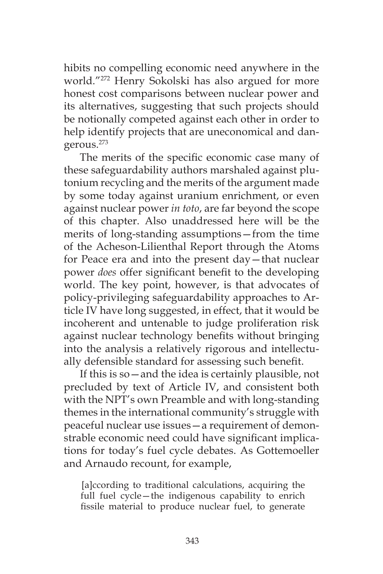hibits no compelling economic need anywhere in the world."272 Henry Sokolski has also argued for more honest cost comparisons between nuclear power and its alternatives, suggesting that such projects should be notionally competed against each other in order to help identify projects that are uneconomical and dangerous.273

The merits of the specific economic case many of these safeguardability authors marshaled against plutonium recycling and the merits of the argument made by some today against uranium enrichment, or even against nuclear power *in toto*, are far beyond the scope of this chapter. Also unaddressed here will be the merits of long-standing assumptions—from the time of the Acheson-Lilienthal Report through the Atoms for Peace era and into the present day—that nuclear power *does* offer significant benefit to the developing world. The key point, however, is that advocates of policy-privileging safeguardability approaches to Article IV have long suggested, in effect, that it would be incoherent and untenable to judge proliferation risk against nuclear technology benefits without bringing into the analysis a relatively rigorous and intellectually defensible standard for assessing such benefit.

If this is so—and the idea is certainly plausible, not precluded by text of Article IV, and consistent both with the NPT's own Preamble and with long-standing themes in the international community's struggle with peaceful nuclear use issues—a requirement of demonstrable economic need could have significant implications for today's fuel cycle debates. As Gottemoeller and Arnaudo recount, for example,

[a]ccording to traditional calculations, acquiring the full fuel cycle—the indigenous capability to enrich fissile material to produce nuclear fuel, to generate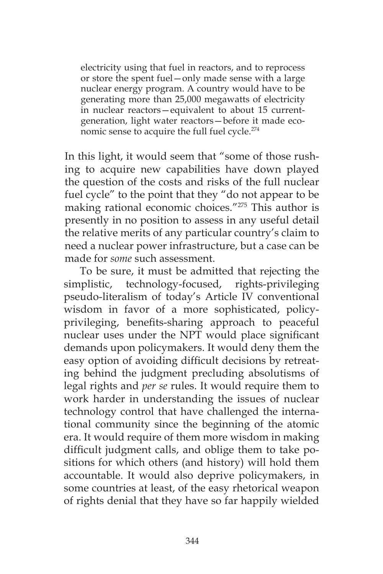electricity using that fuel in reactors, and to reprocess or store the spent fuel—only made sense with a large nuclear energy program. A country would have to be generating more than 25,000 megawatts of electricity in nuclear reactors—equivalent to about 15 currentgeneration, light water reactors—before it made economic sense to acquire the full fuel cycle.<sup>274</sup>

In this light, it would seem that "some of those rushing to acquire new capabilities have down played the question of the costs and risks of the full nuclear fuel cycle" to the point that they "do not appear to be making rational economic choices."275 This author is presently in no position to assess in any useful detail the relative merits of any particular country's claim to need a nuclear power infrastructure, but a case can be made for *some* such assessment.

To be sure, it must be admitted that rejecting the simplistic, technology-focused, rights-privileging pseudo-literalism of today's Article IV conventional wisdom in favor of a more sophisticated, policyprivileging, benefits-sharing approach to peaceful nuclear uses under the NPT would place significant demands upon policymakers. It would deny them the easy option of avoiding difficult decisions by retreating behind the judgment precluding absolutisms of legal rights and *per se* rules. It would require them to work harder in understanding the issues of nuclear technology control that have challenged the international community since the beginning of the atomic era. It would require of them more wisdom in making difficult judgment calls, and oblige them to take positions for which others (and history) will hold them accountable. It would also deprive policymakers, in some countries at least, of the easy rhetorical weapon of rights denial that they have so far happily wielded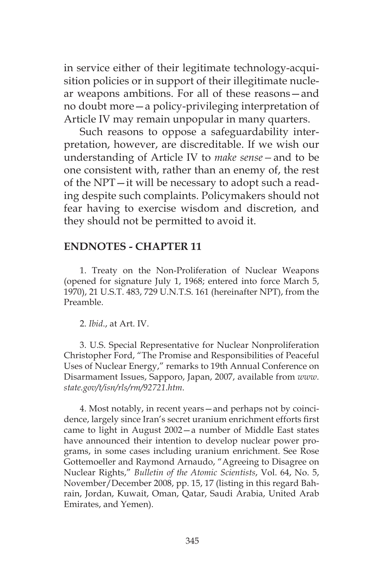in service either of their legitimate technology-acquisition policies or in support of their illegitimate nuclear weapons ambitions. For all of these reasons—and no doubt more—a policy-privileging interpretation of Article IV may remain unpopular in many quarters.

Such reasons to oppose a safeguardability interpretation, however, are discreditable. If we wish our understanding of Article IV to *make sense—*and to be one consistent with, rather than an enemy of, the rest of the NPT—it will be necessary to adopt such a reading despite such complaints. Policymakers should not fear having to exercise wisdom and discretion, and they should not be permitted to avoid it.

# **ENDNOTES - CHAPTER 11**

1. Treaty on the Non-Proliferation of Nuclear Weapons (opened for signature July 1, 1968; entered into force March 5, 1970), 21 U.S.T. 483, 729 U.N.T.S. 161 (hereinafter NPT), from the Preamble.

2. *Ibid*., at Art. IV.

3. U.S. Special Representative for Nuclear Nonproliferation Christopher Ford, "The Promise and Responsibilities of Peaceful Uses of Nuclear Energy," remarks to 19th Annual Conference on Disarmament Issues, Sapporo, Japan, 2007, available from *www. state.gov/t/isn/rls/rm/92721.htm*.

4. Most notably, in recent years—and perhaps not by coincidence, largely since Iran's secret uranium enrichment efforts first came to light in August 2002—a number of Middle East states have announced their intention to develop nuclear power programs, in some cases including uranium enrichment. See Rose Gottemoeller and Raymond Arnaudo, "Agreeing to Disagree on Nuclear Rights," *Bulletin of the Atomic Scientists*, Vol. 64, No. 5, November/December 2008, pp. 15, 17 (listing in this regard Bahrain, Jordan, Kuwait, Oman, Qatar, Saudi Arabia, United Arab Emirates, and Yemen).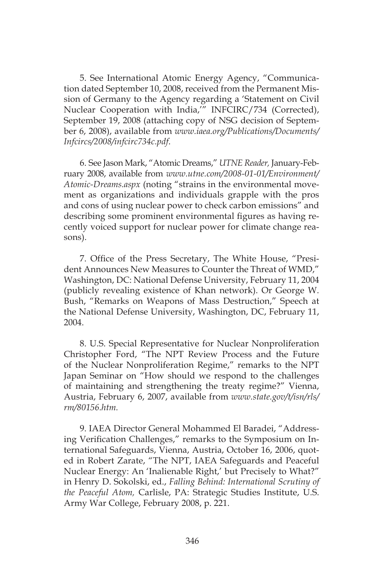5. See International Atomic Energy Agency, "Communication dated September 10, 2008, received from the Permanent Mission of Germany to the Agency regarding a 'Statement on Civil Nuclear Cooperation with India,'" INFCIRC/734 (Corrected), September 19, 2008 (attaching copy of NSG decision of September 6, 2008), available from *www.iaea.org/Publications/Documents/ Infcircs/2008/infcirc734c.pdf*.

6. See Jason Mark, "Atomic Dreams," *UTNE Reader,* January-February 2008, available from *www.utne.com/2008-01-01/Environment/ Atomic-Dreams.aspx* (noting "strains in the environmental movement as organizations and individuals grapple with the pros and cons of using nuclear power to check carbon emissions" and describing some prominent environmental figures as having recently voiced support for nuclear power for climate change reasons).

7. Office of the Press Secretary, The White House, "President Announces New Measures to Counter the Threat of WMD," Washington, DC: National Defense University, February 11, 2004 (publicly revealing existence of Khan network). Or George W. Bush, "Remarks on Weapons of Mass Destruction," Speech at the National Defense University, Washington, DC, February 11, 2004.

8. U.S. Special Representative for Nuclear Nonproliferation Christopher Ford, "The NPT Review Process and the Future of the Nuclear Nonproliferation Regime," remarks to the NPT Japan Seminar on "How should we respond to the challenges of maintaining and strengthening the treaty regime?" Vienna, Austria, February 6, 2007, available from *www.state.gov/t/isn/rls/ rm/80156.htm.*

9. IAEA Director General Mohammed El Baradei, "Addressing Verification Challenges," remarks to the Symposium on International Safeguards, Vienna, Austria, October 16, 2006, quoted in Robert Zarate, "The NPT, IAEA Safeguards and Peaceful Nuclear Energy: An 'Inalienable Right,' but Precisely to What?" in Henry D. Sokolski, ed., *Falling Behind: International Scrutiny of the Peaceful Atom,* Carlisle, PA: Strategic Studies Institute, U.S. Army War College, February 2008, p. 221.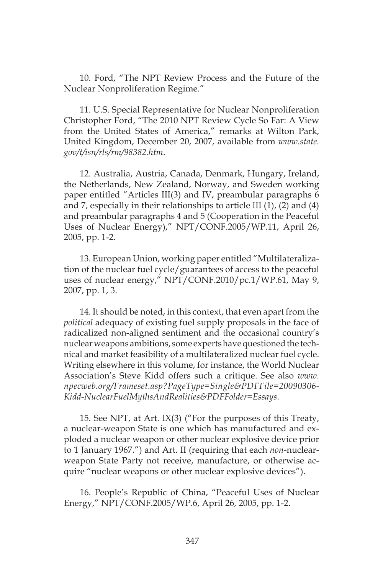10. Ford, "The NPT Review Process and the Future of the Nuclear Nonproliferation Regime."

11. U.S. Special Representative for Nuclear Nonproliferation Christopher Ford, "The 2010 NPT Review Cycle So Far: A View from the United States of America," remarks at Wilton Park, United Kingdom, December 20, 2007, available from *www.state. gov/t/isn/rls/rm/98382.htm*.

12. Australia, Austria, Canada, Denmark, Hungary, Ireland, the Netherlands, New Zealand, Norway, and Sweden working paper entitled "Articles III(3) and IV, preambular paragraphs 6 and 7, especially in their relationships to article III (1), (2) and (4) and preambular paragraphs 4 and 5 (Cooperation in the Peaceful Uses of Nuclear Energy)," NPT/CONF.2005/WP.11, April 26, 2005, pp. 1-2.

13. European Union, working paper entitled "Multilateralization of the nuclear fuel cycle/guarantees of access to the peaceful uses of nuclear energy," NPT/CONF.2010/pc.1/WP.61, May 9, 2007, pp. 1, 3.

14. It should be noted, in this context, that even apart from the *political* adequacy of existing fuel supply proposals in the face of radicalized non-aligned sentiment and the occasional country's nuclear weapons ambitions, some experts have questioned the technical and market feasibility of a multilateralized nuclear fuel cycle. Writing elsewhere in this volume, for instance, the World Nuclear Association's Steve Kidd offers such a critique. See also *www. npecweb.org/Frameset.asp?PageType=Single&PDFFile=20090306- Kidd-NuclearFuelMythsAndRealities&PDFFolder=Essays*.

15. See NPT, at Art. IX(3) ("For the purposes of this Treaty, a nuclear-weapon State is one which has manufactured and exploded a nuclear weapon or other nuclear explosive device prior to 1 January 1967.") and Art. II (requiring that each *non*-nuclearweapon State Party not receive, manufacture, or otherwise acquire "nuclear weapons or other nuclear explosive devices").

16. People's Republic of China, "Peaceful Uses of Nuclear Energy," NPT/CONF.2005/WP.6, April 26, 2005, pp. 1-2.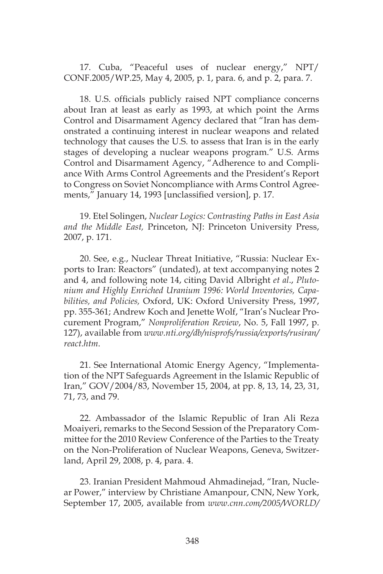17. Cuba, "Peaceful uses of nuclear energy," NPT/ CONF.2005/WP.25, May 4, 2005, p. 1, para. 6, and p. 2, para. 7.

18. U.S. officials publicly raised NPT compliance concerns about Iran at least as early as 1993, at which point the Arms Control and Disarmament Agency declared that "Iran has demonstrated a continuing interest in nuclear weapons and related technology that causes the U.S. to assess that Iran is in the early stages of developing a nuclear weapons program." U.S. Arms Control and Disarmament Agency, "Adherence to and Compliance With Arms Control Agreements and the President's Report to Congress on Soviet Noncompliance with Arms Control Agreements," January 14, 1993 [unclassified version], p. 17.

19. Etel Solingen, *Nuclear Logics: Contrasting Paths in East Asia and the Middle East,* Princeton, NJ: Princeton University Press, 2007, p. 171.

20. See, e.g., Nuclear Threat Initiative, "Russia: Nuclear Exports to Iran: Reactors" (undated), at text accompanying notes 2 and 4, and following note 14, citing David Albright *et al*., *Plutonium and Highly Enriched Uranium 1996: World Inventories, Capabilities, and Policies,* Oxford, UK: Oxford University Press, 1997, pp. 355-361; Andrew Koch and Jenette Wolf, "Iran's Nuclear Procurement Program," *Nonproliferation Review*, No. 5, Fall 1997, p. 127), available from *www.nti.org/db/nisprofs/russia/exports/rusiran/ react.htm*.

21. See International Atomic Energy Agency, "Implementation of the NPT Safeguards Agreement in the Islamic Republic of Iran," GOV/2004/83, November 15, 2004, at pp. 8, 13, 14, 23, 31, 71, 73, and 79.

22. Ambassador of the Islamic Republic of Iran Ali Reza Moaiyeri, remarks to the Second Session of the Preparatory Committee for the 2010 Review Conference of the Parties to the Treaty on the Non-Proliferation of Nuclear Weapons, Geneva, Switzerland, April 29, 2008, p. 4, para. 4.

23. Iranian President Mahmoud Ahmadinejad, "Iran, Nuclear Power," interview by Christiane Amanpour, CNN, New York, September 17, 2005, available from *www.cnn.com/2005/WORLD/*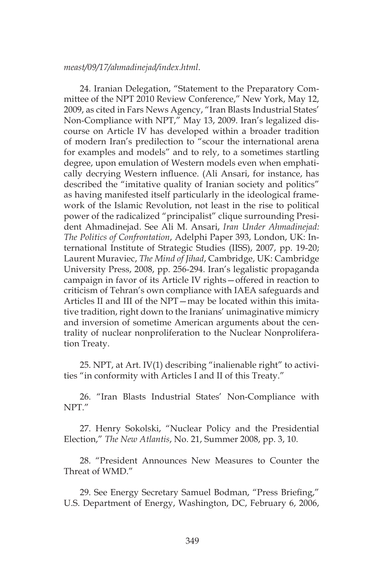#### *meast/09/17/ahmadinejad/index.html*.

24. Iranian Delegation, "Statement to the Preparatory Committee of the NPT 2010 Review Conference," New York, May 12, 2009, as cited in Fars News Agency, "Iran Blasts Industrial States' Non-Compliance with NPT," May 13, 2009. Iran's legalized discourse on Article IV has developed within a broader tradition of modern Iran's predilection to "scour the international arena for examples and models" and to rely, to a sometimes startling degree, upon emulation of Western models even when emphatically decrying Western influence. (Ali Ansari, for instance, has described the "imitative quality of Iranian society and politics" as having manifested itself particularly in the ideological framework of the Islamic Revolution, not least in the rise to political power of the radicalized "principalist" clique surrounding President Ahmadinejad. See Ali M. Ansari, *Iran Under Ahmadinejad: The Politics of Confrontation*, Adelphi Paper 393, London, UK: International Institute of Strategic Studies (IISS), 2007, pp. 19-20; Laurent Muraviec, *The Mind of Jihad*, Cambridge, UK: Cambridge University Press, 2008, pp. 256-294. Iran's legalistic propaganda campaign in favor of its Article IV rights—offered in reaction to criticism of Tehran's own compliance with IAEA safeguards and Articles II and III of the NPT—may be located within this imitative tradition, right down to the Iranians' unimaginative mimicry and inversion of sometime American arguments about the centrality of nuclear nonproliferation to the Nuclear Nonproliferation Treaty.

25. NPT, at Art. IV(1) describing "inalienable right" to activities "in conformity with Articles I and II of this Treaty."

26. "Iran Blasts Industrial States' Non-Compliance with NPT."

27. Henry Sokolski, "Nuclear Policy and the Presidential Election," *The New Atlantis*, No. 21, Summer 2008, pp. 3, 10.

28. "President Announces New Measures to Counter the Threat of WMD."

29. See Energy Secretary Samuel Bodman, "Press Briefing," U.S. Department of Energy, Washington, DC, February 6, 2006,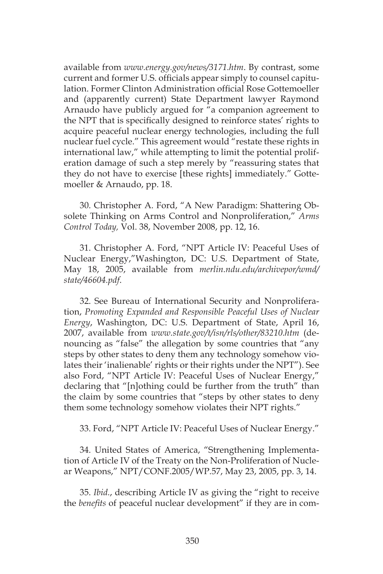available from *www.energy.gov/news/3171.htm*. By contrast, some current and former U.S. officials appear simply to counsel capitulation. Former Clinton Administration official Rose Gottemoeller and (apparently current) State Department lawyer Raymond Arnaudo have publicly argued for "a companion agreement to the NPT that is specifically designed to reinforce states' rights to acquire peaceful nuclear energy technologies, including the full nuclear fuel cycle." This agreement would "restate these rights in international law," while attempting to limit the potential proliferation damage of such a step merely by "reassuring states that they do not have to exercise [these rights] immediately." Gottemoeller & Arnaudo, pp. 18.

30. Christopher A. Ford, "A New Paradigm: Shattering Obsolete Thinking on Arms Control and Nonproliferation," *Arms Control Today,* Vol. 38, November 2008, pp. 12, 16.

31. Christopher A. Ford, "NPT Article IV: Peaceful Uses of Nuclear Energy,"Washington, DC: U.S. Department of State, May 18, 2005, available from *merlin.ndu.edu/archivepor/wmd/ state/46604.pdf*.

32. See Bureau of International Security and Nonproliferation, *Promoting Expanded and Responsible Peaceful Uses of Nuclear Energy*, Washington, DC: U.S. Department of State, April 16, 2007, available from *www.state.gov/t/isn/rls/other/83210.htm* (denouncing as "false" the allegation by some countries that "any steps by other states to deny them any technology somehow violates their 'inalienable' rights or their rights under the NPT"). See also Ford, "NPT Article IV: Peaceful Uses of Nuclear Energy," declaring that "[n]othing could be further from the truth" than the claim by some countries that "steps by other states to deny them some technology somehow violates their NPT rights."

33. Ford, "NPT Article IV: Peaceful Uses of Nuclear Energy."

34. United States of America, "Strengthening Implementation of Article IV of the Treaty on the Non-Proliferation of Nuclear Weapons," NPT/CONF.2005/WP.57, May 23, 2005, pp. 3, 14.

35. *Ibid.*, describing Article IV as giving the "right to receive the *benefits* of peaceful nuclear development" if they are in com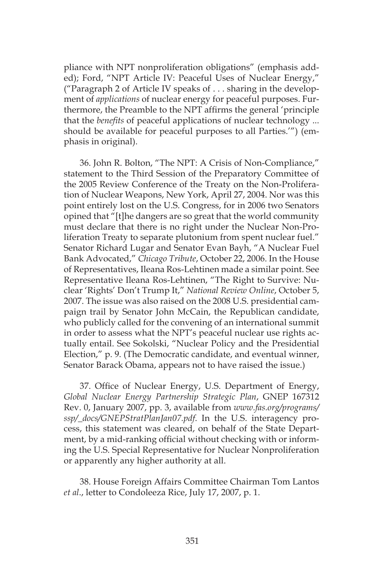pliance with NPT nonproliferation obligations" (emphasis added); Ford, "NPT Article IV: Peaceful Uses of Nuclear Energy," ("Paragraph 2 of Article IV speaks of . . . sharing in the development of *applications* of nuclear energy for peaceful purposes. Furthermore, the Preamble to the NPT affirms the general 'principle that the *benefits* of peaceful applications of nuclear technology ... should be available for peaceful purposes to all Parties.'") (emphasis in original).

36. John R. Bolton, "The NPT: A Crisis of Non-Compliance," statement to the Third Session of the Preparatory Committee of the 2005 Review Conference of the Treaty on the Non-Proliferation of Nuclear Weapons, New York, April 27, 2004. Nor was this point entirely lost on the U.S. Congress, for in 2006 two Senators opined that "[t]he dangers are so great that the world community must declare that there is no right under the Nuclear Non-Proliferation Treaty to separate plutonium from spent nuclear fuel." Senator Richard Lugar and Senator Evan Bayh, "A Nuclear Fuel Bank Advocated," *Chicago Tribute*, October 22, 2006. In the House of Representatives, Ileana Ros-Lehtinen made a similar point. See Representative Ileana Ros-Lehtinen, "The Right to Survive: Nuclear 'Rights' Don't Trump It," *National Review Online*, October 5, 2007. The issue was also raised on the 2008 U.S. presidential campaign trail by Senator John McCain, the Republican candidate, who publicly called for the convening of an international summit in order to assess what the NPT's peaceful nuclear use rights actually entail. See Sokolski, "Nuclear Policy and the Presidential Election," p. 9. (The Democratic candidate, and eventual winner, Senator Barack Obama, appears not to have raised the issue.)

37. Office of Nuclear Energy, U.S. Department of Energy, *Global Nuclear Energy Partnership Strategic Plan*, GNEP 167312 Rev. 0, January 2007, pp. 3, available from *www.fas.org/programs/ ssp/\_docs/GNEPStratPlanJan07.pdf*. In the U.S. interagency process, this statement was cleared, on behalf of the State Department, by a mid-ranking official without checking with or informing the U.S. Special Representative for Nuclear Nonproliferation or apparently any higher authority at all.

38. House Foreign Affairs Committee Chairman Tom Lantos *et al*., letter to Condoleeza Rice, July 17, 2007, p. 1.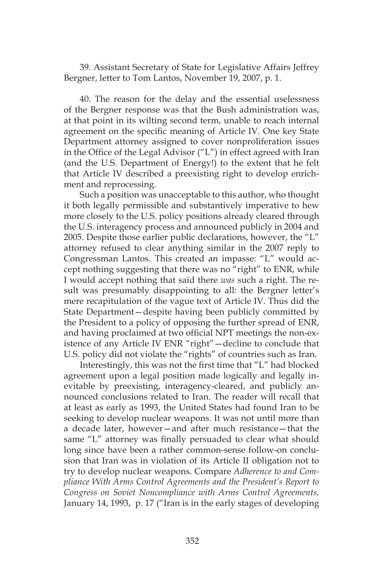39. Assistant Secretary of State for Legislative Affairs Jeffrey Bergner, letter to Tom Lantos, November 19, 2007, p. 1.

40. The reason for the delay and the essential uselessness of the Bergner response was that the Bush administration was, at that point in its wilting second term, unable to reach internal agreement on the specific meaning of Article IV. One key State Department attorney assigned to cover nonproliferation issues in the Office of the Legal Advisor ("L") in effect agreed with Iran (and the U.S. Department of Energy!) to the extent that he felt that Article IV described a preexisting right to develop enrichment and reprocessing.

Such a position was unacceptable to this author, who thought it both legally permissible and substantively imperative to hew more closely to the U.S. policy positions already cleared through the U.S. interagency process and announced publicly in 2004 and 2005. Despite those earlier public declarations, however, the "L" attorney refused to clear anything similar in the 2007 reply to Congressman Lantos. This created an impasse: "L" would accept nothing suggesting that there was no "right" to ENR, while I would accept nothing that said there *was* such a right. The result was presumably disappointing to all: the Bergner letter's mere recapitulation of the vague text of Article IV. Thus did the State Department—despite having been publicly committed by the President to a policy of opposing the further spread of ENR, and having proclaimed at two official NPT meetings the non-existence of any Article IV ENR "right"—decline to conclude that U.S. policy did not violate the "rights" of countries such as Iran.

Interestingly, this was not the first time that "L" had blocked agreement upon a legal position made logically and legally inevitable by preexisting, interagency-cleared, and publicly announced conclusions related to Iran. The reader will recall that at least as early as 1993, the United States had found Iran to be seeking to develop nuclear weapons. It was not until more than a decade later, however—and after much resistance—that the same "L" attorney was finally persuaded to clear what should long since have been a rather common-sense follow-on conclusion that Iran was in violation of its Article II obligation not to try to develop nuclear weapons. Compare *Adherence to and Compliance With Arms Control Agreements and the President's Report to Congress on Soviet Noncompliance with Arms Control Agreements,*  January 14, 1993, p. 17 ("Iran is in the early stages of developing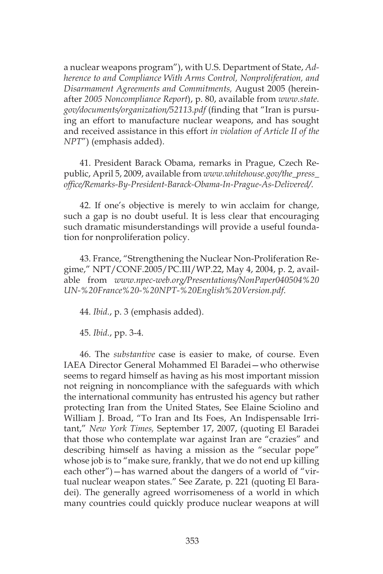a nuclear weapons program"), with U.S. Department of State, *Adherence to and Compliance With Arms Control, Nonproliferation, and Disarmament Agreements and Commitments,* August 2005 (hereinafter *2005 Noncompliance Report*), p. 80, available from *www.state. gov/documents/organization/52113.pdf* (finding that "Iran is pursuing an effort to manufacture nuclear weapons, and has sought and received assistance in this effort *in violation of Article II of the NPT*") (emphasis added).

41. President Barack Obama, remarks in Prague, Czech Republic, April 5, 2009, available from *www.whitehouse.gov/the\_press\_ office/Remarks-By-President-Barack-Obama-In-Prague-As-Delivered/*.

42. If one's objective is merely to win acclaim for change, such a gap is no doubt useful. It is less clear that encouraging such dramatic misunderstandings will provide a useful foundation for nonproliferation policy.

43. France, "Strengthening the Nuclear Non-Proliferation Regime," NPT/CONF.2005/PC.III/WP.22, May 4, 2004, p. 2, available from *www.npec-web.org/Presentations/NonPaper040504%20 UN-%20France%20-%20NPT-%20English%20Version.pdf*.

44. *Ibid.*, p. 3 (emphasis added).

45. *Ibid.*, pp. 3-4.

46. The *substantive* case is easier to make, of course. Even IAEA Director General Mohammed El Baradei—who otherwise seems to regard himself as having as his most important mission not reigning in noncompliance with the safeguards with which the international community has entrusted his agency but rather protecting Iran from the United States, See Elaine Sciolino and William J. Broad, "To Iran and Its Foes, An Indispensable Irritant," *New York Times,* September 17, 2007, (quoting El Baradei that those who contemplate war against Iran are "crazies" and describing himself as having a mission as the "secular pope" whose job is to "make sure, frankly, that we do not end up killing each other")—has warned about the dangers of a world of "virtual nuclear weapon states." See Zarate, p. 221 (quoting El Baradei). The generally agreed worrisomeness of a world in which many countries could quickly produce nuclear weapons at will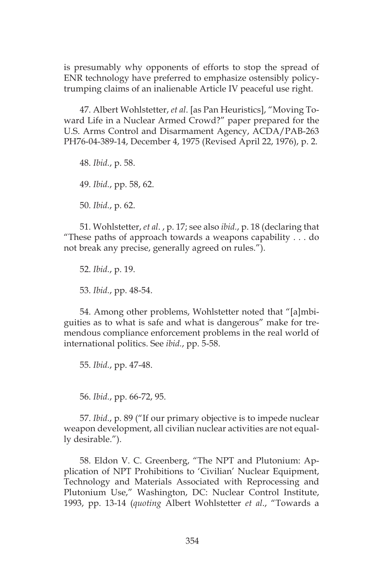is presumably why opponents of efforts to stop the spread of ENR technology have preferred to emphasize ostensibly policytrumping claims of an inalienable Article IV peaceful use right.

47. Albert Wohlstetter, *et al*. [as Pan Heuristics], "Moving Toward Life in a Nuclear Armed Crowd?" paper prepared for the U.S. Arms Control and Disarmament Agency, ACDA/PAB-263 PH76-04-389-14, December 4, 1975 (Revised April 22, 1976), p. 2.

48. *Ibid.*, p. 58. 49. *Ibid.*, pp. 58, 62. 50. *Ibid.*, p. 62.

51. Wohlstetter, *et al*. , p. 17; see also *ibid.*, p. 18 (declaring that "These paths of approach towards a weapons capability . . . do not break any precise, generally agreed on rules.").

52. *Ibid.*, p. 19. 53. *Ibid.*, pp. 48-54.

54. Among other problems, Wohlstetter noted that "[a]mbiguities as to what is safe and what is dangerous" make for tremendous compliance enforcement problems in the real world of international politics. See *ibid.*, pp. 5-58.

55. *Ibid.*, pp. 47-48.

56. *Ibid.*, pp. 66-72, 95.

57. *Ibid.*, p. 89 ("If our primary objective is to impede nuclear weapon development, all civilian nuclear activities are not equally desirable.").

58. Eldon V. C. Greenberg, "The NPT and Plutonium: Application of NPT Prohibitions to 'Civilian' Nuclear Equipment, Technology and Materials Associated with Reprocessing and Plutonium Use," Washington, DC: Nuclear Control Institute, 1993, pp. 13-14 (*quoting* Albert Wohlstetter *et al*., "Towards a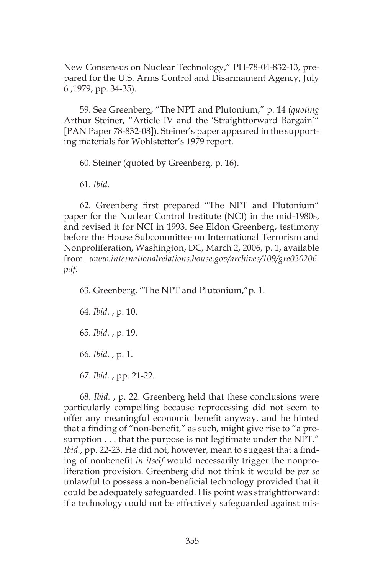New Consensus on Nuclear Technology," PH-78-04-832-13, prepared for the U.S. Arms Control and Disarmament Agency, July 6 ,1979, pp. 34-35).

59. See Greenberg, "The NPT and Plutonium," p. 14 (*quoting*  Arthur Steiner, "Article IV and the 'Straightforward Bargain'" [PAN Paper 78-832-08]). Steiner's paper appeared in the supporting materials for Wohlstetter's 1979 report.

60. Steiner (quoted by Greenberg, p. 16).

61. *Ibid.* 

62. Greenberg first prepared "The NPT and Plutonium" paper for the Nuclear Control Institute (NCI) in the mid-1980s, and revised it for NCI in 1993. See Eldon Greenberg, testimony before the House Subcommittee on International Terrorism and Nonproliferation, Washington, DC, March 2, 2006, p. 1, available from *www.internationalrelations.house.gov/archives/109/gre030206. pdf*.

63. Greenberg, "The NPT and Plutonium,"p. 1.

64. *Ibid.* , p. 10. 65. *Ibid.* , p. 19. 66. *Ibid.* , p. 1. 67. *Ibid.* , pp. 21-22.

68. *Ibid.* , p. 22. Greenberg held that these conclusions were particularly compelling because reprocessing did not seem to offer any meaningful economic benefit anyway, and he hinted that a finding of "non-benefit," as such, might give rise to "a presumption . . . that the purpose is not legitimate under the NPT." *Ibid.*, pp. 22-23. He did not, however, mean to suggest that a finding of nonbenefit *in itself* would necessarily trigger the nonproliferation provision. Greenberg did not think it would be *per se*  unlawful to possess a non-beneficial technology provided that it could be adequately safeguarded. His point was straightforward: if a technology could not be effectively safeguarded against mis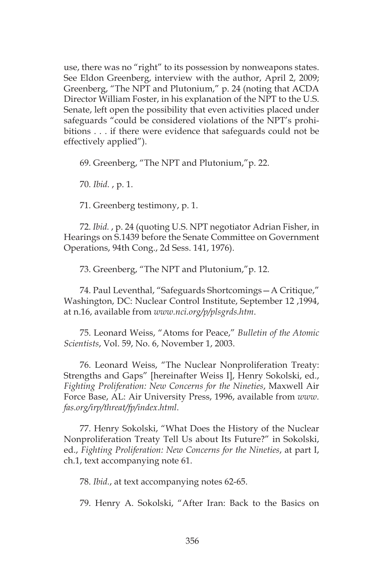use, there was no "right" to its possession by nonweapons states. See Eldon Greenberg, interview with the author, April 2, 2009; Greenberg, "The NPT and Plutonium," p. 24 (noting that ACDA Director William Foster, in his explanation of the NPT to the U.S. Senate, left open the possibility that even activities placed under safeguards "could be considered violations of the NPT's prohibitions . . . if there were evidence that safeguards could not be effectively applied").

69. Greenberg, "The NPT and Plutonium,"p. 22.

70. *Ibid.* , p. 1.

71. Greenberg testimony, p. 1.

72. *Ibid.* , p. 24 (quoting U.S. NPT negotiator Adrian Fisher, in Hearings on S.1439 before the Senate Committee on Government Operations, 94th Cong., 2d Sess. 141, 1976).

73. Greenberg, "The NPT and Plutonium,"p. 12.

74. Paul Leventhal, "Safeguards Shortcomings—A Critique," Washington, DC: Nuclear Control Institute, September 12 ,1994, at n.16, available from *www.nci.org/p/plsgrds.htm*.

75. Leonard Weiss, "Atoms for Peace," *Bulletin of the Atomic Scientists*, Vol. 59, No. 6, November 1, 2003.

76. Leonard Weiss, "The Nuclear Nonproliferation Treaty: Strengths and Gaps" [hereinafter Weiss I], Henry Sokolski, ed., *Fighting Proliferation: New Concerns for the Nineties*, Maxwell Air Force Base, AL: Air University Press, 1996, available from *www. fas.org/irp/threat/fp/index.html*.

77. Henry Sokolski, "What Does the History of the Nuclear Nonproliferation Treaty Tell Us about Its Future?" in Sokolski, ed., *Fighting Proliferation: New Concerns for the Nineties*, at part I, ch.1, text accompanying note 61.

78. *Ibid.*, at text accompanying notes 62-65.

79. Henry A. Sokolski, "After Iran: Back to the Basics on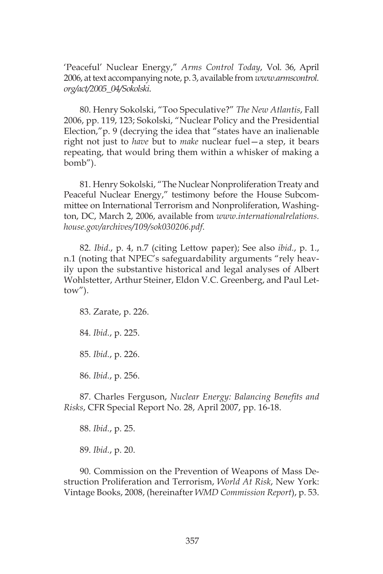'Peaceful' Nuclear Energy," *Arms Control Today*, Vol. 36, April 2006, at text accompanying note, p. 3, available from *www.armscontrol. org/act/2005\_04/Sokolski*.

80. Henry Sokolski, "Too Speculative?" *The New Atlantis*, Fall 2006, pp. 119, 123; Sokolski, "Nuclear Policy and the Presidential Election,"p. 9 (decrying the idea that "states have an inalienable right not just to *have* but to *make* nuclear fuel—a step, it bears repeating, that would bring them within a whisker of making a bomb").

81. Henry Sokolski, "The Nuclear Nonproliferation Treaty and Peaceful Nuclear Energy," testimony before the House Subcommittee on International Terrorism and Nonproliferation, Washington, DC, March 2, 2006, available from *www.internationalrelations. house.gov/archives/109/sok030206.pdf*.

82. *Ibid*., p. 4, n.7 (citing Lettow paper); See also *ibid.*, p. 1., n.1 (noting that NPEC's safeguardability arguments "rely heavily upon the substantive historical and legal analyses of Albert Wohlstetter, Arthur Steiner, Eldon V.C. Greenberg, and Paul Lettow").

83. Zarate, p. 226.

84. *Ibid.*, p. 225.

85. *Ibid.*, p. 226.

86. *Ibid.*, p. 256.

87. Charles Ferguson, *Nuclear Energy: Balancing Benefits and Risks*, CFR Special Report No. 28, April 2007, pp. 16-18.

88. *Ibid.*, p. 25.

89. *Ibid.*, p. 20.

90. Commission on the Prevention of Weapons of Mass Destruction Proliferation and Terrorism, *World At Risk*, New York: Vintage Books, 2008, (hereinafter *WMD Commission Report*), p. 53.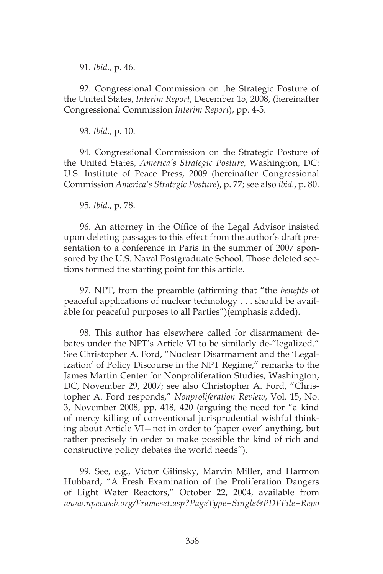91. *Ibid.*, p. 46.

92. Congressional Commission on the Strategic Posture of the United States, *Interim Report,* December 15, 2008, (hereinafter Congressional Commission *Interim Report*), pp. 4-5.

93. *Ibid*., p. 10.

94. Congressional Commission on the Strategic Posture of the United States, *America's Strategic Posture*, Washington, DC: U.S. Institute of Peace Press, 2009 (hereinafter Congressional Commission *America's Strategic Posture*), p. 77; see also *ibid.*, p. 80.

95. *Ibid.*, p. 78.

96. An attorney in the Office of the Legal Advisor insisted upon deleting passages to this effect from the author's draft presentation to a conference in Paris in the summer of 2007 sponsored by the U.S. Naval Postgraduate School. Those deleted sections formed the starting point for this article.

97. NPT, from the preamble (affirming that "the *benefits* of peaceful applications of nuclear technology . . . should be available for peaceful purposes to all Parties")(emphasis added).

98. This author has elsewhere called for disarmament debates under the NPT's Article VI to be similarly de-"legalized." See Christopher A. Ford, "Nuclear Disarmament and the 'Legalization' of Policy Discourse in the NPT Regime," remarks to the James Martin Center for Nonproliferation Studies, Washington, DC, November 29, 2007; see also Christopher A. Ford, "Christopher A. Ford responds," *Nonproliferation Review*, Vol. 15, No. 3, November 2008, pp. 418, 420 (arguing the need for "a kind of mercy killing of conventional jurisprudential wishful thinking about Article VI—not in order to 'paper over' anything, but rather precisely in order to make possible the kind of rich and constructive policy debates the world needs").

99. See, e.g*.*, Victor Gilinsky, Marvin Miller, and Harmon Hubbard, "A Fresh Examination of the Proliferation Dangers of Light Water Reactors," October 22, 2004, available from *www.npecweb.org/Frameset.asp?PageType=Single&PDFFile=Repo*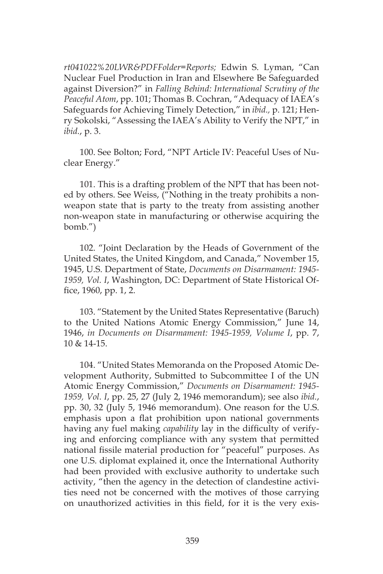*rt041022%20LWR&PDFFolder=Reports;* Edwin S. Lyman, "Can Nuclear Fuel Production in Iran and Elsewhere Be Safeguarded against Diversion?" in *Falling Behind: International Scrutiny of the Peaceful Atom*, pp. 101; Thomas B. Cochran, "Adequacy of IAEA's Safeguards for Achieving Timely Detection," in *ibid.,* p. 121; Henry Sokolski, "Assessing the IAEA's Ability to Verify the NPT," in *ibid.*, p. 3.

100. See Bolton; Ford, "NPT Article IV: Peaceful Uses of Nuclear Energy."

101. This is a drafting problem of the NPT that has been noted by others. See Weiss, ("Nothing in the treaty prohibits a nonweapon state that is party to the treaty from assisting another non-weapon state in manufacturing or otherwise acquiring the bomb.")

102. "Joint Declaration by the Heads of Government of the United States, the United Kingdom, and Canada," November 15, 1945, U.S. Department of State, *Documents on Disarmament: 1945- 1959, Vol. I*, Washington, DC: Department of State Historical Office, 1960, pp. 1, 2.

103. "Statement by the United States Representative (Baruch) to the United Nations Atomic Energy Commission," June 14, 1946, *in Documents on Disarmament: 1945-1959, Volume I*, pp. 7, 10 & 14-15.

104. "United States Memoranda on the Proposed Atomic Development Authority, Submitted to Subcommittee I of the UN Atomic Energy Commission," *Documents on Disarmament: 1945- 1959, Vol. I*, pp. 25, 27 (July 2, 1946 memorandum); see also *ibid.*, pp. 30, 32 (July 5, 1946 memorandum). One reason for the U.S. emphasis upon a flat prohibition upon national governments having any fuel making *capability* lay in the difficulty of verifying and enforcing compliance with any system that permitted national fissile material production for "peaceful" purposes. As one U.S. diplomat explained it, once the International Authority had been provided with exclusive authority to undertake such activity, "then the agency in the detection of clandestine activities need not be concerned with the motives of those carrying on unauthorized activities in this field, for it is the very exis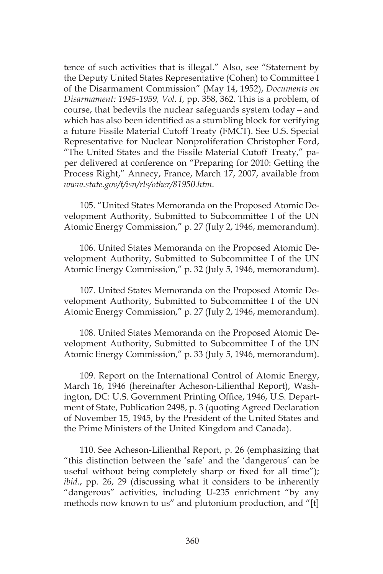tence of such activities that is illegal." Also, see "Statement by the Deputy United States Representative (Cohen) to Committee I of the Disarmament Commission" (May 14, 1952), *Documents on Disarmament: 1945-1959, Vol. I*, pp. 358, 362. This is a problem, of course, that bedevils the nuclear safeguards system today*—*and which has also been identified as a stumbling block for verifying a future Fissile Material Cutoff Treaty (FMCT). See U.S. Special Representative for Nuclear Nonproliferation Christopher Ford, "The United States and the Fissile Material Cutoff Treaty," paper delivered at conference on "Preparing for 2010: Getting the Process Right," Annecy, France, March 17, 2007, available from *www.state.gov/t/isn/rls/other/81950.htm*.

105. "United States Memoranda on the Proposed Atomic Development Authority, Submitted to Subcommittee I of the UN Atomic Energy Commission," p. 27 (July 2, 1946, memorandum).

106. United States Memoranda on the Proposed Atomic Development Authority, Submitted to Subcommittee I of the UN Atomic Energy Commission," p. 32 (July 5, 1946, memorandum).

107. United States Memoranda on the Proposed Atomic Development Authority, Submitted to Subcommittee I of the UN Atomic Energy Commission," p. 27 (July 2, 1946, memorandum).

108. United States Memoranda on the Proposed Atomic Development Authority, Submitted to Subcommittee I of the UN Atomic Energy Commission," p. 33 (July 5, 1946, memorandum).

109. Report on the International Control of Atomic Energy, March 16, 1946 (hereinafter Acheson-Lilienthal Report), Washington, DC: U.S. Government Printing Office, 1946, U.S. Department of State, Publication 2498, p. 3 (quoting Agreed Declaration of November 15, 1945, by the President of the United States and the Prime Ministers of the United Kingdom and Canada).

110. See Acheson-Lilienthal Report, p. 26 (emphasizing that "this distinction between the 'safe' and the 'dangerous' can be useful without being completely sharp or fixed for all time"); *ibid.*, pp. 26, 29 (discussing what it considers to be inherently "dangerous" activities, including U-235 enrichment "by any methods now known to us" and plutonium production, and "[t]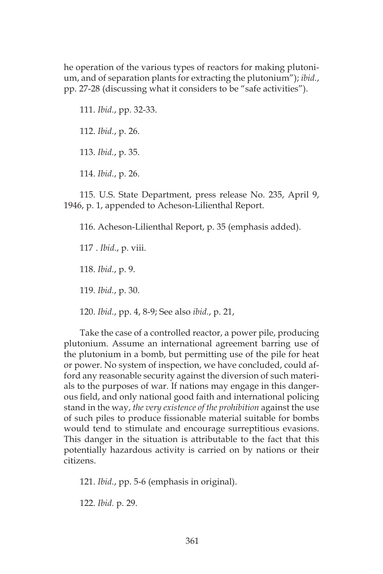he operation of the various types of reactors for making plutonium, and of separation plants for extracting the plutonium"); *ibid.*, pp. 27-28 (discussing what it considers to be "safe activities").

111. *Ibid.*, pp. 32-33.

112. *Ibid.*, p. 26.

113. *Ibid.*, p. 35.

114. *Ibid.*, p. 26.

115. U.S. State Department, press release No. 235, April 9, 1946, p. 1, appended to Acheson-Lilienthal Report.

116. Acheson-Lilienthal Report, p. 35 (emphasis added).

117 . *Ibid.*, p. viii.

118. *Ibid.*, p. 9.

119. *Ibid.*, p. 30.

120. *Ibid.*, pp. 4, 8-9; See also *ibid.*, p. 21,

Take the case of a controlled reactor, a power pile, producing plutonium. Assume an international agreement barring use of the plutonium in a bomb, but permitting use of the pile for heat or power. No system of inspection, we have concluded, could afford any reasonable security against the diversion of such materials to the purposes of war. If nations may engage in this dangerous field, and only national good faith and international policing stand in the way, *the very existence of the prohibition* against the use of such piles to produce fissionable material suitable for bombs would tend to stimulate and encourage surreptitious evasions. This danger in the situation is attributable to the fact that this potentially hazardous activity is carried on by nations or their citizens.

121. *Ibid.*, pp. 5-6 (emphasis in original).

122. *Ibid.* p. 29.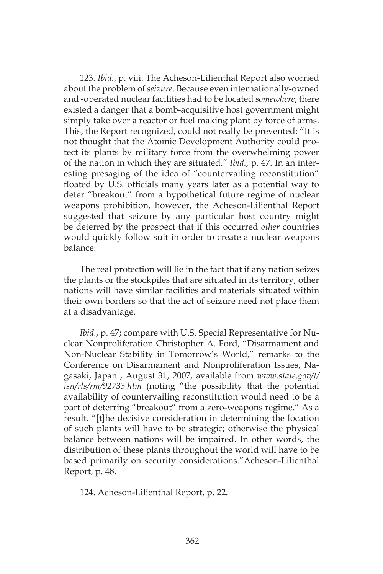123. *Ibid.*, p. viii. The Acheson-Lilienthal Report also worried about the problem of *seizure*. Because even internationally-owned and -operated nuclear facilities had to be located *somewhere*, there existed a danger that a bomb-acquisitive host government might simply take over a reactor or fuel making plant by force of arms. This, the Report recognized, could not really be prevented: "It is not thought that the Atomic Development Authority could protect its plants by military force from the overwhelming power of the nation in which they are situated." *Ibid.*, p. 47. In an interesting presaging of the idea of "countervailing reconstitution" floated by U.S. officials many years later as a potential way to deter "breakout" from a hypothetical future regime of nuclear weapons prohibition, however, the Acheson-Lilienthal Report suggested that seizure by any particular host country might be deterred by the prospect that if this occurred *other* countries would quickly follow suit in order to create a nuclear weapons balance:

The real protection will lie in the fact that if any nation seizes the plants or the stockpiles that are situated in its territory, other nations will have similar facilities and materials situated within their own borders so that the act of seizure need not place them at a disadvantage.

*Ibid.*, p. 47; compare with U.S. Special Representative for Nuclear Nonproliferation Christopher A. Ford, "Disarmament and Non-Nuclear Stability in Tomorrow's World," remarks to the Conference on Disarmament and Nonproliferation Issues, Nagasaki, Japan , August 31, 2007, available from *www.state.gov/t/ isn/rls/rm/92733.htm* (noting "the possibility that the potential availability of countervailing reconstitution would need to be a part of deterring "breakout" from a zero-weapons regime." As a result, "[t]he decisive consideration in determining the location of such plants will have to be strategic; otherwise the physical balance between nations will be impaired. In other words, the distribution of these plants throughout the world will have to be based primarily on security considerations."Acheson-Lilienthal Report, p. 48.

124. Acheson-Lilienthal Report, p. 22.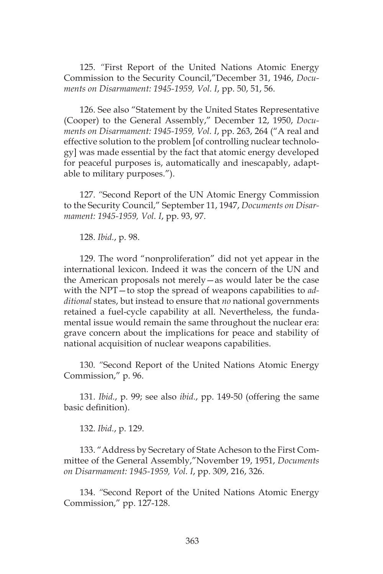125. *"*First Report of the United Nations Atomic Energy Commission to the Security Council,"December 31, 1946, *Documents on Disarmament: 1945-1959, Vol. I*, pp. 50, 51, 56.

126. See also "Statement by the United States Representative (Cooper) to the General Assembly," December 12, 1950, *Documents on Disarmament: 1945-1959, Vol. I*, pp. 263, 264 ("A real and effective solution to the problem [of controlling nuclear technology] was made essential by the fact that atomic energy developed for peaceful purposes is, automatically and inescapably, adaptable to military purposes.").

127. *"*Second Report of the UN Atomic Energy Commission to the Security Council," September 11, 1947, *Documents on Disarmament: 1945-1959, Vol. I*, pp. 93, 97.

128. *Ibid.*, p. 98.

129. The word "nonproliferation" did not yet appear in the international lexicon. Indeed it was the concern of the UN and the American proposals not merely—as would later be the case with the NPT—to stop the spread of weapons capabilities to *additional* states, but instead to ensure that *no* national governments retained a fuel-cycle capability at all. Nevertheless, the fundamental issue would remain the same throughout the nuclear era: grave concern about the implications for peace and stability of national acquisition of nuclear weapons capabilities.

130*. "*Second Report of the United Nations Atomic Energy Commission," p. 96.

131. *Ibid.*, p. 99; see also *ibid.*, pp. 149-50 (offering the same basic definition).

132. *Ibid.*, p. 129.

133. "Address by Secretary of State Acheson to the First Committee of the General Assembly,"November 19, 1951, *Documents on Disarmament: 1945-1959, Vol. I*, pp. 309, 216, 326.

134. *"*Second Report of the United Nations Atomic Energy Commission," pp. 127-128.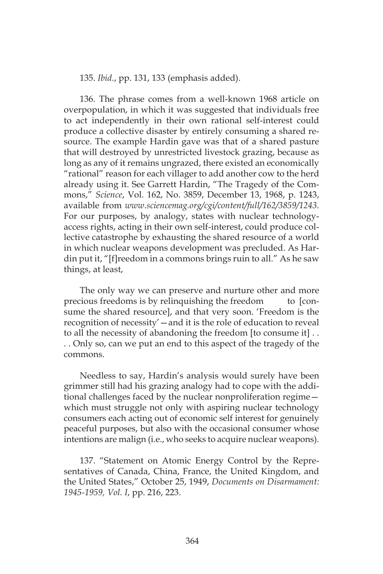135. *Ibid.*, pp. 131, 133 (emphasis added).

136. The phrase comes from a well-known 1968 article on overpopulation, in which it was suggested that individuals free to act independently in their own rational self-interest could produce a collective disaster by entirely consuming a shared resource. The example Hardin gave was that of a shared pasture that will destroyed by unrestricted livestock grazing, because as long as any of it remains ungrazed, there existed an economically "rational" reason for each villager to add another cow to the herd already using it. See Garrett Hardin, "The Tragedy of the Commons," *Science*, Vol. 162, No. 3859, December 13, 1968, p. 1243, available from *www.sciencemag.org/cgi/content/full/162/3859/1243*. For our purposes, by analogy, states with nuclear technologyaccess rights, acting in their own self-interest, could produce collective catastrophe by exhausting the shared resource of a world in which nuclear weapons development was precluded. As Hardin put it, "[f]reedom in a commons brings ruin to all." As he saw things, at least,

The only way we can preserve and nurture other and more precious freedoms is by relinquishing the freedom to [consume the shared resource], and that very soon. 'Freedom is the recognition of necessity'—and it is the role of education to reveal to all the necessity of abandoning the freedom [to consume it] . . . . Only so, can we put an end to this aspect of the tragedy of the commons.

Needless to say, Hardin's analysis would surely have been grimmer still had his grazing analogy had to cope with the additional challenges faced by the nuclear nonproliferation regime which must struggle not only with aspiring nuclear technology consumers each acting out of economic self interest for genuinely peaceful purposes, but also with the occasional consumer whose intentions are malign (i.e., who seeks to acquire nuclear weapons).

137. "Statement on Atomic Energy Control by the Representatives of Canada, China, France, the United Kingdom, and the United States," October 25, 1949, *Documents on Disarmament: 1945-1959, Vol. I*, pp. 216, 223.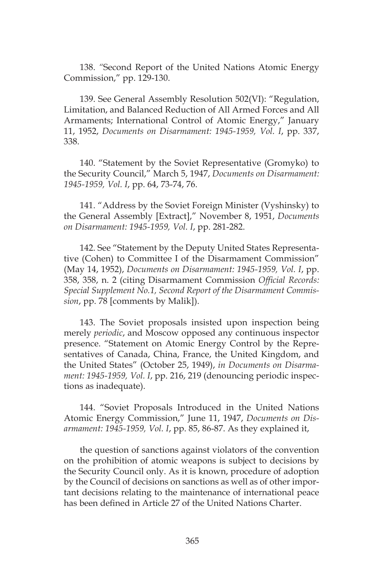138. *"*Second Report of the United Nations Atomic Energy Commission," pp. 129-130.

139. See General Assembly Resolution 502(VI): "Regulation, Limitation, and Balanced Reduction of All Armed Forces and All Armaments; International Control of Atomic Energy," January 11, 1952, *Documents on Disarmament: 1945-1959, Vol. I*, pp. 337, 338.

140. "Statement by the Soviet Representative (Gromyko) to the Security Council," March 5, 1947, *Documents on Disarmament: 1945-1959, Vol. I*, pp. 64, 73-74, 76.

141. "Address by the Soviet Foreign Minister (Vyshinsky) to the General Assembly [Extract]," November 8, 1951, *Documents on Disarmament: 1945-1959, Vol. I*, pp. 281-282.

142. See "Statement by the Deputy United States Representative (Cohen) to Committee I of the Disarmament Commission" (May 14, 1952), *Documents on Disarmament: 1945-1959, Vol. I*, pp. 358, 358, n. 2 (citing Disarmament Commission *Official Records: Special Supplement No.1, Second Report of the Disarmament Commission*, pp. 78 [comments by Malik]).

143. The Soviet proposals insisted upon inspection being merely *periodic*, and Moscow opposed any continuous inspector presence. "Statement on Atomic Energy Control by the Representatives of Canada, China, France, the United Kingdom, and the United States" (October 25, 1949), *in Documents on Disarmament: 1945-1959, Vol. I*, pp. 216, 219 (denouncing periodic inspections as inadequate).

144. "Soviet Proposals Introduced in the United Nations Atomic Energy Commission," June 11, 1947, *Documents on Disarmament: 1945-1959, Vol. I*, pp. 85, 86-87. As they explained it,

the question of sanctions against violators of the convention on the prohibition of atomic weapons is subject to decisions by the Security Council only. As it is known, procedure of adoption by the Council of decisions on sanctions as well as of other important decisions relating to the maintenance of international peace has been defined in Article 27 of the United Nations Charter.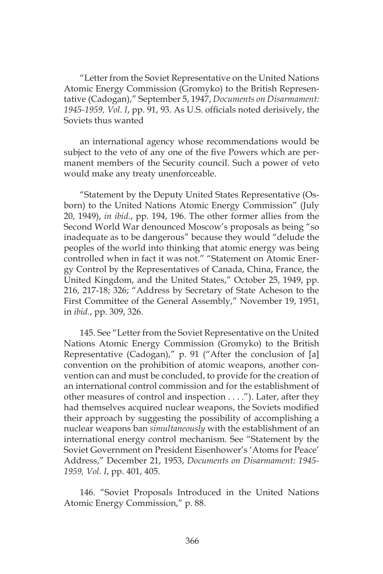"Letter from the Soviet Representative on the United Nations Atomic Energy Commission (Gromyko) to the British Representative (Cadogan)," September 5, 1947, *Documents on Disarmament: 1945-1959, Vol. I*, pp. 91, 93. As U.S. officials noted derisively, the Soviets thus wanted

an international agency whose recommendations would be subject to the veto of any one of the five Powers which are permanent members of the Security council. Such a power of veto would make any treaty unenforceable.

"Statement by the Deputy United States Representative (Osborn) to the United Nations Atomic Energy Commission" (July 20, 1949), *in ibid.*, pp. 194, 196. The other former allies from the Second World War denounced Moscow's proposals as being "so inadequate as to be dangerous" because they would "delude the peoples of the world into thinking that atomic energy was being controlled when in fact it was not." "Statement on Atomic Energy Control by the Representatives of Canada, China, France, the United Kingdom, and the United States," October 25, 1949, pp. 216, 217-18; 326; "Address by Secretary of State Acheson to the First Committee of the General Assembly," November 19, 1951, in *ibid.*, pp. 309, 326.

145. See "Letter from the Soviet Representative on the United Nations Atomic Energy Commission (Gromyko) to the British Representative (Cadogan)," p. 91 ("After the conclusion of [a] convention on the prohibition of atomic weapons, another convention can and must be concluded, to provide for the creation of an international control commission and for the establishment of other measures of control and inspection . . . ."). Later, after they had themselves acquired nuclear weapons, the Soviets modified their approach by suggesting the possibility of accomplishing a nuclear weapons ban *simultaneously* with the establishment of an international energy control mechanism. See "Statement by the Soviet Government on President Eisenhower's 'Atoms for Peace' Address," December 21, 1953, *Documents on Disarmament: 1945- 1959, Vol. I*, pp. 401, 405.

146. "Soviet Proposals Introduced in the United Nations Atomic Energy Commission," p. 88.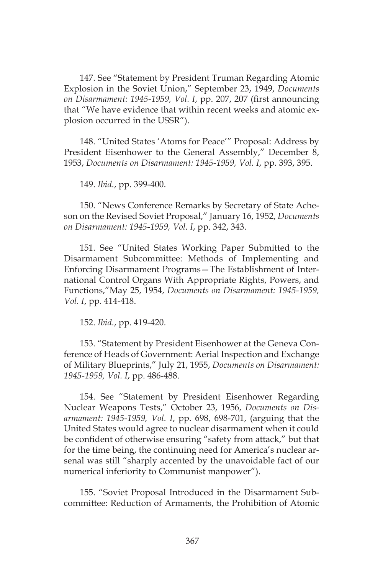147. See "Statement by President Truman Regarding Atomic Explosion in the Soviet Union," September 23, 1949, *Documents on Disarmament: 1945-1959, Vol. I*, pp. 207, 207 (first announcing that "We have evidence that within recent weeks and atomic explosion occurred in the USSR").

148. "United States 'Atoms for Peace'" Proposal: Address by President Eisenhower to the General Assembly," December 8, 1953, *Documents on Disarmament: 1945-1959, Vol. I*, pp. 393, 395.

149. *Ibid.*, pp. 399-400.

150. "News Conference Remarks by Secretary of State Acheson on the Revised Soviet Proposal," January 16, 1952, *Documents on Disarmament: 1945-1959, Vol. I*, pp. 342, 343.

151. See "United States Working Paper Submitted to the Disarmament Subcommittee: Methods of Implementing and Enforcing Disarmament Programs—The Establishment of International Control Organs With Appropriate Rights, Powers, and Functions,"May 25, 1954, *Documents on Disarmament: 1945-1959, Vol. I*, pp. 414-418.

152. *Ibid.*, pp. 419-420.

153. "Statement by President Eisenhower at the Geneva Conference of Heads of Government: Aerial Inspection and Exchange of Military Blueprints," July 21, 1955, *Documents on Disarmament: 1945-1959, Vol. I*, pp. 486-488.

154. See "Statement by President Eisenhower Regarding Nuclear Weapons Tests," October 23, 1956, *Documents on Disarmament: 1945-1959, Vol. I*, pp. 698, 698-701, (arguing that the United States would agree to nuclear disarmament when it could be confident of otherwise ensuring "safety from attack," but that for the time being, the continuing need for America's nuclear arsenal was still "sharply accented by the unavoidable fact of our numerical inferiority to Communist manpower").

155. "Soviet Proposal Introduced in the Disarmament Subcommittee: Reduction of Armaments, the Prohibition of Atomic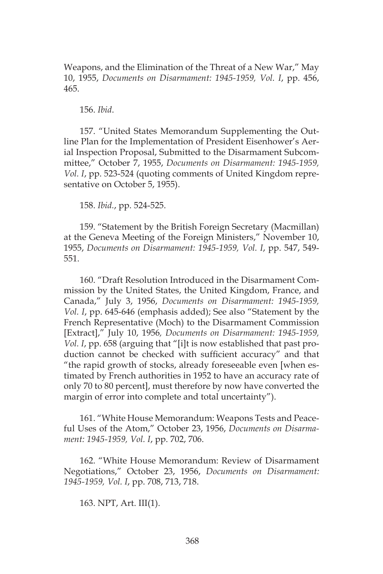Weapons, and the Elimination of the Threat of a New War," May 10, 1955, *Documents on Disarmament: 1945-1959, Vol. I*, pp. 456, 465.

156. *Ibid*.

157. "United States Memorandum Supplementing the Outline Plan for the Implementation of President Eisenhower's Aerial Inspection Proposal, Submitted to the Disarmament Subcommittee," October 7, 1955, *Documents on Disarmament: 1945-1959, Vol. I*, pp. 523-524 (quoting comments of United Kingdom representative on October 5, 1955).

158. *Ibid.*, pp. 524-525.

159. "Statement by the British Foreign Secretary (Macmillan) at the Geneva Meeting of the Foreign Ministers," November 10, 1955, *Documents on Disarmament: 1945-1959, Vol. I*, pp. 547, 549- 551.

160. "Draft Resolution Introduced in the Disarmament Commission by the United States, the United Kingdom, France, and Canada," July 3, 1956, *Documents on Disarmament: 1945-1959, Vol. I*, pp. 645-646 (emphasis added); See also "Statement by the French Representative (Moch) to the Disarmament Commission [Extract]," July 10, 1956*, Documents on Disarmament: 1945-1959, Vol. I*, pp. 658 (arguing that "[i]t is now established that past production cannot be checked with sufficient accuracy" and that "the rapid growth of stocks, already foreseeable even [when estimated by French authorities in 1952 to have an accuracy rate of only 70 to 80 percent], must therefore by now have converted the margin of error into complete and total uncertainty").

161. "White House Memorandum: Weapons Tests and Peaceful Uses of the Atom," October 23, 1956, *Documents on Disarmament: 1945-1959, Vol. I*, pp. 702, 706.

162. "White House Memorandum: Review of Disarmament Negotiations," October 23, 1956, *Documents on Disarmament: 1945-1959, Vol. I*, pp. 708, 713, 718.

163. NPT, Art. III(1).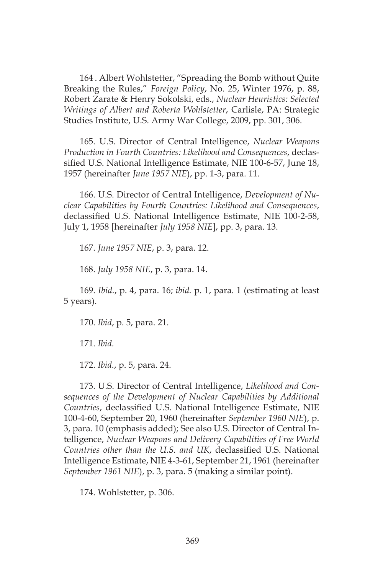164 . Albert Wohlstetter, "Spreading the Bomb without Quite Breaking the Rules," *Foreign Policy*, No. 25, Winter 1976, p. 88, Robert Zarate & Henry Sokolski, eds., *Nuclear Heuristics: Selected Writings of Albert and Roberta Wohlstetter*, Carlisle, PA: Strategic Studies Institute, U.S. Army War College, 2009, pp. 301, 306.

165. U.S. Director of Central Intelligence, *Nuclear Weapons Production in Fourth Countries: Likelihood and Consequences*, declassified U.S. National Intelligence Estimate, NIE 100-6-57, June 18, 1957 (hereinafter *June 1957 NIE*), pp. 1-3, para. 11.

166. U.S. Director of Central Intelligence, *Development of Nuclear Capabilities by Fourth Countries: Likelihood and Consequences*, declassified U.S. National Intelligence Estimate, NIE 100-2-58, July 1, 1958 [hereinafter *July 1958 NIE*], pp. 3, para. 13.

167. *June 1957 NIE*, p. 3, para. 12.

168. *July 1958 NIE*, p. 3, para. 14.

169. *Ibid.*, p. 4, para. 16; *ibid.* p. 1, para. 1 (estimating at least 5 years).

170. *Ibid*, p. 5, para. 21.

171. *Ibid.*

172. *Ibid.*, p. 5, para. 24.

173. U.S. Director of Central Intelligence, *Likelihood and Consequences of the Development of Nuclear Capabilities by Additional Countries*, declassified U.S. National Intelligence Estimate, NIE 100-4-60, September 20, 1960 (hereinafter *September 1960 NIE*), p. 3, para. 10 (emphasis added); See also U.S. Director of Central Intelligence, *Nuclear Weapons and Delivery Capabilities of Free World Countries other than the U.S. and UK*, declassified U.S. National Intelligence Estimate, NIE 4-3-61, September 21, 1961 (hereinafter *September 1961 NIE*), p. 3, para. 5 (making a similar point).

174. Wohlstetter, p. 306.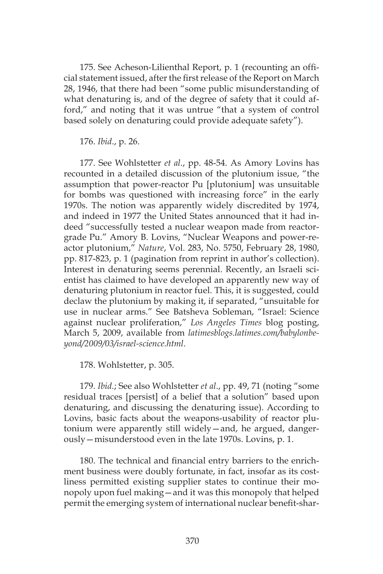175. See Acheson-Lilienthal Report, p. 1 (recounting an official statement issued, after the first release of the Report on March 28, 1946, that there had been "some public misunderstanding of what denaturing is, and of the degree of safety that it could afford," and noting that it was untrue "that a system of control based solely on denaturing could provide adequate safety").

176. *Ibid*., p. 26.

177. See Wohlstetter *et al*., pp. 48-54. As Amory Lovins has recounted in a detailed discussion of the plutonium issue, "the assumption that power-reactor Pu [plutonium] was unsuitable for bombs was questioned with increasing force" in the early 1970s. The notion was apparently widely discredited by 1974, and indeed in 1977 the United States announced that it had indeed "successfully tested a nuclear weapon made from reactorgrade Pu." Amory B. Lovins, "Nuclear Weapons and power-reactor plutonium," *Nature*, Vol. 283, No. 5750, February 28, 1980, pp. 817-823, p. 1 (pagination from reprint in author's collection). Interest in denaturing seems perennial. Recently, an Israeli scientist has claimed to have developed an apparently new way of denaturing plutonium in reactor fuel. This, it is suggested, could declaw the plutonium by making it, if separated, "unsuitable for use in nuclear arms." See Batsheva Sobleman, "Israel: Science against nuclear proliferation," *Los Angeles Times* blog posting, March 5, 2009, available from *latimesblogs.latimes.com/babylonbeyond/2009/03/israel-science.html*.

178. Wohlstetter, p. 305.

179. *Ibid.*; See also Wohlstetter *et al*., pp. 49, 71 (noting "some residual traces [persist] of a belief that a solution" based upon denaturing, and discussing the denaturing issue). According to Lovins, basic facts about the weapons-usability of reactor plutonium were apparently still widely—and, he argued, dangerously—misunderstood even in the late 1970s. Lovins, p. 1.

180. The technical and financial entry barriers to the enrichment business were doubly fortunate, in fact, insofar as its costliness permitted existing supplier states to continue their monopoly upon fuel making—and it was this monopoly that helped permit the emerging system of international nuclear benefit-shar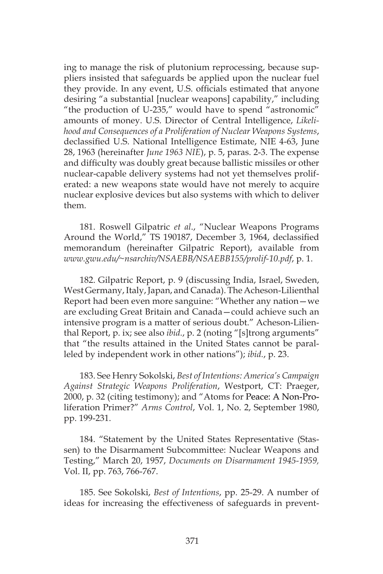ing to manage the risk of plutonium reprocessing, because suppliers insisted that safeguards be applied upon the nuclear fuel they provide. In any event, U.S. officials estimated that anyone desiring "a substantial [nuclear weapons] capability," including "the production of U-235," would have to spend "astronomic" amounts of money. U.S. Director of Central Intelligence, *Likelihood and Consequences of a Proliferation of Nuclear Weapons Systems*, declassified U.S. National Intelligence Estimate, NIE 4-63, June 28, 1963 (hereinafter *June 1963 NIE*), p. 5, paras. 2-3. The expense and difficulty was doubly great because ballistic missiles or other nuclear-capable delivery systems had not yet themselves proliferated: a new weapons state would have not merely to acquire nuclear explosive devices but also systems with which to deliver them.

181. Roswell Gilpatric *et al*., "Nuclear Weapons Programs Around the World," TS 190187, December 3, 1964, declassified memorandum (hereinafter Gilpatric Report), available from *www.gwu.edu/~nsarchiv/NSAEBB/NSAEBB155/prolif-10.pdf*, p. 1.

182. Gilpatric Report, p. 9 (discussing India, Israel, Sweden, West Germany, Italy, Japan, and Canada). The Acheson-Lilienthal Report had been even more sanguine: "Whether any nation—we are excluding Great Britain and Canada—could achieve such an intensive program is a matter of serious doubt." Acheson-Lilienthal Report, p. ix; see also *ibid.*, p. 2 (noting "[s]trong arguments" that "the results attained in the United States cannot be paralleled by independent work in other nations"); *ibid.*, p. 23.

183. See Henry Sokolski, *Best of Intentions: America's Campaign Against Strategic Weapons Proliferation*, Westport, CT: Praeger, 2000, p. 32 (citing testimony); and "Atoms for Peace: A Non-Proliferation Primer?" *Arms Control*, Vol. 1, No. 2, September 1980, pp. 199-231.

184. "Statement by the United States Representative (Stassen) to the Disarmament Subcommittee: Nuclear Weapons and Testing," March 20, 1957, *Documents on Disarmament 1945-1959,*  Vol. II, pp. 763, 766-767.

185. See Sokolski, *Best of Intentions*, pp. 25-29. A number of ideas for increasing the effectiveness of safeguards in prevent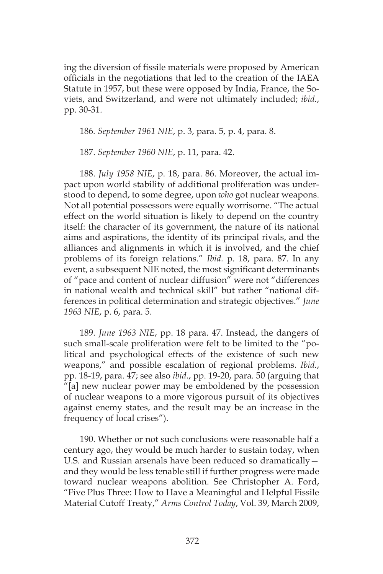ing the diversion of fissile materials were proposed by American officials in the negotiations that led to the creation of the IAEA Statute in 1957, but these were opposed by India, France, the Soviets, and Switzerland, and were not ultimately included; *ibid.*, pp. 30-31.

186*. September 1961 NIE*, p. 3, para. 5, p. 4, para. 8.

187. *September 1960 NIE*, p. 11, para. 42.

188. *July 1958 NIE*, p. 18, para. 86. Moreover, the actual impact upon world stability of additional proliferation was understood to depend, to some degree, upon *who* got nuclear weapons. Not all potential possessors were equally worrisome. "The actual effect on the world situation is likely to depend on the country itself: the character of its government, the nature of its national aims and aspirations, the identity of its principal rivals, and the alliances and alignments in which it is involved, and the chief problems of its foreign relations." *Ibid.* p. 18, para. 87. In any event, a subsequent NIE noted, the most significant determinants of "pace and content of nuclear diffusion" were not "differences in national wealth and technical skill" but rather "national differences in political determination and strategic objectives." *June 1963 NIE*, p. 6, para. 5.

189. *June 1963 NIE*, pp. 18 para. 47. Instead, the dangers of such small-scale proliferation were felt to be limited to the "political and psychological effects of the existence of such new weapons," and possible escalation of regional problems. *Ibid.*, pp. 18-19, para. 47; see also *ibid.*, pp. 19-20, para. 50 (arguing that "[a] new nuclear power may be emboldened by the possession of nuclear weapons to a more vigorous pursuit of its objectives against enemy states, and the result may be an increase in the frequency of local crises").

190. Whether or not such conclusions were reasonable half a century ago, they would be much harder to sustain today, when U.S. and Russian arsenals have been reduced so dramatically and they would be less tenable still if further progress were made toward nuclear weapons abolition. See Christopher A. Ford, "Five Plus Three: How to Have a Meaningful and Helpful Fissile Material Cutoff Treaty," *Arms Control Today*, Vol. 39, March 2009,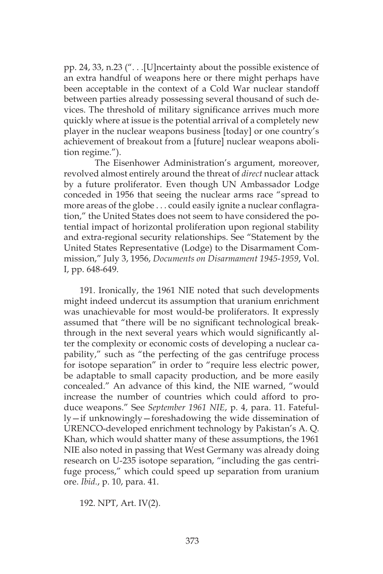pp. 24, 33, n.23 (". . .[U]ncertainty about the possible existence of an extra handful of weapons here or there might perhaps have been acceptable in the context of a Cold War nuclear standoff between parties already possessing several thousand of such devices. The threshold of military significance arrives much more quickly where at issue is the potential arrival of a completely new player in the nuclear weapons business [today] or one country's achievement of breakout from a [future] nuclear weapons abolition regime.").

The Eisenhower Administration's argument, moreover, revolved almost entirely around the threat of *direct* nuclear attack by a future proliferator. Even though UN Ambassador Lodge conceded in 1956 that seeing the nuclear arms race "spread to more areas of the globe . . . could easily ignite a nuclear conflagration," the United States does not seem to have considered the potential impact of horizontal proliferation upon regional stability and extra-regional security relationships. See "Statement by the United States Representative (Lodge) to the Disarmament Commission," July 3, 1956, *Documents on Disarmament 1945-1959*, Vol. I, pp. 648-649.

191. Ironically, the 1961 NIE noted that such developments might indeed undercut its assumption that uranium enrichment was unachievable for most would-be proliferators. It expressly assumed that "there will be no significant technological breakthrough in the next several years which would significantly alter the complexity or economic costs of developing a nuclear capability," such as "the perfecting of the gas centrifuge process for isotope separation" in order to "require less electric power, be adaptable to small capacity production, and be more easily concealed." An advance of this kind, the NIE warned, "would increase the number of countries which could afford to produce weapons." See *September 1961 NIE*, p. 4, para. 11. Fatefully—if unknowingly—foreshadowing the wide dissemination of URENCO-developed enrichment technology by Pakistan's A. Q. Khan, which would shatter many of these assumptions, the 1961 NIE also noted in passing that West Germany was already doing research on U-235 isotope separation, "including the gas centrifuge process," which could speed up separation from uranium ore. *Ibid.*, p. 10, para. 41.

192. NPT, Art. IV(2).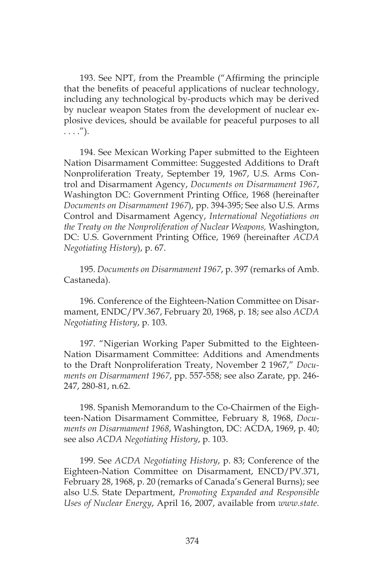193. See NPT, from the Preamble ("Affirming the principle that the benefits of peaceful applications of nuclear technology, including any technological by-products which may be derived by nuclear weapon States from the development of nuclear explosive devices, should be available for peaceful purposes to all  $\ldots$ .").

194. See Mexican Working Paper submitted to the Eighteen Nation Disarmament Committee: Suggested Additions to Draft Nonproliferation Treaty, September 19, 1967, U.S. Arms Control and Disarmament Agency, *Documents on Disarmament 1967*, Washington DC: Government Printing Office, 1968 (hereinafter *Documents on Disarmament 1967*), pp. 394-395; See also U.S. Arms Control and Disarmament Agency, *International Negotiations on the Treaty on the Nonproliferation of Nuclear Weapons,* Washington, DC: U.S. Government Printing Office, 1969 (hereinafter *ACDA Negotiating History*), p. 67.

195. *Documents on Disarmament 1967*, p. 397 (remarks of Amb. Castaneda).

196. Conference of the Eighteen-Nation Committee on Disarmament, ENDC/PV.367, February 20, 1968, p. 18; see also *ACDA Negotiating History*, p. 103.

197. "Nigerian Working Paper Submitted to the Eighteen-Nation Disarmament Committee: Additions and Amendments to the Draft Nonproliferation Treaty, November 2 1967," *Documents on Disarmament 1967*, pp. 557-558; see also Zarate, pp. 246- 247, 280-81, n.62.

198. Spanish Memorandum to the Co-Chairmen of the Eighteen-Nation Disarmament Committee, February 8, 1968, *Documents on Disarmament 1968*, Washington, DC: ACDA, 1969, p. 40; see also *ACDA Negotiating History*, p. 103.

199. See *ACDA Negotiating History*, p. 83; Conference of the Eighteen-Nation Committee on Disarmament, ENCD/PV.371, February 28, 1968, p. 20 (remarks of Canada's General Burns); see also U.S. State Department, *Promoting Expanded and Responsible Uses of Nuclear Energy*, April 16, 2007, available from *www.state.*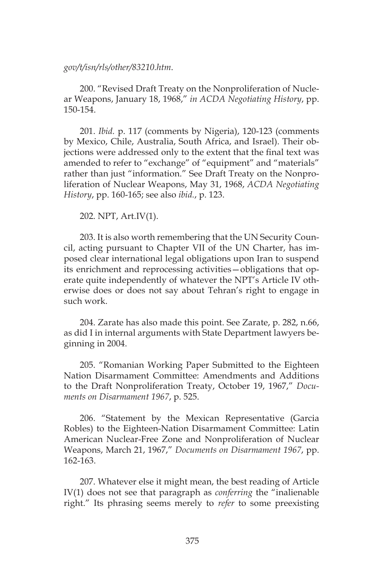### *gov/t/isn/rls/other/83210.htm*.

200. "Revised Draft Treaty on the Nonproliferation of Nuclear Weapons, January 18, 1968," *in ACDA Negotiating History*, pp. 150-154.

201. *Ibid.* p. 117 (comments by Nigeria), 120-123 (comments by Mexico, Chile, Australia, South Africa, and Israel). Their objections were addressed only to the extent that the final text was amended to refer to "exchange" of "equipment" and "materials" rather than just "information." See Draft Treaty on the Nonproliferation of Nuclear Weapons, May 31, 1968, *ACDA Negotiating History*, pp. 160-165; see also *ibid.*, p. 123.

202. NPT, Art.IV(1).

203. It is also worth remembering that the UN Security Council, acting pursuant to Chapter VII of the UN Charter, has imposed clear international legal obligations upon Iran to suspend its enrichment and reprocessing activities—obligations that operate quite independently of whatever the NPT's Article IV otherwise does or does not say about Tehran's right to engage in such work.

204. Zarate has also made this point. See Zarate, p. 282, n.66, as did I in internal arguments with State Department lawyers beginning in 2004.

205. "Romanian Working Paper Submitted to the Eighteen Nation Disarmament Committee: Amendments and Additions to the Draft Nonproliferation Treaty, October 19, 1967," *Documents on Disarmament 1967*, p. 525.

206. "Statement by the Mexican Representative (Garcia Robles) to the Eighteen-Nation Disarmament Committee: Latin American Nuclear-Free Zone and Nonproliferation of Nuclear Weapons, March 21, 1967," *Documents on Disarmament 1967*, pp. 162-163.

207. Whatever else it might mean, the best reading of Article IV(1) does not see that paragraph as *conferring* the "inalienable right." Its phrasing seems merely to *refer* to some preexisting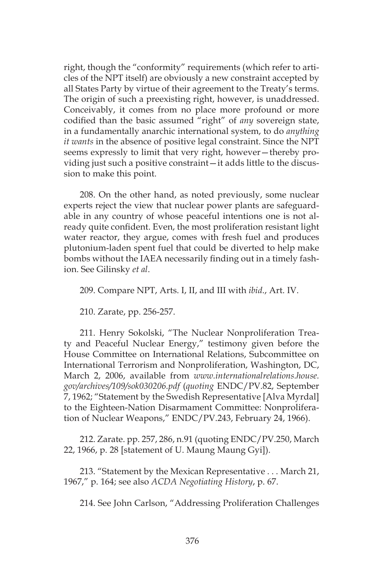right, though the "conformity" requirements (which refer to articles of the NPT itself) are obviously a new constraint accepted by all States Party by virtue of their agreement to the Treaty's terms. The origin of such a preexisting right, however, is unaddressed. Conceivably, it comes from no place more profound or more codified than the basic assumed "right" of *any* sovereign state, in a fundamentally anarchic international system, to do *anything it wants* in the absence of positive legal constraint. Since the NPT seems expressly to limit that very right, however—thereby providing just such a positive constraint—it adds little to the discussion to make this point.

208. On the other hand, as noted previously, some nuclear experts reject the view that nuclear power plants are safeguardable in any country of whose peaceful intentions one is not already quite confident. Even, the most proliferation resistant light water reactor, they argue, comes with fresh fuel and produces plutonium-laden spent fuel that could be diverted to help make bombs without the IAEA necessarily finding out in a timely fashion. See Gilinsky *et al*.

209. Compare NPT, Arts. I, II, and III with *ibid*., Art. IV.

210. Zarate, pp. 256-257.

211. Henry Sokolski, "The Nuclear Nonproliferation Treaty and Peaceful Nuclear Energy," testimony given before the House Committee on International Relations, Subcommittee on International Terrorism and Nonproliferation, Washington, DC, March 2, 2006, available from *www.internationalrelations.house. gov/archives/109/sok030206.pdf* (*quoting* ENDC/PV.82, September 7, 1962; "Statement by the Swedish Representative [Alva Myrdal] to the Eighteen-Nation Disarmament Committee: Nonproliferation of Nuclear Weapons," ENDC/PV.243, February 24, 1966).

212. Zarate. pp. 257, 286, n.91 (quoting ENDC/PV.250, March 22, 1966, p. 28 [statement of U. Maung Maung Gyi]).

213. "Statement by the Mexican Representative . . . March 21, 1967," p. 164; see also *ACDA Negotiating History*, p. 67.

214. See John Carlson, "Addressing Proliferation Challenges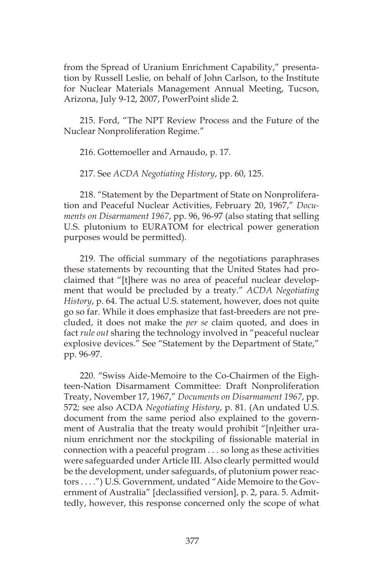from the Spread of Uranium Enrichment Capability," presentation by Russell Leslie, on behalf of John Carlson, to the Institute for Nuclear Materials Management Annual Meeting, Tucson, Arizona, July 9-12, 2007, PowerPoint slide 2.

215. Ford, "The NPT Review Process and the Future of the Nuclear Nonproliferation Regime."

216. Gottemoeller and Arnaudo, p. 17.

217. See *ACDA Negotiating History*, pp. 60, 125.

218. "Statement by the Department of State on Nonproliferation and Peaceful Nuclear Activities, February 20, 1967," *Documents on Disarmament 1967*, pp. 96, 96-97 (also stating that selling U.S. plutonium to EURATOM for electrical power generation purposes would be permitted).

219. The official summary of the negotiations paraphrases these statements by recounting that the United States had proclaimed that "[t]here was no area of peaceful nuclear development that would be precluded by a treaty." *ACDA Negotiating History*, p. 64. The actual U.S. statement, however, does not quite go so far. While it does emphasize that fast-breeders are not precluded, it does not make the *per se* claim quoted, and does in fact *rule out* sharing the technology involved in "peaceful nuclear explosive devices." See "Statement by the Department of State," pp. 96-97.

220. "Swiss Aide-Memoire to the Co-Chairmen of the Eighteen-Nation Disarmament Committee: Draft Nonproliferation Treaty, November 17, 1967," *Documents on Disarmament 1967*, pp. 572; see also ACDA *Negotiating History*, p. 81. (An undated U.S. document from the same period also explained to the government of Australia that the treaty would prohibit "[n]either uranium enrichment nor the stockpiling of fissionable material in connection with a peaceful program . . . so long as these activities were safeguarded under Article III. Also clearly permitted would be the development, under safeguards, of plutonium power reactors . . . .") U.S. Government, undated "Aide Memoire to the Government of Australia" [declassified version], p. 2, para. 5. Admittedly, however, this response concerned only the scope of what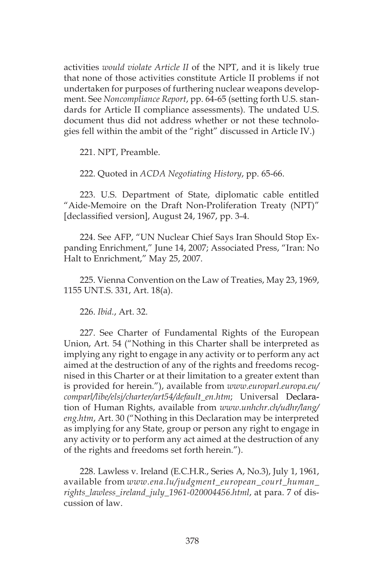activities *would violate Article II* of the NPT, and it is likely true that none of those activities constitute Article II problems if not undertaken for purposes of furthering nuclear weapons development. See *Noncompliance Report*, pp. 64-65 (setting forth U.S. standards for Article II compliance assessments). The undated U.S. document thus did not address whether or not these technologies fell within the ambit of the "right" discussed in Article IV.)

221. NPT, Preamble.

222. Quoted in *ACDA Negotiating History*, pp. 65-66.

223. U.S. Department of State, diplomatic cable entitled "Aide-Memoire on the Draft Non-Proliferation Treaty (NPT)" [declassified version], August 24, 1967, pp. 3-4.

224. See AFP, "UN Nuclear Chief Says Iran Should Stop Expanding Enrichment," June 14, 2007; Associated Press, "Iran: No Halt to Enrichment," May 25, 2007.

225. Vienna Convention on the Law of Treaties, May 23, 1969, 1155 UNT.S. 331, Art. 18(a).

226. *Ibid.*, Art. 32.

227. See Charter of Fundamental Rights of the European Union, Art. 54 ("Nothing in this Charter shall be interpreted as implying any right to engage in any activity or to perform any act aimed at the destruction of any of the rights and freedoms recognised in this Charter or at their limitation to a greater extent than is provided for herein."), available from *www.europarl.europa.eu/ comparl/libe/elsj/charter/art54/default\_en.htm*; Universal Declaration of Human Rights, available from *www.unhchr.ch/udhr/lang/ eng.htm*, Art. 30 ("Nothing in this Declaration may be interpreted as implying for any State, group or person any right to engage in any activity or to perform any act aimed at the destruction of any of the rights and freedoms set forth herein.").

228. Lawless v. Ireland (E.C.H.R., Series A, No.3), July 1, 1961, available from *www.ena.lu/judgment\_european\_court\_human\_ rights\_lawless\_ireland\_july\_1961-020004456.html*, at para. 7 of discussion of law.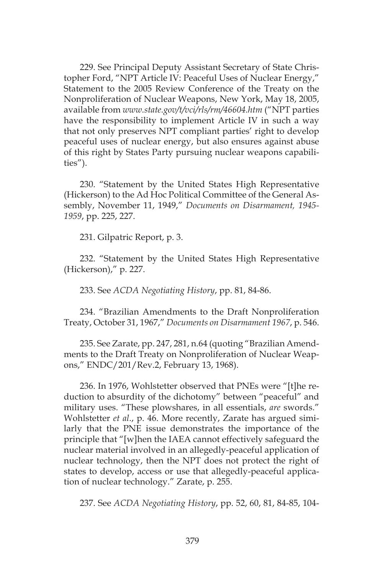229. See Principal Deputy Assistant Secretary of State Christopher Ford, "NPT Article IV: Peaceful Uses of Nuclear Energy," Statement to the 2005 Review Conference of the Treaty on the Nonproliferation of Nuclear Weapons, New York, May 18, 2005, available from *www.state.gov/t/vci/rls/rm/46604.htm* ("NPT parties have the responsibility to implement Article IV in such a way that not only preserves NPT compliant parties' right to develop peaceful uses of nuclear energy, but also ensures against abuse of this right by States Party pursuing nuclear weapons capabilities").

230. "Statement by the United States High Representative (Hickerson) to the Ad Hoc Political Committee of the General Assembly, November 11, 1949," *Documents on Disarmament, 1945- 1959*, pp. 225, 227.

231. Gilpatric Report, p. 3.

232. "Statement by the United States High Representative (Hickerson)," p. 227.

233. See *ACDA Negotiating History*, pp. 81, 84-86.

234. "Brazilian Amendments to the Draft Nonproliferation Treaty, October 31, 1967," *Documents on Disarmament 1967*, p. 546.

235. See Zarate, pp. 247, 281, n.64 (quoting "Brazilian Amendments to the Draft Treaty on Nonproliferation of Nuclear Weapons," ENDC/201/Rev.2, February 13, 1968).

236. In 1976, Wohlstetter observed that PNEs were "[t]he reduction to absurdity of the dichotomy" between "peaceful" and military uses. "These plowshares, in all essentials, *are* swords." Wohlstetter *et al*., p. 46. More recently, Zarate has argued similarly that the PNE issue demonstrates the importance of the principle that "[w]hen the IAEA cannot effectively safeguard the nuclear material involved in an allegedly-peaceful application of nuclear technology, then the NPT does not protect the right of states to develop, access or use that allegedly-peaceful application of nuclear technology." Zarate, p. 255.

237. See *ACDA Negotiating History*, pp. 52, 60, 81, 84-85, 104-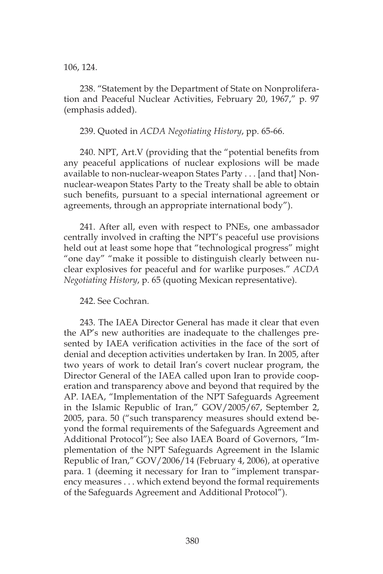106, 124.

238. "Statement by the Department of State on Nonproliferation and Peaceful Nuclear Activities, February 20, 1967," p. 97 (emphasis added).

## 239. Quoted in *ACDA Negotiating History*, pp. 65-66.

240. NPT, Art.V (providing that the "potential benefits from any peaceful applications of nuclear explosions will be made available to non-nuclear-weapon States Party . . . [and that] Nonnuclear-weapon States Party to the Treaty shall be able to obtain such benefits, pursuant to a special international agreement or agreements, through an appropriate international body").

241. After all, even with respect to PNEs, one ambassador centrally involved in crafting the NPT's peaceful use provisions held out at least some hope that "technological progress" might "one day" "make it possible to distinguish clearly between nuclear explosives for peaceful and for warlike purposes." *ACDA Negotiating History*, p. 65 (quoting Mexican representative).

## 242. See Cochran.

243. The IAEA Director General has made it clear that even the AP's new authorities are inadequate to the challenges presented by IAEA verification activities in the face of the sort of denial and deception activities undertaken by Iran. In 2005, after two years of work to detail Iran's covert nuclear program, the Director General of the IAEA called upon Iran to provide cooperation and transparency above and beyond that required by the AP. IAEA, "Implementation of the NPT Safeguards Agreement in the Islamic Republic of Iran," GOV/2005/67, September 2, 2005, para. 50 ("such transparency measures should extend beyond the formal requirements of the Safeguards Agreement and Additional Protocol"); See also IAEA Board of Governors, "Implementation of the NPT Safeguards Agreement in the Islamic Republic of Iran," GOV/2006/14 (February 4, 2006), at operative para. 1 (deeming it necessary for Iran to "implement transparency measures . . . which extend beyond the formal requirements of the Safeguards Agreement and Additional Protocol").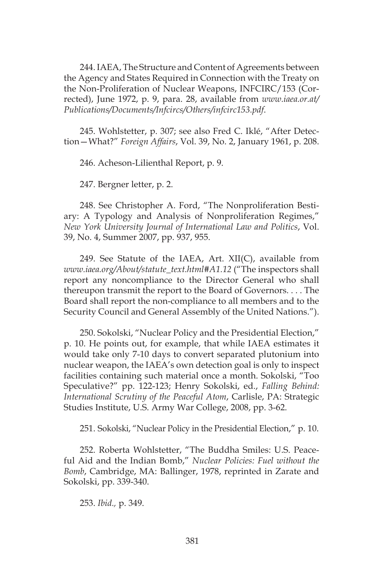244. IAEA, The Structure and Content of Agreements between the Agency and States Required in Connection with the Treaty on the Non-Proliferation of Nuclear Weapons, INFCIRC/153 (Corrected), June 1972, p. 9, para. 28, available from *www.iaea.or.at/ Publications/Documents/Infcircs/Others/infcirc153.pdf*.

245. Wohlstetter, p. 307; see also Fred C. Iklé, "After Detection—What?" *Foreign Affairs*, Vol. 39, No. 2, January 1961, p. 208.

246. Acheson-Lilienthal Report, p. 9.

247. Bergner letter, p. 2.

248. See Christopher A. Ford, "The Nonproliferation Bestiary: A Typology and Analysis of Nonproliferation Regimes," *New York University Journal of International Law and Politics*, Vol. 39, No. 4, Summer 2007, pp. 937, 955.

249. See Statute of the IAEA, Art. XII(C), available from *www.iaea.org/About/statute\_text.html#A1.12* ("The inspectors shall report any noncompliance to the Director General who shall thereupon transmit the report to the Board of Governors. . . . The Board shall report the non-compliance to all members and to the Security Council and General Assembly of the United Nations.").

250. Sokolski, "Nuclear Policy and the Presidential Election," p. 10. He points out, for example, that while IAEA estimates it would take only 7-10 days to convert separated plutonium into nuclear weapon, the IAEA's own detection goal is only to inspect facilities containing such material once a month. Sokolski, "Too Speculative?" pp. 122-123; Henry Sokolski, ed., *Falling Behind: International Scrutiny of the Peaceful Atom*, Carlisle, PA: Strategic Studies Institute, U.S. Army War College, 2008, pp. 3-62.

251. Sokolski, "Nuclear Policy in the Presidential Election," p. 10.

252. Roberta Wohlstetter, "The Buddha Smiles: U.S. Peaceful Aid and the Indian Bomb," *Nuclear Policies: Fuel without the Bomb*, Cambridge, MA: Ballinger, 1978, reprinted in Zarate and Sokolski, pp. 339-340.

253. *Ibid.,* p. 349.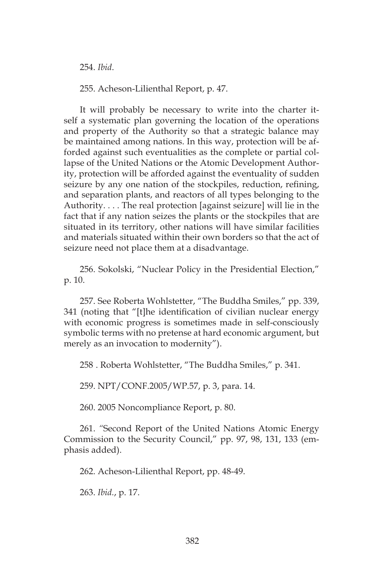254. *Ibid*.

255. Acheson-Lilienthal Report, p. 47.

It will probably be necessary to write into the charter itself a systematic plan governing the location of the operations and property of the Authority so that a strategic balance may be maintained among nations. In this way, protection will be afforded against such eventualities as the complete or partial collapse of the United Nations or the Atomic Development Authority, protection will be afforded against the eventuality of sudden seizure by any one nation of the stockpiles, reduction, refining, and separation plants, and reactors of all types belonging to the Authority. . . . The real protection [against seizure] will lie in the fact that if any nation seizes the plants or the stockpiles that are situated in its territory, other nations will have similar facilities and materials situated within their own borders so that the act of seizure need not place them at a disadvantage.

256. Sokolski, "Nuclear Policy in the Presidential Election," p. 10.

257. See Roberta Wohlstetter, "The Buddha Smiles," pp. 339, 341 (noting that "[t]he identification of civilian nuclear energy with economic progress is sometimes made in self-consciously symbolic terms with no pretense at hard economic argument, but merely as an invocation to modernity").

258 . Roberta Wohlstetter, "The Buddha Smiles," p. 341.

259. NPT/CONF.2005/WP.57, p. 3, para. 14.

260. 2005 Noncompliance Report, p. 80.

261. *"*Second Report of the United Nations Atomic Energy Commission to the Security Council," pp. 97, 98, 131, 133 (emphasis added).

262. Acheson-Lilienthal Report, pp. 48-49.

263. *Ibid.*, p. 17.